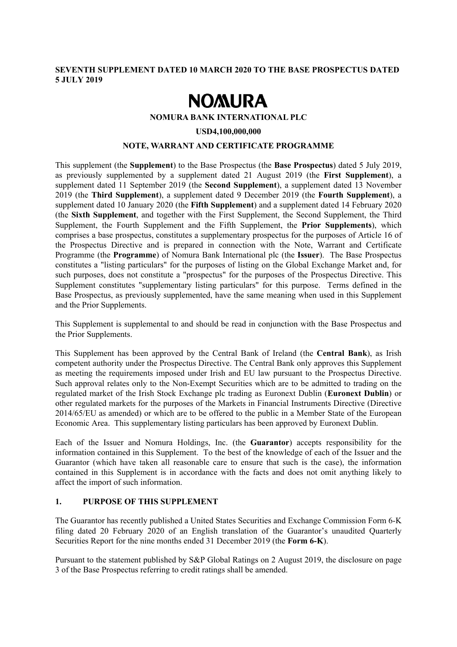## **SEVENTH SUPPLEMENT DATED 10 MARCH 2020 TO THE BASE PROSPECTUS DATED 5 JULY 2019**

# **NOMURA**

## **NOMURA BANK INTERNATIONAL PLC**

#### **USD4,100,000,000**

## **NOTE, WARRANT AND CERTIFICATE PROGRAMME**

This supplement (the **Supplement**) to the Base Prospectus (the **Base Prospectus**) dated 5 July 2019, as previously supplemented by a supplement dated 21 August 2019 (the **First Supplement**), a supplement dated 11 September 2019 (the **Second Supplement**), a supplement dated 13 November 2019 (the **Third Supplement**), a supplement dated 9 December 2019 (the **Fourth Supplement**), a supplement dated 10 January 2020 (the **Fifth Supplement**) and a supplement dated 14 February 2020 (the **Sixth Supplement**, and together with the First Supplement, the Second Supplement, the Third Supplement, the Fourth Supplement and the Fifth Supplement, the **Prior Supplements**), which comprises a base prospectus, constitutes a supplementary prospectus for the purposes of Article 16 of the Prospectus Directive and is prepared in connection with the Note, Warrant and Certificate Programme (the **Programme**) of Nomura Bank International plc (the **Issuer**). The Base Prospectus constitutes a "listing particulars" for the purposes of listing on the Global Exchange Market and, for such purposes, does not constitute a "prospectus" for the purposes of the Prospectus Directive. This Supplement constitutes "supplementary listing particulars" for this purpose. Terms defined in the Base Prospectus, as previously supplemented, have the same meaning when used in this Supplement and the Prior Supplements.

This Supplement is supplemental to and should be read in conjunction with the Base Prospectus and the Prior Supplements.

This Supplement has been approved by the Central Bank of Ireland (the **Central Bank**), as Irish competent authority under the Prospectus Directive. The Central Bank only approves this Supplement as meeting the requirements imposed under Irish and EU law pursuant to the Prospectus Directive. Such approval relates only to the Non-Exempt Securities which are to be admitted to trading on the regulated market of the Irish Stock Exchange plc trading as Euronext Dublin (**Euronext Dublin**) or other regulated markets for the purposes of the Markets in Financial Instruments Directive (Directive 2014/65/EU as amended) or which are to be offered to the public in a Member State of the European Economic Area. This supplementary listing particulars has been approved by Euronext Dublin.

Each of the Issuer and Nomura Holdings, Inc. (the **Guarantor**) accepts responsibility for the information contained in this Supplement. To the best of the knowledge of each of the Issuer and the Guarantor (which have taken all reasonable care to ensure that such is the case), the information contained in this Supplement is in accordance with the facts and does not omit anything likely to affect the import of such information.

## **1. PURPOSE OF THIS SUPPLEMENT**

The Guarantor has recently published a United States Securities and Exchange Commission Form 6-K filing dated 20 February 2020 of an English translation of the Guarantor's unaudited Quarterly Securities Report for the nine months ended 31 December 2019 (the **Form 6-K**).

Pursuant to the statement published by S&P Global Ratings on 2 August 2019, the disclosure on page 3 of the Base Prospectus referring to credit ratings shall be amended.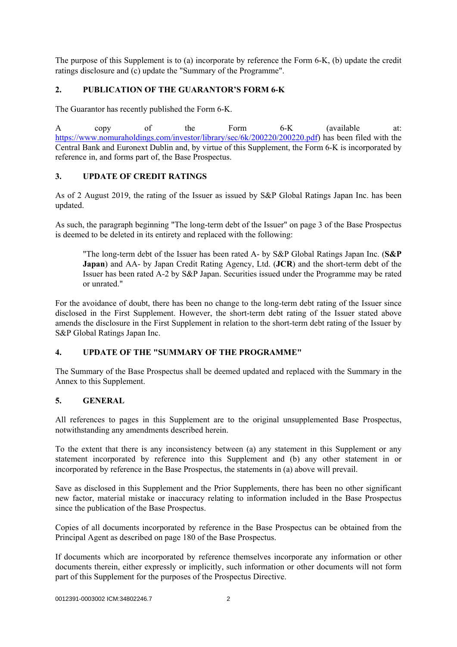The purpose of this Supplement is to (a) incorporate by reference the Form 6-K, (b) update the credit ratings disclosure and (c) update the "Summary of the Programme".

## **2. PUBLICATION OF THE GUARANTOR'S FORM 6-K**

The Guarantor has recently published the Form 6-K.

A copy of the Form 6-K (available at: https://www.nomuraholdings.com/investor/library/sec/6k/200220/200220.pdf) has been filed with the Central Bank and Euronext Dublin and, by virtue of this Supplement, the Form 6-K is incorporated by reference in, and forms part of, the Base Prospectus.

## **3. UPDATE OF CREDIT RATINGS**

As of 2 August 2019, the rating of the Issuer as issued by S&P Global Ratings Japan Inc. has been updated.

As such, the paragraph beginning "The long-term debt of the Issuer" on page 3 of the Base Prospectus is deemed to be deleted in its entirety and replaced with the following:

"The long-term debt of the Issuer has been rated A- by S&P Global Ratings Japan Inc. (**S&P Japan**) and AA- by Japan Credit Rating Agency, Ltd. (**JCR**) and the short-term debt of the Issuer has been rated A-2 by S&P Japan. Securities issued under the Programme may be rated or unrated."

For the avoidance of doubt, there has been no change to the long-term debt rating of the Issuer since disclosed in the First Supplement. However, the short-term debt rating of the Issuer stated above amends the disclosure in the First Supplement in relation to the short-term debt rating of the Issuer by S&P Global Ratings Japan Inc.

## **4. UPDATE OF THE "SUMMARY OF THE PROGRAMME"**

The Summary of the Base Prospectus shall be deemed updated and replaced with the Summary in the Annex to this Supplement.

## **5. GENERAL**

All references to pages in this Supplement are to the original unsupplemented Base Prospectus, notwithstanding any amendments described herein.

To the extent that there is any inconsistency between (a) any statement in this Supplement or any statement incorporated by reference into this Supplement and (b) any other statement in or incorporated by reference in the Base Prospectus, the statements in (a) above will prevail.

Save as disclosed in this Supplement and the Prior Supplements, there has been no other significant new factor, material mistake or inaccuracy relating to information included in the Base Prospectus since the publication of the Base Prospectus.

Copies of all documents incorporated by reference in the Base Prospectus can be obtained from the Principal Agent as described on page 180 of the Base Prospectus.

If documents which are incorporated by reference themselves incorporate any information or other documents therein, either expressly or implicitly, such information or other documents will not form part of this Supplement for the purposes of the Prospectus Directive.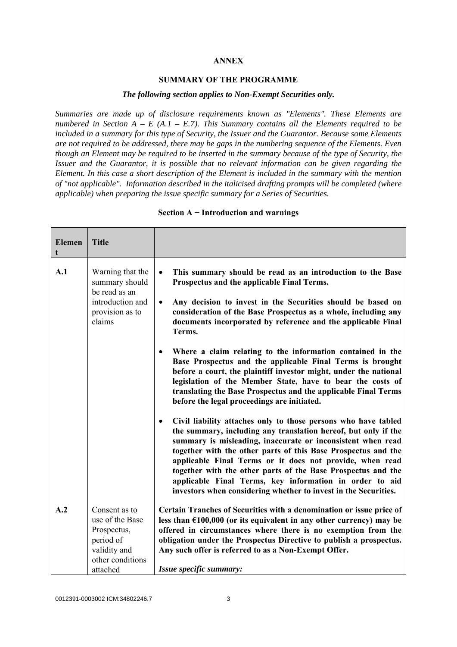## **ANNEX**

#### **SUMMARY OF THE PROGRAMME**

#### *The following section applies to Non-Exempt Securities only.*

*Summaries are made up of disclosure requirements known as "Elements". These Elements are numbered in Section A – E (A.1 – E.7). This Summary contains all the Elements required to be included in a summary for this type of Security, the Issuer and the Guarantor. Because some Elements are not required to be addressed, there may be gaps in the numbering sequence of the Elements. Even though an Element may be required to be inserted in the summary because of the type of Security, the Issuer and the Guarantor, it is possible that no relevant information can be given regarding the Element. In this case a short description of the Element is included in the summary with the mention of "not applicable". Information described in the italicised drafting prompts will be completed (where applicable) when preparing the issue specific summary for a Series of Securities.*

| <b>Elemen</b><br>t | <b>Title</b>                                                                                                 |                                                                                                                                                                                                                                                                                                                                                                                                                                                                                                                                                                                                                                                                                                                                          |
|--------------------|--------------------------------------------------------------------------------------------------------------|------------------------------------------------------------------------------------------------------------------------------------------------------------------------------------------------------------------------------------------------------------------------------------------------------------------------------------------------------------------------------------------------------------------------------------------------------------------------------------------------------------------------------------------------------------------------------------------------------------------------------------------------------------------------------------------------------------------------------------------|
| A.1                | Warning that the<br>summary should<br>be read as an<br>introduction and<br>provision as to<br>claims         | This summary should be read as an introduction to the Base<br>$\bullet$<br>Prospectus and the applicable Final Terms.<br>Any decision to invest in the Securities should be based on<br>$\bullet$<br>consideration of the Base Prospectus as a whole, including any<br>documents incorporated by reference and the applicable Final<br>Terms.<br>Where a claim relating to the information contained in the<br>$\bullet$<br>Base Prospectus and the applicable Final Terms is brought<br>before a court, the plaintiff investor might, under the national<br>legislation of the Member State, have to bear the costs of<br>translating the Base Prospectus and the applicable Final Terms<br>before the legal proceedings are initiated. |
|                    |                                                                                                              | Civil liability attaches only to those persons who have tabled<br>the summary, including any translation hereof, but only if the<br>summary is misleading, inaccurate or inconsistent when read<br>together with the other parts of this Base Prospectus and the<br>applicable Final Terms or it does not provide, when read<br>together with the other parts of the Base Prospectus and the<br>applicable Final Terms, key information in order to aid<br>investors when considering whether to invest in the Securities.                                                                                                                                                                                                               |
| A.2                | Consent as to<br>use of the Base<br>Prospectus,<br>period of<br>validity and<br>other conditions<br>attached | Certain Tranches of Securities with a denomination or issue price of<br>less than $£100,000$ (or its equivalent in any other currency) may be<br>offered in circumstances where there is no exemption from the<br>obligation under the Prospectus Directive to publish a prospectus.<br>Any such offer is referred to as a Non-Exempt Offer.<br>Issue specific summary:                                                                                                                                                                                                                                                                                                                                                                  |

#### **Section A − Introduction and warnings**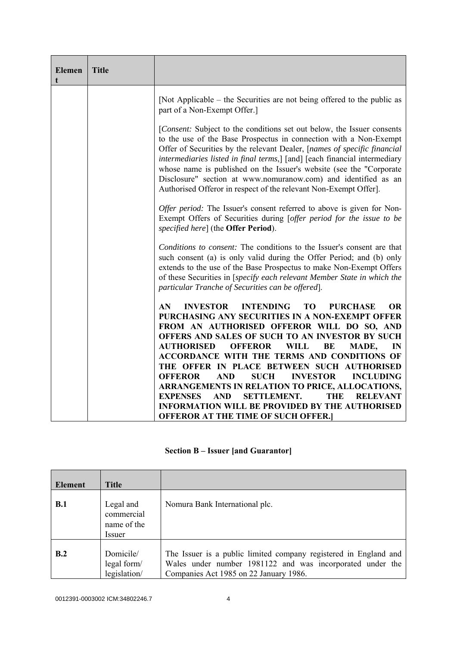| <b>Elemen</b> | <b>Title</b> |                                                                                                                                                                                                                                                                                                                                                                                                                                                                                                                                                                                                                                                                                                              |
|---------------|--------------|--------------------------------------------------------------------------------------------------------------------------------------------------------------------------------------------------------------------------------------------------------------------------------------------------------------------------------------------------------------------------------------------------------------------------------------------------------------------------------------------------------------------------------------------------------------------------------------------------------------------------------------------------------------------------------------------------------------|
|               |              | [Not Applicable – the Securities are not being offered to the public as<br>part of a Non-Exempt Offer.]                                                                                                                                                                                                                                                                                                                                                                                                                                                                                                                                                                                                      |
|               |              | [Consent: Subject to the conditions set out below, the Issuer consents<br>to the use of the Base Prospectus in connection with a Non-Exempt<br>Offer of Securities by the relevant Dealer, [names of specific financial<br>intermediaries listed in final terms,] [and] [each financial intermediary<br>whose name is published on the Issuer's website (see the "Corporate"<br>Disclosure" section at www.nomuranow.com) and identified as an<br>Authorised Offeror in respect of the relevant Non-Exempt Offer].                                                                                                                                                                                           |
|               |              | <i>Offer period:</i> The Issuer's consent referred to above is given for Non-<br>Exempt Offers of Securities during [offer period for the issue to be<br>specified here] (the Offer Period).                                                                                                                                                                                                                                                                                                                                                                                                                                                                                                                 |
|               |              | Conditions to consent: The conditions to the Issuer's consent are that<br>such consent (a) is only valid during the Offer Period; and (b) only<br>extends to the use of the Base Prospectus to make Non-Exempt Offers<br>of these Securities in [specify each relevant Member State in which the<br>particular Tranche of Securities can be offered].                                                                                                                                                                                                                                                                                                                                                        |
|               |              | <b>INVESTOR</b><br><b>INTENDING</b><br><b>TO</b><br><b>OR</b><br>AN<br><b>PURCHASE</b><br>PURCHASING ANY SECURITIES IN A NON-EXEMPT OFFER<br>FROM AN AUTHORISED OFFEROR WILL DO SO, AND<br>OFFERS AND SALES OF SUCH TO AN INVESTOR BY SUCH<br><b>AUTHORISED</b><br><b>OFFEROR</b><br><b>WILL</b><br>BE<br>MADE,<br>IN<br>ACCORDANCE WITH THE TERMS AND CONDITIONS OF<br>THE OFFER IN PLACE BETWEEN SUCH AUTHORISED<br><b>SUCH</b><br><b>INVESTOR</b><br><b>OFFEROR</b><br><b>AND</b><br><b>INCLUDING</b><br>ARRANGEMENTS IN RELATION TO PRICE, ALLOCATIONS,<br><b>EXPENSES</b><br><b>SETTLEMENT.</b><br><b>THE</b><br><b>AND</b><br><b>RELEVANT</b><br><b>INFORMATION WILL BE PROVIDED BY THE AUTHORISED</b> |
|               |              | <b>OFFEROR AT THE TIME OF SUCH OFFER.</b>                                                                                                                                                                                                                                                                                                                                                                                                                                                                                                                                                                                                                                                                    |

|  | <b>Section B – Issuer [and Guarantor]</b> |  |
|--|-------------------------------------------|--|
|  |                                           |  |

| <b>Element</b> | Title                                            |                                                                                                                                                                         |
|----------------|--------------------------------------------------|-------------------------------------------------------------------------------------------------------------------------------------------------------------------------|
| B.1            | Legal and<br>commercial<br>name of the<br>Issuer | Nomura Bank International plc.                                                                                                                                          |
| B.2            | Domicile/<br>legal form/<br>legislation/         | The Issuer is a public limited company registered in England and<br>Wales under number 1981122 and was incorporated under the<br>Companies Act 1985 on 22 January 1986. |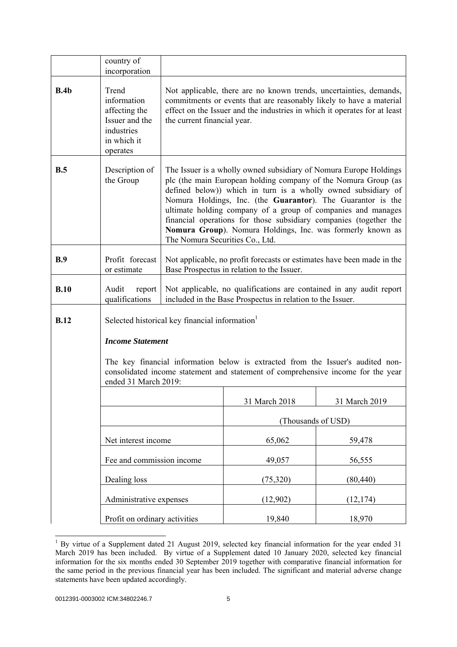|             | country of<br>incorporation                                                                      |                                                                                                                                                                                                                                                                                                                                                                                                                                                                                                           |                                                                                                                                                                                                                        |               |  |
|-------------|--------------------------------------------------------------------------------------------------|-----------------------------------------------------------------------------------------------------------------------------------------------------------------------------------------------------------------------------------------------------------------------------------------------------------------------------------------------------------------------------------------------------------------------------------------------------------------------------------------------------------|------------------------------------------------------------------------------------------------------------------------------------------------------------------------------------------------------------------------|---------------|--|
| B.4b        | Trend<br>information<br>affecting the<br>Issuer and the<br>industries<br>in which it<br>operates | the current financial year.                                                                                                                                                                                                                                                                                                                                                                                                                                                                               | Not applicable, there are no known trends, uncertainties, demands,<br>commitments or events that are reasonably likely to have a material<br>effect on the Issuer and the industries in which it operates for at least |               |  |
| B.5         | Description of<br>the Group                                                                      | The Issuer is a wholly owned subsidiary of Nomura Europe Holdings<br>plc (the main European holding company of the Nomura Group (as<br>defined below)) which in turn is a wholly owned subsidiary of<br>Nomura Holdings, Inc. (the Guarantor). The Guarantor is the<br>ultimate holding company of a group of companies and manages<br>financial operations for those subsidiary companies (together the<br>Nomura Group). Nomura Holdings, Inc. was formerly known as<br>The Nomura Securities Co., Ltd. |                                                                                                                                                                                                                        |               |  |
| B.9         | Profit forecast<br>or estimate                                                                   |                                                                                                                                                                                                                                                                                                                                                                                                                                                                                                           | Not applicable, no profit forecasts or estimates have been made in the<br>Base Prospectus in relation to the Issuer.                                                                                                   |               |  |
| B.10        | Audit<br>report<br>qualifications                                                                | Not applicable, no qualifications are contained in any audit report<br>included in the Base Prospectus in relation to the Issuer.                                                                                                                                                                                                                                                                                                                                                                         |                                                                                                                                                                                                                        |               |  |
| <b>B.12</b> |                                                                                                  | Selected historical key financial information                                                                                                                                                                                                                                                                                                                                                                                                                                                             |                                                                                                                                                                                                                        |               |  |
|             | <b>Income Statement</b>                                                                          |                                                                                                                                                                                                                                                                                                                                                                                                                                                                                                           |                                                                                                                                                                                                                        |               |  |
|             | ended 31 March 2019:                                                                             |                                                                                                                                                                                                                                                                                                                                                                                                                                                                                                           | The key financial information below is extracted from the Issuer's audited non-<br>consolidated income statement and statement of comprehensive income for the year                                                    |               |  |
|             |                                                                                                  |                                                                                                                                                                                                                                                                                                                                                                                                                                                                                                           | 31 March 2018                                                                                                                                                                                                          | 31 March 2019 |  |
|             |                                                                                                  |                                                                                                                                                                                                                                                                                                                                                                                                                                                                                                           | (Thousands of USD)                                                                                                                                                                                                     |               |  |
|             | Net interest income                                                                              |                                                                                                                                                                                                                                                                                                                                                                                                                                                                                                           | 65,062                                                                                                                                                                                                                 | 59,478        |  |
|             | Fee and commission income                                                                        |                                                                                                                                                                                                                                                                                                                                                                                                                                                                                                           | 49,057                                                                                                                                                                                                                 | 56,555        |  |
|             | Dealing loss                                                                                     |                                                                                                                                                                                                                                                                                                                                                                                                                                                                                                           | (75, 320)                                                                                                                                                                                                              | (80, 440)     |  |
|             | Administrative expenses                                                                          |                                                                                                                                                                                                                                                                                                                                                                                                                                                                                                           | (12,902)                                                                                                                                                                                                               | (12, 174)     |  |
|             | Profit on ordinary activities                                                                    |                                                                                                                                                                                                                                                                                                                                                                                                                                                                                                           | 19,840                                                                                                                                                                                                                 | 18,970        |  |

<sup>&</sup>lt;sup>1</sup> By virtue of a Supplement dated 21 August 2019, selected key financial information for the year ended 31 March 2019 has been included. By virtue of a Supplement dated 10 January 2020, selected key financial information for the six months ended 30 September 2019 together with comparative financial information for the same period in the previous financial year has been included. The significant and material adverse change statements have been updated accordingly.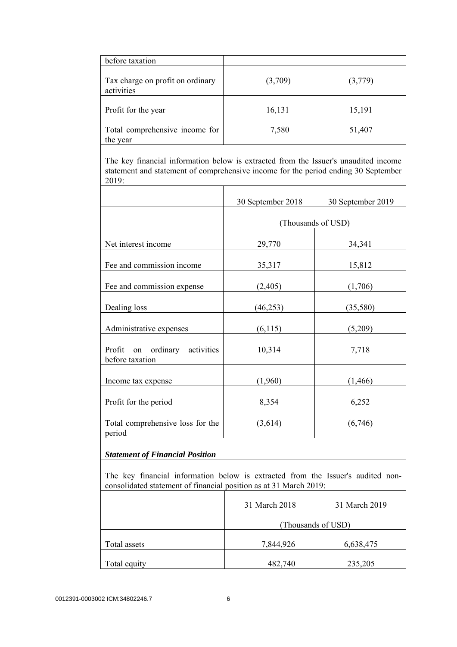| before taxation                                                                                                                                                                    |                    |                   |
|------------------------------------------------------------------------------------------------------------------------------------------------------------------------------------|--------------------|-------------------|
| Tax charge on profit on ordinary<br>activities                                                                                                                                     | (3,709)            | (3,779)           |
| Profit for the year                                                                                                                                                                | 16,131             | 15,191            |
| Total comprehensive income for<br>the year                                                                                                                                         | 7,580              | 51,407            |
| The key financial information below is extracted from the Issuer's unaudited income<br>statement and statement of comprehensive income for the period ending 30 September<br>2019: |                    |                   |
|                                                                                                                                                                                    | 30 September 2018  | 30 September 2019 |
|                                                                                                                                                                                    | (Thousands of USD) |                   |
| Net interest income                                                                                                                                                                | 29,770             | 34,341            |
| Fee and commission income                                                                                                                                                          | 35,317             | 15,812            |
| Fee and commission expense                                                                                                                                                         | (2,405)            | (1,706)           |
| Dealing loss                                                                                                                                                                       | (46, 253)          | (35,580)          |
| Administrative expenses                                                                                                                                                            | (6,115)            | (5,209)           |
| Profit on ordinary<br>activities<br>before taxation                                                                                                                                | 10,314             | 7,718             |
| Income tax expense                                                                                                                                                                 | (1,960)            | (1, 466)          |
| Profit for the period                                                                                                                                                              | 8,354              | 6,252             |
| Total comprehensive loss for the<br>period                                                                                                                                         | (3,614)            | (6,746)           |
| <b>Statement of Financial Position</b>                                                                                                                                             |                    |                   |
| The key financial information below is extracted from the Issuer's audited non-<br>consolidated statement of financial position as at 31 March 2019:                               |                    |                   |
|                                                                                                                                                                                    | 31 March 2018      | 31 March 2019     |
|                                                                                                                                                                                    | (Thousands of USD) |                   |
| Total assets                                                                                                                                                                       | 7,844,926          | 6,638,475         |
| Total equity                                                                                                                                                                       | 482,740            | 235,205           |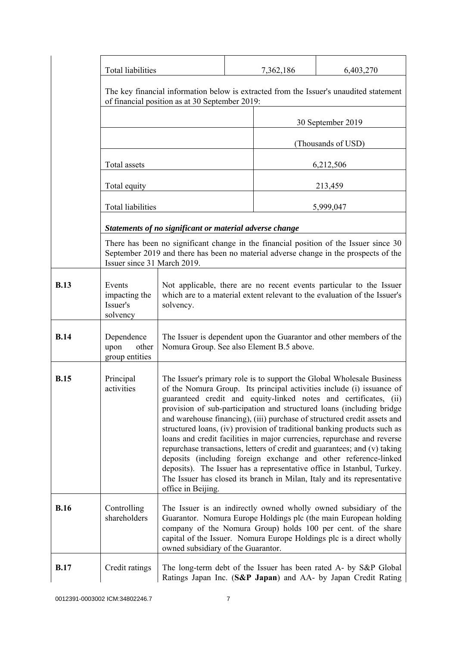|             | <b>Total liabilities</b>                        |                                                                                                                                                                                                                                                                                                                                                                                                                                                                                                                                                                                                                                                                                                                                                                                                                                                           |                                                                                                                                                                               | 7,362,186 | 6,403,270                                                                                                                         |
|-------------|-------------------------------------------------|-----------------------------------------------------------------------------------------------------------------------------------------------------------------------------------------------------------------------------------------------------------------------------------------------------------------------------------------------------------------------------------------------------------------------------------------------------------------------------------------------------------------------------------------------------------------------------------------------------------------------------------------------------------------------------------------------------------------------------------------------------------------------------------------------------------------------------------------------------------|-------------------------------------------------------------------------------------------------------------------------------------------------------------------------------|-----------|-----------------------------------------------------------------------------------------------------------------------------------|
|             |                                                 | The key financial information below is extracted from the Issuer's unaudited statement<br>of financial position as at 30 September 2019:                                                                                                                                                                                                                                                                                                                                                                                                                                                                                                                                                                                                                                                                                                                  |                                                                                                                                                                               |           |                                                                                                                                   |
|             |                                                 | 30 September 2019                                                                                                                                                                                                                                                                                                                                                                                                                                                                                                                                                                                                                                                                                                                                                                                                                                         |                                                                                                                                                                               |           |                                                                                                                                   |
|             |                                                 |                                                                                                                                                                                                                                                                                                                                                                                                                                                                                                                                                                                                                                                                                                                                                                                                                                                           |                                                                                                                                                                               |           | (Thousands of USD)                                                                                                                |
|             | Total assets                                    |                                                                                                                                                                                                                                                                                                                                                                                                                                                                                                                                                                                                                                                                                                                                                                                                                                                           |                                                                                                                                                                               |           | 6,212,506                                                                                                                         |
|             | Total equity                                    |                                                                                                                                                                                                                                                                                                                                                                                                                                                                                                                                                                                                                                                                                                                                                                                                                                                           |                                                                                                                                                                               |           | 213,459                                                                                                                           |
|             | <b>Total liabilities</b>                        |                                                                                                                                                                                                                                                                                                                                                                                                                                                                                                                                                                                                                                                                                                                                                                                                                                                           |                                                                                                                                                                               |           | 5,999,047                                                                                                                         |
|             |                                                 | Statements of no significant or material adverse change                                                                                                                                                                                                                                                                                                                                                                                                                                                                                                                                                                                                                                                                                                                                                                                                   |                                                                                                                                                                               |           |                                                                                                                                   |
|             | Issuer since 31 March 2019.                     |                                                                                                                                                                                                                                                                                                                                                                                                                                                                                                                                                                                                                                                                                                                                                                                                                                                           | There has been no significant change in the financial position of the Issuer since 30<br>September 2019 and there has been no material adverse change in the prospects of the |           |                                                                                                                                   |
| <b>B.13</b> | Events<br>impacting the<br>Issuer's<br>solvency | Not applicable, there are no recent events particular to the Issuer<br>which are to a material extent relevant to the evaluation of the Issuer's<br>solvency.                                                                                                                                                                                                                                                                                                                                                                                                                                                                                                                                                                                                                                                                                             |                                                                                                                                                                               |           |                                                                                                                                   |
| <b>B.14</b> | Dependence<br>upon<br>other<br>group entities   | The Issuer is dependent upon the Guarantor and other members of the<br>Nomura Group. See also Element B.5 above.                                                                                                                                                                                                                                                                                                                                                                                                                                                                                                                                                                                                                                                                                                                                          |                                                                                                                                                                               |           |                                                                                                                                   |
| <b>B.15</b> | Principal<br>activities                         | The Issuer's primary role is to support the Global Wholesale Business<br>of the Nomura Group. Its principal activities include (i) issuance of<br>guaranteed credit and equity-linked notes and certificates, (ii)<br>provision of sub-participation and structured loans (including bridge<br>and warehouse financing), (iii) purchase of structured credit assets and<br>structured loans, (iv) provision of traditional banking products such as<br>loans and credit facilities in major currencies, repurchase and reverse<br>repurchase transactions, letters of credit and guarantees; and (v) taking<br>deposits (including foreign exchange and other reference-linked<br>deposits). The Issuer has a representative office in Istanbul, Turkey.<br>The Issuer has closed its branch in Milan, Italy and its representative<br>office in Beijing. |                                                                                                                                                                               |           |                                                                                                                                   |
| <b>B.16</b> | Controlling<br>shareholders                     | The Issuer is an indirectly owned wholly owned subsidiary of the<br>Guarantor. Nomura Europe Holdings plc (the main European holding<br>company of the Nomura Group) holds 100 per cent. of the share<br>capital of the Issuer. Nomura Europe Holdings plc is a direct wholly<br>owned subsidiary of the Guarantor.                                                                                                                                                                                                                                                                                                                                                                                                                                                                                                                                       |                                                                                                                                                                               |           |                                                                                                                                   |
| <b>B.17</b> | Credit ratings                                  |                                                                                                                                                                                                                                                                                                                                                                                                                                                                                                                                                                                                                                                                                                                                                                                                                                                           |                                                                                                                                                                               |           | The long-term debt of the Issuer has been rated A- by S&P Global<br>Ratings Japan Inc. (S&P Japan) and AA- by Japan Credit Rating |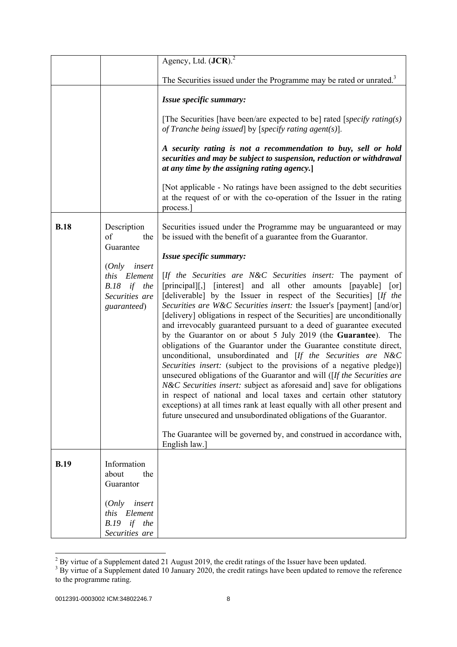|             |                                                                                      | Agency, Ltd. $(JCR)^2$                                                                                                                                                                                                                                                                                                                                                                                                                                                                                                                                                                                                                                                                                                                                                                                                                                                                                                                                                                                                                                                                                                                                                                |
|-------------|--------------------------------------------------------------------------------------|---------------------------------------------------------------------------------------------------------------------------------------------------------------------------------------------------------------------------------------------------------------------------------------------------------------------------------------------------------------------------------------------------------------------------------------------------------------------------------------------------------------------------------------------------------------------------------------------------------------------------------------------------------------------------------------------------------------------------------------------------------------------------------------------------------------------------------------------------------------------------------------------------------------------------------------------------------------------------------------------------------------------------------------------------------------------------------------------------------------------------------------------------------------------------------------|
|             |                                                                                      | The Securities issued under the Programme may be rated or unrated. <sup>3</sup>                                                                                                                                                                                                                                                                                                                                                                                                                                                                                                                                                                                                                                                                                                                                                                                                                                                                                                                                                                                                                                                                                                       |
|             |                                                                                      | Issue specific summary:                                                                                                                                                                                                                                                                                                                                                                                                                                                                                                                                                                                                                                                                                                                                                                                                                                                                                                                                                                                                                                                                                                                                                               |
|             |                                                                                      | [The Securities [have been/are expected to be] rated [specify rating(s)]<br>of Tranche being issued by [specify rating agent(s)].                                                                                                                                                                                                                                                                                                                                                                                                                                                                                                                                                                                                                                                                                                                                                                                                                                                                                                                                                                                                                                                     |
|             |                                                                                      | A security rating is not a recommendation to buy, sell or hold<br>securities and may be subject to suspension, reduction or withdrawal<br>at any time by the assigning rating agency.]                                                                                                                                                                                                                                                                                                                                                                                                                                                                                                                                                                                                                                                                                                                                                                                                                                                                                                                                                                                                |
|             |                                                                                      | [Not applicable - No ratings have been assigned to the debt securities]<br>at the request of or with the co-operation of the Issuer in the rating<br>process.                                                                                                                                                                                                                                                                                                                                                                                                                                                                                                                                                                                                                                                                                                                                                                                                                                                                                                                                                                                                                         |
| <b>B.18</b> | Description<br>of<br>the<br>Guarantee                                                | Securities issued under the Programme may be unguaranteed or may<br>be issued with the benefit of a guarantee from the Guarantor.                                                                                                                                                                                                                                                                                                                                                                                                                                                                                                                                                                                                                                                                                                                                                                                                                                                                                                                                                                                                                                                     |
|             |                                                                                      | Issue specific summary:                                                                                                                                                                                                                                                                                                                                                                                                                                                                                                                                                                                                                                                                                                                                                                                                                                                                                                                                                                                                                                                                                                                                                               |
|             | $(Only$ insert<br>Element<br>this<br>if the<br>B.18<br>Securities are<br>guaranteed) | [If the Securities are N&C Securities insert: The payment of<br>[principal][,] [interest] and all other amounts [payable] [or]<br>[deliverable] by the Issuer in respect of the Securities] [If the<br>Securities are W&C Securities insert: the Issuer's [payment] [and/or]<br>[delivery] obligations in respect of the Securities] are unconditionally<br>and irrevocably guaranteed pursuant to a deed of guarantee executed<br>by the Guarantor on or about 5 July 2019 (the Guarantee). The<br>obligations of the Guarantor under the Guarantee constitute direct,<br>unconditional, unsubordinated and [If the Securities are N&C<br>Securities insert: (subject to the provisions of a negative pledge)]<br>unsecured obligations of the Guarantor and will $[If the Securities are$<br>N&C Securities insert: subject as aforesaid and] save for obligations<br>in respect of national and local taxes and certain other statutory<br>exceptions) at all times rank at least equally with all other present and<br>future unsecured and unsubordinated obligations of the Guarantor.<br>The Guarantee will be governed by, and construed in accordance with,<br>English law.] |
| <b>B.19</b> | Information<br>the<br>about<br>Guarantor                                             |                                                                                                                                                                                                                                                                                                                                                                                                                                                                                                                                                                                                                                                                                                                                                                                                                                                                                                                                                                                                                                                                                                                                                                                       |
|             | insert<br>(Only<br>Element<br>this<br>if<br><b>B.19</b><br>the<br>Securities are     |                                                                                                                                                                                                                                                                                                                                                                                                                                                                                                                                                                                                                                                                                                                                                                                                                                                                                                                                                                                                                                                                                                                                                                                       |

<sup>&</sup>lt;sup>2</sup> By virtue of a Supplement dated 21 August 2019, the credit ratings of the Issuer have been updated.<br><sup>3</sup> By virtue of a Supplement dated 10 January 2020, the credit ratings have been updated to remove the reference to the programme rating.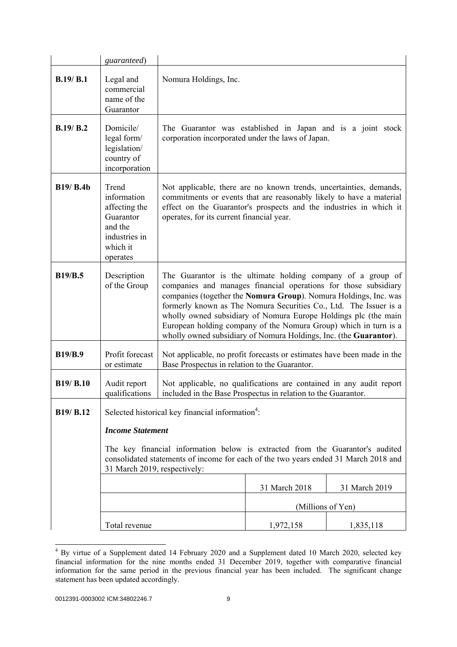|                  | guaranteed)                                                                                            |                                                                                                                                                                                                                                                                                                                                                                                                                                                                                     |                   |               |
|------------------|--------------------------------------------------------------------------------------------------------|-------------------------------------------------------------------------------------------------------------------------------------------------------------------------------------------------------------------------------------------------------------------------------------------------------------------------------------------------------------------------------------------------------------------------------------------------------------------------------------|-------------------|---------------|
| B.19/B.1         | Legal and<br>commercial<br>name of the<br>Guarantor                                                    | Nomura Holdings, Inc.                                                                                                                                                                                                                                                                                                                                                                                                                                                               |                   |               |
| B.19/ B.2        | Domicile/<br>legal form/<br>legislation/<br>country of<br>incorporation                                | The Guarantor was established in Japan and is a joint stock<br>corporation incorporated under the laws of Japan.                                                                                                                                                                                                                                                                                                                                                                    |                   |               |
| <b>B19/ B.4b</b> | Trend<br>information<br>affecting the<br>Guarantor<br>and the<br>industries in<br>which it<br>operates | Not applicable, there are no known trends, uncertainties, demands,<br>commitments or events that are reasonably likely to have a material<br>effect on the Guarantor's prospects and the industries in which it<br>operates, for its current financial year.                                                                                                                                                                                                                        |                   |               |
| <b>B19/B.5</b>   | Description<br>of the Group                                                                            | The Guarantor is the ultimate holding company of a group of<br>companies and manages financial operations for those subsidiary<br>companies (together the Nomura Group). Nomura Holdings, Inc. was<br>formerly known as The Nomura Securities Co., Ltd. The Issuer is a<br>wholly owned subsidiary of Nomura Europe Holdings plc (the main<br>European holding company of the Nomura Group) which in turn is a<br>wholly owned subsidiary of Nomura Holdings, Inc. (the Guarantor). |                   |               |
| <b>B19/B.9</b>   | Profit forecast<br>or estimate                                                                         | Not applicable, no profit forecasts or estimates have been made in the<br>Base Prospectus in relation to the Guarantor.                                                                                                                                                                                                                                                                                                                                                             |                   |               |
| B19/ B.10        | Audit report<br>qualifications                                                                         | Not applicable, no qualifications are contained in any audit report<br>included in the Base Prospectus in relation to the Guarantor.                                                                                                                                                                                                                                                                                                                                                |                   |               |
| B19/ B.12        | <b>Income Statement</b><br>31 March 2019, respectively:                                                | Selected historical key financial information <sup>4</sup> :<br>The key financial information below is extracted from the Guarantor's audited<br>consolidated statements of income for each of the two years ended 31 March 2018 and                                                                                                                                                                                                                                                |                   |               |
|                  |                                                                                                        |                                                                                                                                                                                                                                                                                                                                                                                                                                                                                     | 31 March 2018     | 31 March 2019 |
|                  |                                                                                                        |                                                                                                                                                                                                                                                                                                                                                                                                                                                                                     | (Millions of Yen) |               |
|                  | Total revenue                                                                                          |                                                                                                                                                                                                                                                                                                                                                                                                                                                                                     | 1,972,158         | 1,835,118     |

 4 By virtue of a Supplement dated 14 February 2020 and a Supplement dated 10 March 2020, selected key financial information for the nine months ended 31 December 2019, together with comparative financial information for the same period in the previous financial year has been included. The significant change statement has been updated accordingly.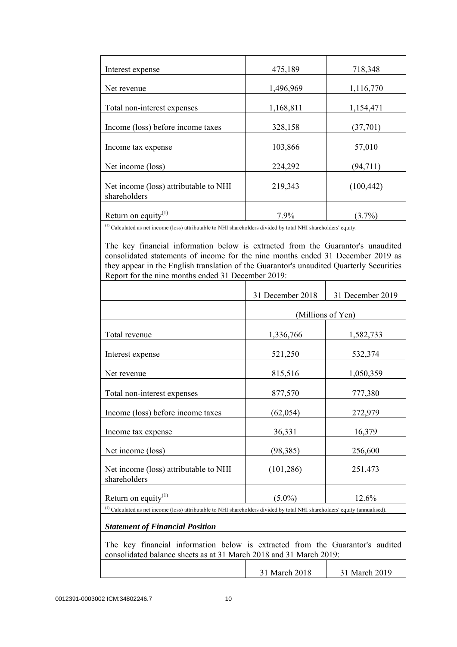| 475,189   | 718,348                       |
|-----------|-------------------------------|
| 1,496,969 | 1,116,770                     |
| 1,168,811 | 1,154,471                     |
|           | (37,701)                      |
|           | 57,010                        |
|           | (94, 711)                     |
| 219,343   | (100, 442)                    |
| 7.9%      | $(3.7\%)$                     |
|           | 328,158<br>103,866<br>224,292 |

<sup>(1)</sup> Calculated as net income (loss) attributable to NHI shareholders divided by total NHI shareholders' equity.

 The key financial information below is extracted from the Guarantor's unaudited consolidated statements of income for the nine months ended 31 December 2019 as they appear in the English translation of the Guarantor's unaudited Quarterly Securities Report for the nine months ended 31 December 2019:

|                                                                                                                                                     | 31 December 2018                                                                                                                  | 31 December 2019 |  |  |
|-----------------------------------------------------------------------------------------------------------------------------------------------------|-----------------------------------------------------------------------------------------------------------------------------------|------------------|--|--|
|                                                                                                                                                     | (Millions of Yen)                                                                                                                 |                  |  |  |
| Total revenue                                                                                                                                       | 1,336,766                                                                                                                         | 1,582,733        |  |  |
| Interest expense                                                                                                                                    | 521,250                                                                                                                           | 532,374          |  |  |
| Net revenue                                                                                                                                         | 815,516                                                                                                                           | 1,050,359        |  |  |
| Total non-interest expenses                                                                                                                         | 877,570                                                                                                                           | 777,380          |  |  |
| Income (loss) before income taxes                                                                                                                   | (62, 054)                                                                                                                         | 272,979          |  |  |
| Income tax expense                                                                                                                                  | 36,331                                                                                                                            | 16,379           |  |  |
| Net income (loss)                                                                                                                                   | (98, 385)                                                                                                                         | 256,600          |  |  |
| Net income (loss) attributable to NHI<br>shareholders                                                                                               | (101, 286)                                                                                                                        | 251,473          |  |  |
| Return on equity $(1)$                                                                                                                              | $(5.0\%)$                                                                                                                         | 12.6%            |  |  |
|                                                                                                                                                     | $^{(1)}$ Calculated as net income (loss) attributable to NHI shareholders divided by total NHI shareholders' equity (annualised). |                  |  |  |
| <b>Statement of Financial Position</b>                                                                                                              |                                                                                                                                   |                  |  |  |
| The key financial information below is extracted from the Guarantor's audited<br>consolidated balance sheets as at 31 March 2018 and 31 March 2019: |                                                                                                                                   |                  |  |  |
|                                                                                                                                                     | 31 March 2018                                                                                                                     | 31 March 2019    |  |  |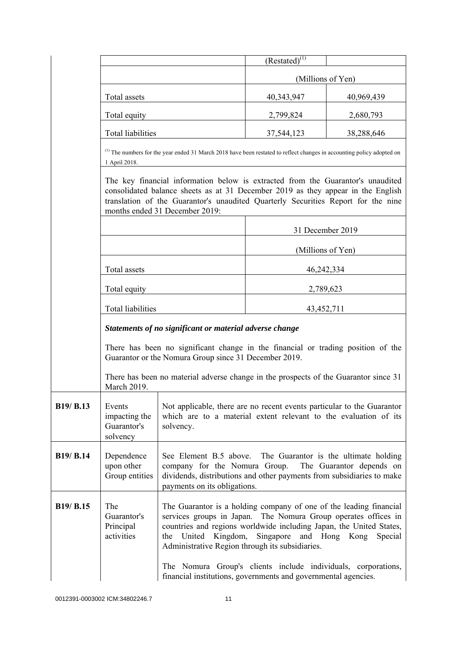|                  |                                                         |                                                                                                                                                                                                                                                                                            | $(Restated)^{(1)}$                                                                                                                                                                                                                                                            |            |
|------------------|---------------------------------------------------------|--------------------------------------------------------------------------------------------------------------------------------------------------------------------------------------------------------------------------------------------------------------------------------------------|-------------------------------------------------------------------------------------------------------------------------------------------------------------------------------------------------------------------------------------------------------------------------------|------------|
|                  |                                                         |                                                                                                                                                                                                                                                                                            | (Millions of Yen)                                                                                                                                                                                                                                                             |            |
|                  | Total assets                                            |                                                                                                                                                                                                                                                                                            | 40,343,947                                                                                                                                                                                                                                                                    | 40,969,439 |
|                  | Total equity                                            |                                                                                                                                                                                                                                                                                            | 2,799,824                                                                                                                                                                                                                                                                     | 2,680,793  |
|                  | <b>Total liabilities</b>                                |                                                                                                                                                                                                                                                                                            | 37,544,123                                                                                                                                                                                                                                                                    | 38,288,646 |
|                  | 1 April 2018.                                           | <sup>(1)</sup> The numbers for the year ended 31 March 2018 have been restated to reflect changes in accounting policy adopted on                                                                                                                                                          |                                                                                                                                                                                                                                                                               |            |
|                  |                                                         | The key financial information below is extracted from the Guarantor's unaudited<br>consolidated balance sheets as at 31 December 2019 as they appear in the English<br>translation of the Guarantor's unaudited Quarterly Securities Report for the nine<br>months ended 31 December 2019: |                                                                                                                                                                                                                                                                               |            |
|                  |                                                         |                                                                                                                                                                                                                                                                                            | 31 December 2019                                                                                                                                                                                                                                                              |            |
|                  |                                                         |                                                                                                                                                                                                                                                                                            | (Millions of Yen)                                                                                                                                                                                                                                                             |            |
|                  | Total assets                                            |                                                                                                                                                                                                                                                                                            | 46,242,334                                                                                                                                                                                                                                                                    |            |
|                  | Total equity                                            |                                                                                                                                                                                                                                                                                            | 2,789,623                                                                                                                                                                                                                                                                     |            |
|                  | <b>Total liabilities</b>                                |                                                                                                                                                                                                                                                                                            | 43, 452, 711                                                                                                                                                                                                                                                                  |            |
|                  | Statements of no significant or material adverse change |                                                                                                                                                                                                                                                                                            |                                                                                                                                                                                                                                                                               |            |
|                  |                                                         |                                                                                                                                                                                                                                                                                            | There has been no significant change in the financial or trading position of the<br>Guarantor or the Nomura Group since 31 December 2019.                                                                                                                                     |            |
|                  | March 2019.                                             |                                                                                                                                                                                                                                                                                            | There has been no material adverse change in the prospects of the Guarantor since 31                                                                                                                                                                                          |            |
| B19/ B.13        | Events<br>impacting the<br>Guarantor's<br>solvency      | solvency.                                                                                                                                                                                                                                                                                  | Not applicable, there are no recent events particular to the Guarantor<br>which are to a material extent relevant to the evaluation of its                                                                                                                                    |            |
| <b>B19/ B.14</b> | Dependence<br>upon other<br>Group entities              | company for the Nomura Group.<br>payments on its obligations.                                                                                                                                                                                                                              | See Element B.5 above. The Guarantor is the ultimate holding<br>The Guarantor depends on<br>dividends, distributions and other payments from subsidiaries to make                                                                                                             |            |
| <b>B19/ B.15</b> | The<br>Guarantor's<br>Principal<br>activities           | services groups in Japan.<br>Kingdom,<br>the<br>United<br>The Nomura Group's clients include individuals, corporations,                                                                                                                                                                    | The Guarantor is a holding company of one of the leading financial<br>The Nomura Group operates offices in<br>countries and regions worldwide including Japan, the United States,<br>Singapore<br>and Hong Kong<br>Special<br>Administrative Region through its subsidiaries. |            |
|                  |                                                         | financial institutions, governments and governmental agencies.                                                                                                                                                                                                                             |                                                                                                                                                                                                                                                                               |            |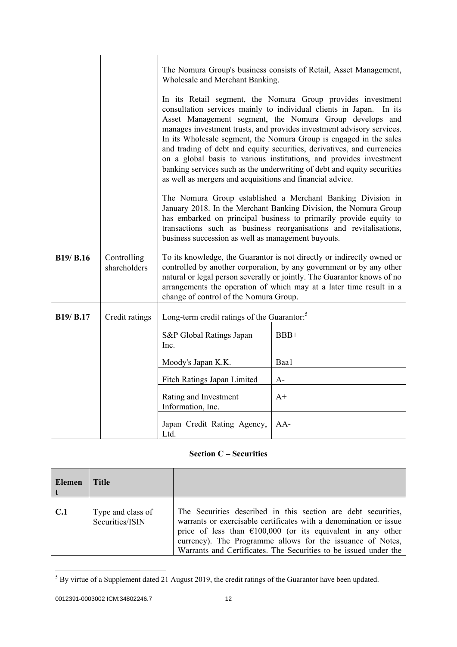|                  |                             | Wholesale and Merchant Banking.                           | The Nomura Group's business consists of Retail, Asset Management,<br>In its Retail segment, the Nomura Group provides investment                                                                                                                                                                                                                                                                                                                                                                         |
|------------------|-----------------------------|-----------------------------------------------------------|----------------------------------------------------------------------------------------------------------------------------------------------------------------------------------------------------------------------------------------------------------------------------------------------------------------------------------------------------------------------------------------------------------------------------------------------------------------------------------------------------------|
|                  |                             | as well as mergers and acquisitions and financial advice. | consultation services mainly to individual clients in Japan. In its<br>Asset Management segment, the Nomura Group develops and<br>manages investment trusts, and provides investment advisory services.<br>In its Wholesale segment, the Nomura Group is engaged in the sales<br>and trading of debt and equity securities, derivatives, and currencies<br>on a global basis to various institutions, and provides investment<br>banking services such as the underwriting of debt and equity securities |
|                  |                             | business succession as well as management buyouts.        | The Nomura Group established a Merchant Banking Division in<br>January 2018. In the Merchant Banking Division, the Nomura Group<br>has embarked on principal business to primarily provide equity to<br>transactions such as business reorganisations and revitalisations,                                                                                                                                                                                                                               |
| <b>B19/ B.16</b> | Controlling<br>shareholders | change of control of the Nomura Group.                    | To its knowledge, the Guarantor is not directly or indirectly owned or<br>controlled by another corporation, by any government or by any other<br>natural or legal person severally or jointly. The Guarantor knows of no<br>arrangements the operation of which may at a later time result in a                                                                                                                                                                                                         |
| B19/ B.17        | Credit ratings              | Long-term credit ratings of the Guarantor: <sup>5</sup>   |                                                                                                                                                                                                                                                                                                                                                                                                                                                                                                          |
|                  |                             | S&P Global Ratings Japan<br>Inc.                          | BBB+                                                                                                                                                                                                                                                                                                                                                                                                                                                                                                     |
|                  |                             | Moody's Japan K.K.                                        | Baa1                                                                                                                                                                                                                                                                                                                                                                                                                                                                                                     |
|                  |                             | Fitch Ratings Japan Limited                               | $A-$                                                                                                                                                                                                                                                                                                                                                                                                                                                                                                     |
|                  |                             | Rating and Investment<br>Information, Inc.                | $A+$                                                                                                                                                                                                                                                                                                                                                                                                                                                                                                     |
|                  |                             | Japan Credit Rating Agency,<br>Ltd.                       | AA-                                                                                                                                                                                                                                                                                                                                                                                                                                                                                                      |

## **Section C – Securities**

| Elemen | Title                                |                                                                                                                                                                                                                                                                                                                                               |
|--------|--------------------------------------|-----------------------------------------------------------------------------------------------------------------------------------------------------------------------------------------------------------------------------------------------------------------------------------------------------------------------------------------------|
| C.1    | Type and class of<br>Securities/ISIN | The Securities described in this section are debt securities,<br>warrants or exercisable certificates with a denomination or issue<br>price of less than $\epsilon$ 100,000 (or its equivalent in any other<br>currency). The Programme allows for the issuance of Notes,<br>Warrants and Certificates. The Securities to be issued under the |

<sup>&</sup>lt;sup>5</sup> By virtue of a Supplement dated 21 August 2019, the credit ratings of the Guarantor have been updated.

<sup>0012391-0003002</sup> ICM:34802246.7 12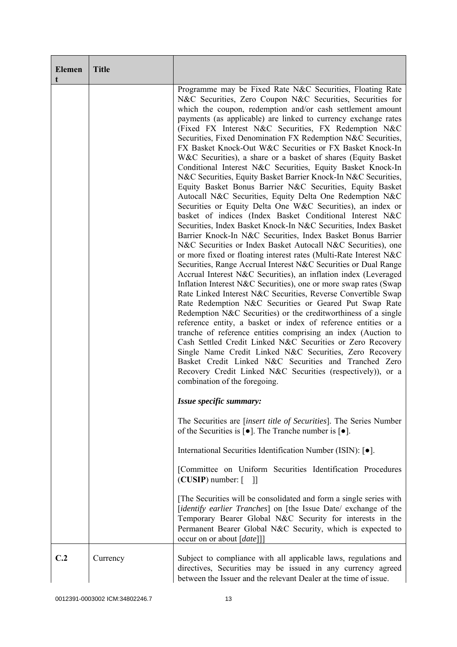| <b>Elemen</b><br>t | <b>Title</b> |                                                                                                                                                                                                                                                                                                                                                                                                                                                                                                                                                                                                                                                                                                                                                                                                                                                                                                                                                                                                                                                                                                                                                                                                                                                                                                                                                                                                                                                                                                                                                                                                                                                                                                                                                                                                                                                                                                                                                                                                     |
|--------------------|--------------|-----------------------------------------------------------------------------------------------------------------------------------------------------------------------------------------------------------------------------------------------------------------------------------------------------------------------------------------------------------------------------------------------------------------------------------------------------------------------------------------------------------------------------------------------------------------------------------------------------------------------------------------------------------------------------------------------------------------------------------------------------------------------------------------------------------------------------------------------------------------------------------------------------------------------------------------------------------------------------------------------------------------------------------------------------------------------------------------------------------------------------------------------------------------------------------------------------------------------------------------------------------------------------------------------------------------------------------------------------------------------------------------------------------------------------------------------------------------------------------------------------------------------------------------------------------------------------------------------------------------------------------------------------------------------------------------------------------------------------------------------------------------------------------------------------------------------------------------------------------------------------------------------------------------------------------------------------------------------------------------------------|
|                    |              | Programme may be Fixed Rate N&C Securities, Floating Rate<br>N&C Securities, Zero Coupon N&C Securities, Securities for<br>which the coupon, redemption and/or cash settlement amount<br>payments (as applicable) are linked to currency exchange rates<br>(Fixed FX Interest N&C Securities, FX Redemption N&C<br>Securities, Fixed Denomination FX Redemption N&C Securities,<br>FX Basket Knock-Out W&C Securities or FX Basket Knock-In<br>W&C Securities), a share or a basket of shares (Equity Basket<br>Conditional Interest N&C Securities, Equity Basket Knock-In<br>N&C Securities, Equity Basket Barrier Knock-In N&C Securities,<br>Equity Basket Bonus Barrier N&C Securities, Equity Basket<br>Autocall N&C Securities, Equity Delta One Redemption N&C<br>Securities or Equity Delta One W&C Securities), an index or<br>basket of indices (Index Basket Conditional Interest N&C<br>Securities, Index Basket Knock-In N&C Securities, Index Basket<br>Barrier Knock-In N&C Securities, Index Basket Bonus Barrier<br>N&C Securities or Index Basket Autocall N&C Securities), one<br>or more fixed or floating interest rates (Multi-Rate Interest N&C<br>Securities, Range Accrual Interest N&C Securities or Dual Range<br>Accrual Interest N&C Securities), an inflation index (Leveraged<br>Inflation Interest N&C Securities), one or more swap rates (Swap<br>Rate Linked Interest N&C Securities, Reverse Convertible Swap<br>Rate Redemption N&C Securities or Geared Put Swap Rate<br>Redemption N&C Securities) or the creditworthiness of a single<br>reference entity, a basket or index of reference entities or a<br>tranche of reference entities comprising an index (Auction to<br>Cash Settled Credit Linked N&C Securities or Zero Recovery<br>Single Name Credit Linked N&C Securities, Zero Recovery<br>Basket Credit Linked N&C Securities and Tranched Zero<br>Recovery Credit Linked N&C Securities (respectively)), or a<br>combination of the foregoing. |
|                    |              | Issue specific summary:                                                                                                                                                                                                                                                                                                                                                                                                                                                                                                                                                                                                                                                                                                                                                                                                                                                                                                                                                                                                                                                                                                                                                                                                                                                                                                                                                                                                                                                                                                                                                                                                                                                                                                                                                                                                                                                                                                                                                                             |
|                    |              | The Securities are <i>[insert title of Securities]</i> . The Series Number<br>of the Securities is $\lceil \bullet \rceil$ . The Tranche number is $\lceil \bullet \rceil$ .                                                                                                                                                                                                                                                                                                                                                                                                                                                                                                                                                                                                                                                                                                                                                                                                                                                                                                                                                                                                                                                                                                                                                                                                                                                                                                                                                                                                                                                                                                                                                                                                                                                                                                                                                                                                                        |
|                    |              | International Securities Identification Number (ISIN): [ $\bullet$ ].                                                                                                                                                                                                                                                                                                                                                                                                                                                                                                                                                                                                                                                                                                                                                                                                                                                                                                                                                                                                                                                                                                                                                                                                                                                                                                                                                                                                                                                                                                                                                                                                                                                                                                                                                                                                                                                                                                                               |
|                    |              | [Committee on Uniform Securities Identification Procedures<br>$(CUSIP)$ number: $\lceil \quad \rceil$                                                                                                                                                                                                                                                                                                                                                                                                                                                                                                                                                                                                                                                                                                                                                                                                                                                                                                                                                                                                                                                                                                                                                                                                                                                                                                                                                                                                                                                                                                                                                                                                                                                                                                                                                                                                                                                                                               |
|                    |              | The Securities will be consolidated and form a single series with<br>[identify earlier Tranches] on [the Issue Date/ exchange of the<br>Temporary Bearer Global N&C Security for interests in the<br>Permanent Bearer Global N&C Security, which is expected to<br>occur on or about [date]]]                                                                                                                                                                                                                                                                                                                                                                                                                                                                                                                                                                                                                                                                                                                                                                                                                                                                                                                                                                                                                                                                                                                                                                                                                                                                                                                                                                                                                                                                                                                                                                                                                                                                                                       |
| C.2                | Currency     | Subject to compliance with all applicable laws, regulations and<br>directives, Securities may be issued in any currency agreed<br>between the Issuer and the relevant Dealer at the time of issue.                                                                                                                                                                                                                                                                                                                                                                                                                                                                                                                                                                                                                                                                                                                                                                                                                                                                                                                                                                                                                                                                                                                                                                                                                                                                                                                                                                                                                                                                                                                                                                                                                                                                                                                                                                                                  |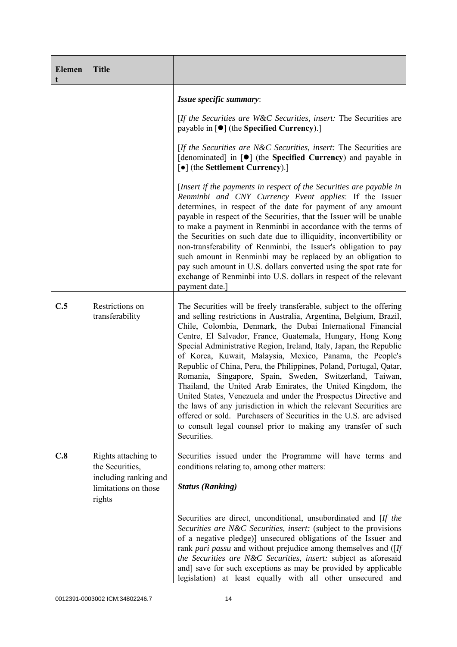| <b>Elemen</b> | <b>Title</b>                                                                                      |                                                                                                                                                                                                                                                                                                                                                                                                                                                                                                                                                                                                                                                                                                                                                                                                                                                                                                       |
|---------------|---------------------------------------------------------------------------------------------------|-------------------------------------------------------------------------------------------------------------------------------------------------------------------------------------------------------------------------------------------------------------------------------------------------------------------------------------------------------------------------------------------------------------------------------------------------------------------------------------------------------------------------------------------------------------------------------------------------------------------------------------------------------------------------------------------------------------------------------------------------------------------------------------------------------------------------------------------------------------------------------------------------------|
|               |                                                                                                   | Issue specific summary:                                                                                                                                                                                                                                                                                                                                                                                                                                                                                                                                                                                                                                                                                                                                                                                                                                                                               |
|               |                                                                                                   | [If the Securities are W&C Securities, insert: The Securities are<br>payable in [ $\bullet$ ] (the Specified Currency).]                                                                                                                                                                                                                                                                                                                                                                                                                                                                                                                                                                                                                                                                                                                                                                              |
|               |                                                                                                   | [If the Securities are N&C Securities, insert: The Securities are<br>[denominated] in [●] (the Specified Currency) and payable in<br>[ $\bullet$ ] (the Settlement Currency).]                                                                                                                                                                                                                                                                                                                                                                                                                                                                                                                                                                                                                                                                                                                        |
|               |                                                                                                   | [Insert if the payments in respect of the Securities are payable in<br>Renminbi and CNY Currency Event applies: If the Issuer<br>determines, in respect of the date for payment of any amount<br>payable in respect of the Securities, that the Issuer will be unable<br>to make a payment in Renminbi in accordance with the terms of<br>the Securities on such date due to illiquidity, inconvertibility or<br>non-transferability of Renminbi, the Issuer's obligation to pay<br>such amount in Renminbi may be replaced by an obligation to<br>pay such amount in U.S. dollars converted using the spot rate for<br>exchange of Renminbi into U.S. dollars in respect of the relevant<br>payment date.                                                                                                                                                                                            |
| C.5           | Restrictions on<br>transferability                                                                | The Securities will be freely transferable, subject to the offering<br>and selling restrictions in Australia, Argentina, Belgium, Brazil,<br>Chile, Colombia, Denmark, the Dubai International Financial<br>Centre, El Salvador, France, Guatemala, Hungary, Hong Kong<br>Special Administrative Region, Ireland, Italy, Japan, the Republic<br>of Korea, Kuwait, Malaysia, Mexico, Panama, the People's<br>Republic of China, Peru, the Philippines, Poland, Portugal, Qatar,<br>Romania, Singapore, Spain, Sweden, Switzerland, Taiwan,<br>Thailand, the United Arab Emirates, the United Kingdom, the<br>United States, Venezuela and under the Prospectus Directive and<br>the laws of any jurisdiction in which the relevant Securities are<br>offered or sold. Purchasers of Securities in the U.S. are advised<br>to consult legal counsel prior to making any transfer of such<br>Securities. |
| C.8           | Rights attaching to<br>the Securities,<br>including ranking and<br>limitations on those<br>rights | Securities issued under the Programme will have terms and<br>conditions relating to, among other matters:<br><b>Status (Ranking)</b>                                                                                                                                                                                                                                                                                                                                                                                                                                                                                                                                                                                                                                                                                                                                                                  |
|               |                                                                                                   | Securities are direct, unconditional, unsubordinated and [If the<br>Securities are N&C Securities, insert: (subject to the provisions<br>of a negative pledge)] unsecured obligations of the Issuer and<br>rank pari passu and without prejudice among themselves and ([If<br>the Securities are N&C Securities, insert: subject as aforesaid<br>and] save for such exceptions as may be provided by applicable<br>legislation) at least equally with all other unsecured and                                                                                                                                                                                                                                                                                                                                                                                                                         |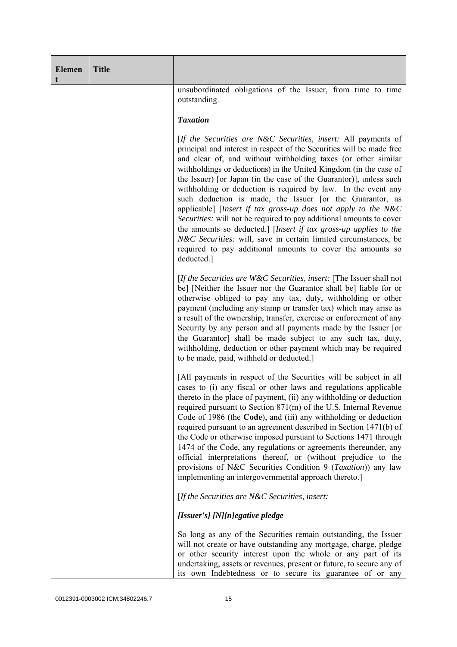| <b>Elemen</b><br>t | <b>Title</b> |                                                                                                                                                                                                                                                                                                                                                                                                                                                                                                                                                                                                                                                                                                                                                                                                                                             |
|--------------------|--------------|---------------------------------------------------------------------------------------------------------------------------------------------------------------------------------------------------------------------------------------------------------------------------------------------------------------------------------------------------------------------------------------------------------------------------------------------------------------------------------------------------------------------------------------------------------------------------------------------------------------------------------------------------------------------------------------------------------------------------------------------------------------------------------------------------------------------------------------------|
|                    |              | unsubordinated obligations of the Issuer, from time to time<br>outstanding.                                                                                                                                                                                                                                                                                                                                                                                                                                                                                                                                                                                                                                                                                                                                                                 |
|                    |              | <b>Taxation</b>                                                                                                                                                                                                                                                                                                                                                                                                                                                                                                                                                                                                                                                                                                                                                                                                                             |
|                    |              | [If the Securities are N&C Securities, insert: All payments of<br>principal and interest in respect of the Securities will be made free<br>and clear of, and without withholding taxes (or other similar<br>withholdings or deductions) in the United Kingdom (in the case of<br>the Issuer) [or Japan (in the case of the Guarantor)], unless such<br>withholding or deduction is required by law. In the event any<br>such deduction is made, the Issuer [or the Guarantor, as<br>applicable] [Insert if tax gross-up does not apply to the N&C<br>Securities: will not be required to pay additional amounts to cover<br>the amounts so deducted.] [Insert if tax gross-up applies to the<br>N&C Securities: will, save in certain limited circumstances, be<br>required to pay additional amounts to cover the amounts so<br>deducted.] |
|                    |              | [If the Securities are $W\&C$ Securities, insert: [The Issuer shall not<br>be] [Neither the Issuer nor the Guarantor shall be] liable for or<br>otherwise obliged to pay any tax, duty, withholding or other<br>payment (including any stamp or transfer tax) which may arise as<br>a result of the ownership, transfer, exercise or enforcement of any<br>Security by any person and all payments made by the Issuer [or<br>the Guarantor] shall be made subject to any such tax, duty,<br>withholding, deduction or other payment which may be required<br>to be made, paid, withheld or deducted.]                                                                                                                                                                                                                                       |
|                    |              | [All payments in respect of the Securities will be subject in all<br>cases to (i) any fiscal or other laws and regulations applicable<br>thereto in the place of payment, (ii) any withholding or deduction<br>required pursuant to Section 871(m) of the U.S. Internal Revenue<br>Code of 1986 (the Code), and (iii) any withholding or deduction<br>required pursuant to an agreement described in Section 1471(b) of<br>the Code or otherwise imposed pursuant to Sections 1471 through<br>1474 of the Code, any regulations or agreements thereunder, any<br>official interpretations thereof, or (without prejudice to the<br>provisions of N&C Securities Condition 9 (Taxation)) any law<br>implementing an intergovernmental approach thereto.]                                                                                     |
|                    |              | [If the Securities are N&C Securities, insert:                                                                                                                                                                                                                                                                                                                                                                                                                                                                                                                                                                                                                                                                                                                                                                                              |
|                    |              | [Issuer's] [N][n]egative pledge                                                                                                                                                                                                                                                                                                                                                                                                                                                                                                                                                                                                                                                                                                                                                                                                             |
|                    |              | So long as any of the Securities remain outstanding, the Issuer<br>will not create or have outstanding any mortgage, charge, pledge<br>or other security interest upon the whole or any part of its<br>undertaking, assets or revenues, present or future, to secure any of<br>its own Indebtedness or to secure its guarantee of or any                                                                                                                                                                                                                                                                                                                                                                                                                                                                                                    |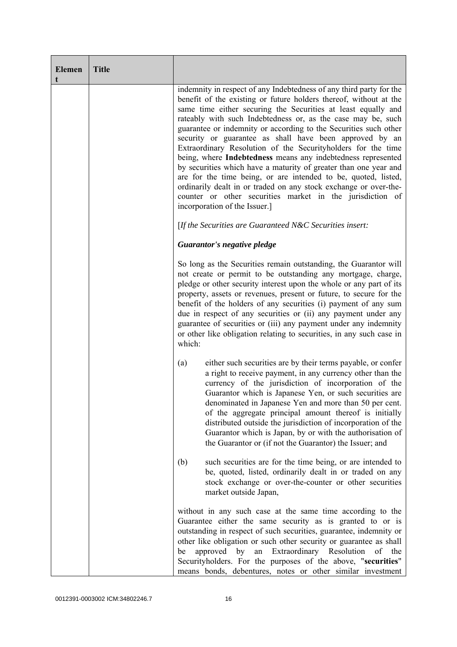| <b>Elemen</b><br>t | <b>Title</b> |                                                                                                                                                                                                                                                                                                                                                                                                                                                                                                                                                                                                                                                                                                                                                                                                                                                  |
|--------------------|--------------|--------------------------------------------------------------------------------------------------------------------------------------------------------------------------------------------------------------------------------------------------------------------------------------------------------------------------------------------------------------------------------------------------------------------------------------------------------------------------------------------------------------------------------------------------------------------------------------------------------------------------------------------------------------------------------------------------------------------------------------------------------------------------------------------------------------------------------------------------|
|                    |              | indemnity in respect of any Indebtedness of any third party for the<br>benefit of the existing or future holders thereof, without at the<br>same time either securing the Securities at least equally and<br>rateably with such Indebtedness or, as the case may be, such<br>guarantee or indemnity or according to the Securities such other<br>security or guarantee as shall have been approved by an<br>Extraordinary Resolution of the Securityholders for the time<br>being, where Indebtedness means any indebtedness represented<br>by securities which have a maturity of greater than one year and<br>are for the time being, or are intended to be, quoted, listed,<br>ordinarily dealt in or traded on any stock exchange or over-the-<br>counter or other securities market in the jurisdiction of<br>incorporation of the Issuer.] |
|                    |              | [If the Securities are Guaranteed N&C Securities insert:                                                                                                                                                                                                                                                                                                                                                                                                                                                                                                                                                                                                                                                                                                                                                                                         |
|                    |              | Guarantor's negative pledge                                                                                                                                                                                                                                                                                                                                                                                                                                                                                                                                                                                                                                                                                                                                                                                                                      |
|                    |              | So long as the Securities remain outstanding, the Guarantor will<br>not create or permit to be outstanding any mortgage, charge,<br>pledge or other security interest upon the whole or any part of its<br>property, assets or revenues, present or future, to secure for the<br>benefit of the holders of any securities (i) payment of any sum<br>due in respect of any securities or (ii) any payment under any<br>guarantee of securities or (iii) any payment under any indemnity<br>or other like obligation relating to securities, in any such case in<br>which:                                                                                                                                                                                                                                                                         |
|                    |              | either such securities are by their terms payable, or confer<br>(a)<br>a right to receive payment, in any currency other than the<br>currency of the jurisdiction of incorporation of the<br>Guarantor which is Japanese Yen, or such securities are<br>denominated in Japanese Yen and more than 50 per cent.<br>of the aggregate principal amount thereof is initially<br>distributed outside the jurisdiction of incorporation of the<br>Guarantor which is Japan, by or with the authorisation of<br>the Guarantor or (if not the Guarantor) the Issuer; and                                                                                                                                                                                                                                                                                 |
|                    |              | such securities are for the time being, or are intended to<br>(b)<br>be, quoted, listed, ordinarily dealt in or traded on any<br>stock exchange or over-the-counter or other securities<br>market outside Japan,                                                                                                                                                                                                                                                                                                                                                                                                                                                                                                                                                                                                                                 |
|                    |              | without in any such case at the same time according to the<br>Guarantee either the same security as is granted to or is<br>outstanding in respect of such securities, guarantee, indemnity or<br>other like obligation or such other security or guarantee as shall<br>Extraordinary Resolution<br>approved<br>by<br>of<br>an<br>the<br>be<br>Securityholders. For the purposes of the above, "securities"<br>means bonds, debentures, notes or other similar investment                                                                                                                                                                                                                                                                                                                                                                         |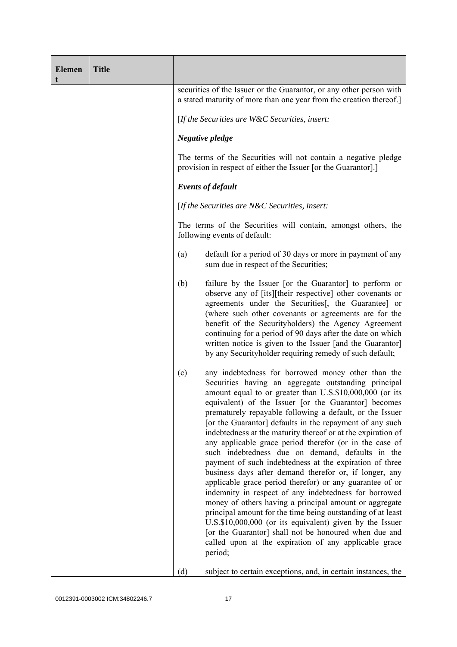| <b>Elemen</b> | <b>Title</b> |     |                                                                                                                                                                                                                                                                                                                                                                                                                                                                                                                                                                                                                                                                                                                                                                                                                                                                                                                                                                                                                                                                                                   |
|---------------|--------------|-----|---------------------------------------------------------------------------------------------------------------------------------------------------------------------------------------------------------------------------------------------------------------------------------------------------------------------------------------------------------------------------------------------------------------------------------------------------------------------------------------------------------------------------------------------------------------------------------------------------------------------------------------------------------------------------------------------------------------------------------------------------------------------------------------------------------------------------------------------------------------------------------------------------------------------------------------------------------------------------------------------------------------------------------------------------------------------------------------------------|
|               |              |     | securities of the Issuer or the Guarantor, or any other person with<br>a stated maturity of more than one year from the creation thereof.]                                                                                                                                                                                                                                                                                                                                                                                                                                                                                                                                                                                                                                                                                                                                                                                                                                                                                                                                                        |
|               |              |     | [If the Securities are $W\&C$ Securities, insert:                                                                                                                                                                                                                                                                                                                                                                                                                                                                                                                                                                                                                                                                                                                                                                                                                                                                                                                                                                                                                                                 |
|               |              |     | Negative pledge                                                                                                                                                                                                                                                                                                                                                                                                                                                                                                                                                                                                                                                                                                                                                                                                                                                                                                                                                                                                                                                                                   |
|               |              |     | The terms of the Securities will not contain a negative pledge<br>provision in respect of either the Issuer [or the Guarantor].]                                                                                                                                                                                                                                                                                                                                                                                                                                                                                                                                                                                                                                                                                                                                                                                                                                                                                                                                                                  |
|               |              |     | <b>Events of default</b>                                                                                                                                                                                                                                                                                                                                                                                                                                                                                                                                                                                                                                                                                                                                                                                                                                                                                                                                                                                                                                                                          |
|               |              |     | [If the Securities are $N\&C$ Securities, insert:                                                                                                                                                                                                                                                                                                                                                                                                                                                                                                                                                                                                                                                                                                                                                                                                                                                                                                                                                                                                                                                 |
|               |              |     | The terms of the Securities will contain, amongst others, the<br>following events of default:                                                                                                                                                                                                                                                                                                                                                                                                                                                                                                                                                                                                                                                                                                                                                                                                                                                                                                                                                                                                     |
|               |              | (a) | default for a period of 30 days or more in payment of any<br>sum due in respect of the Securities;                                                                                                                                                                                                                                                                                                                                                                                                                                                                                                                                                                                                                                                                                                                                                                                                                                                                                                                                                                                                |
|               |              | (b) | failure by the Issuer [or the Guarantor] to perform or<br>observe any of [its][their respective] other covenants or<br>agreements under the Securities [, the Guarantee] or<br>(where such other covenants or agreements are for the<br>benefit of the Securityholders) the Agency Agreement<br>continuing for a period of 90 days after the date on which<br>written notice is given to the Issuer [and the Guarantor]<br>by any Securityholder requiring remedy of such default;                                                                                                                                                                                                                                                                                                                                                                                                                                                                                                                                                                                                                |
|               |              | (c) | any indebtedness for borrowed money other than the<br>Securities having an aggregate outstanding principal<br>amount equal to or greater than U.S.\$10,000,000 (or its<br>equivalent) of the Issuer [or the Guarantor] becomes<br>prematurely repayable following a default, or the Issuer<br>[or the Guarantor] defaults in the repayment of any such<br>indebtedness at the maturity thereof or at the expiration of<br>any applicable grace period therefor (or in the case of<br>such indebtedness due on demand, defaults in the<br>payment of such indebtedness at the expiration of three<br>business days after demand therefor or, if longer, any<br>applicable grace period therefor) or any guarantee of or<br>indemnity in respect of any indebtedness for borrowed<br>money of others having a principal amount or aggregate<br>principal amount for the time being outstanding of at least<br>U.S.\$10,000,000 (or its equivalent) given by the Issuer<br>[or the Guarantor] shall not be honoured when due and<br>called upon at the expiration of any applicable grace<br>period; |
|               |              | (d) | subject to certain exceptions, and, in certain instances, the                                                                                                                                                                                                                                                                                                                                                                                                                                                                                                                                                                                                                                                                                                                                                                                                                                                                                                                                                                                                                                     |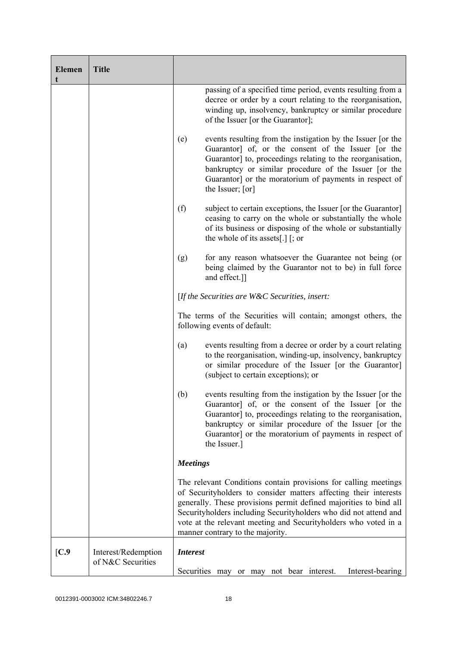| <b>Elemen</b> | <b>Title</b>        |                 |                                                                                                                                                                                                                                                                                                                                                                                     |
|---------------|---------------------|-----------------|-------------------------------------------------------------------------------------------------------------------------------------------------------------------------------------------------------------------------------------------------------------------------------------------------------------------------------------------------------------------------------------|
|               |                     |                 | passing of a specified time period, events resulting from a<br>decree or order by a court relating to the reorganisation,<br>winding up, insolvency, bankruptcy or similar procedure<br>of the Issuer [or the Guarantor];                                                                                                                                                           |
|               |                     | (e)             | events resulting from the instigation by the Issuer [or the<br>Guarantor] of, or the consent of the Issuer [or the<br>Guarantor] to, proceedings relating to the reorganisation,<br>bankruptcy or similar procedure of the Issuer [or the<br>Guarantor] or the moratorium of payments in respect of<br>the Issuer; [or]                                                             |
|               |                     | (f)             | subject to certain exceptions, the Issuer [or the Guarantor]<br>ceasing to carry on the whole or substantially the whole<br>of its business or disposing of the whole or substantially<br>the whole of its assets[.] $[$ ; or                                                                                                                                                       |
|               |                     | (g)             | for any reason whatsoever the Guarantee not being (or<br>being claimed by the Guarantor not to be) in full force<br>and effect.]]                                                                                                                                                                                                                                                   |
|               |                     |                 | [If the Securities are $W\&C$ Securities, insert:                                                                                                                                                                                                                                                                                                                                   |
|               |                     |                 | The terms of the Securities will contain; amongst others, the<br>following events of default:                                                                                                                                                                                                                                                                                       |
|               |                     | (a)             | events resulting from a decree or order by a court relating<br>to the reorganisation, winding-up, insolvency, bankruptcy<br>or similar procedure of the Issuer [or the Guarantor]<br>(subject to certain exceptions); or                                                                                                                                                            |
|               |                     | (b)             | events resulting from the instigation by the Issuer [or the<br>Guarantor of, or the consent of the Issuer for the<br>Guarantor] to, proceedings relating to the reorganisation,<br>bankruptcy or similar procedure of the Issuer [or the<br>Guarantor] or the moratorium of payments in respect of<br>the Issuer.]                                                                  |
|               |                     | <b>Meetings</b> |                                                                                                                                                                                                                                                                                                                                                                                     |
|               |                     |                 | The relevant Conditions contain provisions for calling meetings<br>of Securityholders to consider matters affecting their interests<br>generally. These provisions permit defined majorities to bind all<br>Securityholders including Securityholders who did not attend and<br>vote at the relevant meeting and Securityholders who voted in a<br>manner contrary to the majority. |
| [C.9]         | Interest/Redemption | <b>Interest</b> |                                                                                                                                                                                                                                                                                                                                                                                     |
|               | of N&C Securities   |                 | Interest-bearing<br>Securities may or may not bear interest.                                                                                                                                                                                                                                                                                                                        |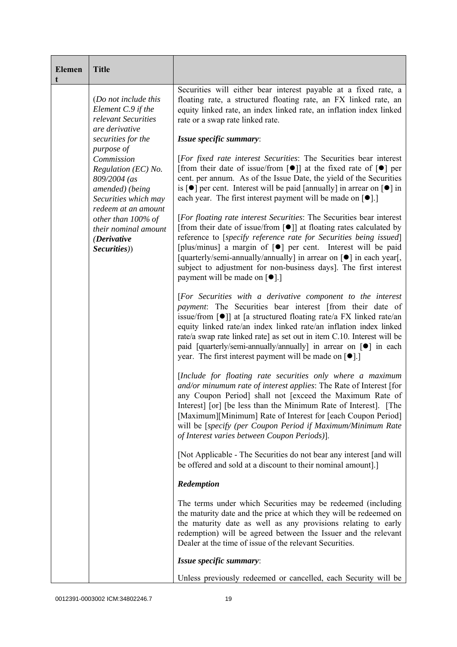| <b>Elemen</b><br>t | <b>Title</b>                                                                                                                      |                                                                                                                                                                                                                                                                                                                                                                                                                                                                                                                     |
|--------------------|-----------------------------------------------------------------------------------------------------------------------------------|---------------------------------------------------------------------------------------------------------------------------------------------------------------------------------------------------------------------------------------------------------------------------------------------------------------------------------------------------------------------------------------------------------------------------------------------------------------------------------------------------------------------|
|                    | (Do not include this<br>Element C.9 if the<br>relevant Securities<br>are derivative                                               | Securities will either bear interest payable at a fixed rate, a<br>floating rate, a structured floating rate, an FX linked rate, an<br>equity linked rate, an index linked rate, an inflation index linked<br>rate or a swap rate linked rate.                                                                                                                                                                                                                                                                      |
|                    | securities for the                                                                                                                | Issue specific summary:                                                                                                                                                                                                                                                                                                                                                                                                                                                                                             |
|                    | purpose of<br>Commission<br>Regulation (EC) No.<br>809/2004 (as<br>amended) (being<br>Securities which may<br>redeem at an amount | [For fixed rate interest Securities: The Securities bear interest<br>[from their date of issue/from $\lceil \bullet \rceil$ ] at the fixed rate of $\lceil \bullet \rceil$ per<br>cent. per annum. As of the Issue Date, the yield of the Securities<br>is $\lceil \bullet \rceil$ per cent. Interest will be paid [annually] in arrear on $\lceil \bullet \rceil$ in<br>each year. The first interest payment will be made on $[•]$ .]                                                                             |
|                    | other than 100% of<br>their nominal amount<br>(Derivative<br>Securities))                                                         | [For floating rate interest Securities: The Securities bear interest<br>[from their date of issue/from $\lceil \bullet \rceil$ ] at floating rates calculated by<br>reference to [specify reference rate for Securities being issued]<br>[plus/minus] a margin of [•] per cent. Interest will be paid<br>[quarterly/semi-annually/annually] in arrear on [ $\bullet$ ] in each year[,<br>subject to adjustment for non-business days]. The first interest<br>payment will be made on $\lceil \bullet \rceil$ .]     |
|                    |                                                                                                                                   | [For Securities with a derivative component to the interest<br><i>payment</i> : The Securities bear interest [from their date of<br>issue/from $\lceil \bullet \rceil$ at [a structured floating rate/a FX linked rate/an<br>equity linked rate/an index linked rate/an inflation index linked<br>rate/a swap rate linked rate] as set out in item C.10. Interest will be<br>paid [quarterly/semi-annually/annually] in arrear on [ $\bullet$ ] in each<br>year. The first interest payment will be made on $[•]$ . |
|                    |                                                                                                                                   | [Include for floating rate securities only where a maximum<br>and/or minumum rate of interest applies: The Rate of Interest [for<br>any Coupon Period] shall not [exceed the Maximum Rate of<br>Interest] [or] [be less than the Minimum Rate of Interest]. [The<br>[Maximum][Minimum] Rate of Interest for [each Coupon Period]<br>will be [specify (per Coupon Period if Maximum/Minimum Rate<br>of Interest varies between Coupon Periods)].                                                                     |
|                    |                                                                                                                                   | [Not Applicable - The Securities do not bear any interest [and will]<br>be offered and sold at a discount to their nominal amount].]                                                                                                                                                                                                                                                                                                                                                                                |
|                    |                                                                                                                                   | Redemption                                                                                                                                                                                                                                                                                                                                                                                                                                                                                                          |
|                    |                                                                                                                                   | The terms under which Securities may be redeemed (including<br>the maturity date and the price at which they will be redeemed on<br>the maturity date as well as any provisions relating to early<br>redemption) will be agreed between the Issuer and the relevant<br>Dealer at the time of issue of the relevant Securities.                                                                                                                                                                                      |
|                    |                                                                                                                                   | Issue specific summary:                                                                                                                                                                                                                                                                                                                                                                                                                                                                                             |
|                    |                                                                                                                                   | Unless previously redeemed or cancelled, each Security will be                                                                                                                                                                                                                                                                                                                                                                                                                                                      |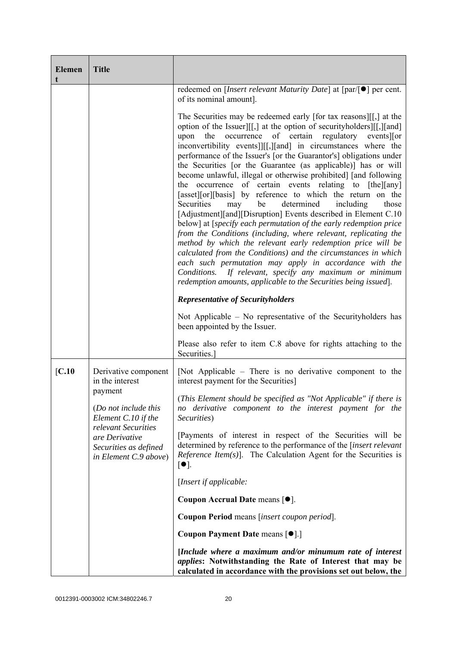| <b>Elemen</b> | <b>Title</b>                                                                                                                                      |                                                                                                                                                                                                                                                                                                                                                                                                                                                                                                                                                                                                                                                                                                                                                                                                                                                                                                                                                                                                                                                                                                                                                                                                             |
|---------------|---------------------------------------------------------------------------------------------------------------------------------------------------|-------------------------------------------------------------------------------------------------------------------------------------------------------------------------------------------------------------------------------------------------------------------------------------------------------------------------------------------------------------------------------------------------------------------------------------------------------------------------------------------------------------------------------------------------------------------------------------------------------------------------------------------------------------------------------------------------------------------------------------------------------------------------------------------------------------------------------------------------------------------------------------------------------------------------------------------------------------------------------------------------------------------------------------------------------------------------------------------------------------------------------------------------------------------------------------------------------------|
|               |                                                                                                                                                   | redeemed on [Insert relevant Maturity Date] at [par/[●] per cent.<br>of its nominal amount].                                                                                                                                                                                                                                                                                                                                                                                                                                                                                                                                                                                                                                                                                                                                                                                                                                                                                                                                                                                                                                                                                                                |
|               |                                                                                                                                                   | The Securities may be redeemed early [for tax reasons][[,] at the<br>option of the Issuer][[,] at the option of security holders][[,][and]<br>the occurrence of certain regulatory events or<br>upon<br>inconvertibility events]][[,][and] in circumstances where the<br>performance of the Issuer's [or the Guarantor's] obligations under<br>the Securities [or the Guarantee (as applicable)] has or will<br>become unlawful, illegal or otherwise prohibited] [and following<br>the occurrence of certain events relating to [the][any]<br>[asset][or][basis] by reference to which the return on the<br>be<br>determined<br>Securities<br>including<br>may<br>those<br>[Adjustment][and][Disruption] Events described in Element C.10<br>below] at [specify each permutation of the early redemption price<br>from the Conditions (including, where relevant, replicating the<br>method by which the relevant early redemption price will be<br>calculated from the Conditions) and the circumstances in which<br>each such permutation may apply in accordance with the<br>Conditions. If relevant, specify any maximum or minimum<br>redemption amounts, applicable to the Securities being issued]. |
|               |                                                                                                                                                   | <b>Representative of Securityholders</b>                                                                                                                                                                                                                                                                                                                                                                                                                                                                                                                                                                                                                                                                                                                                                                                                                                                                                                                                                                                                                                                                                                                                                                    |
|               |                                                                                                                                                   | Not Applicable $-$ No representative of the Security holders has<br>been appointed by the Issuer.                                                                                                                                                                                                                                                                                                                                                                                                                                                                                                                                                                                                                                                                                                                                                                                                                                                                                                                                                                                                                                                                                                           |
|               |                                                                                                                                                   | Please also refer to item C.8 above for rights attaching to the<br>Securities.]                                                                                                                                                                                                                                                                                                                                                                                                                                                                                                                                                                                                                                                                                                                                                                                                                                                                                                                                                                                                                                                                                                                             |
| [C.10]        | Derivative component<br>in the interest                                                                                                           | [Not Applicable – There is no derivative component to the<br>interest payment for the Securities]                                                                                                                                                                                                                                                                                                                                                                                                                                                                                                                                                                                                                                                                                                                                                                                                                                                                                                                                                                                                                                                                                                           |
|               | payment<br>(Do not include this<br>Element C.10 if the<br>relevant Securities<br>are Derivative<br>Securities as defined<br>in Element C.9 above) | (This Element should be specified as "Not Applicable" if there is<br>no derivative component to the interest payment for the<br>Securities)                                                                                                                                                                                                                                                                                                                                                                                                                                                                                                                                                                                                                                                                                                                                                                                                                                                                                                                                                                                                                                                                 |
|               |                                                                                                                                                   | [Payments of interest in respect of the Securities will be<br>determined by reference to the performance of the [insert relevant<br><i>Reference Item(s)</i> ]. The Calculation Agent for the Securities is<br>$[\bullet]$ .                                                                                                                                                                                                                                                                                                                                                                                                                                                                                                                                                                                                                                                                                                                                                                                                                                                                                                                                                                                |
|               |                                                                                                                                                   | [Insert if applicable:                                                                                                                                                                                                                                                                                                                                                                                                                                                                                                                                                                                                                                                                                                                                                                                                                                                                                                                                                                                                                                                                                                                                                                                      |
|               |                                                                                                                                                   | Coupon Accrual Date means [ $\bullet$ ].                                                                                                                                                                                                                                                                                                                                                                                                                                                                                                                                                                                                                                                                                                                                                                                                                                                                                                                                                                                                                                                                                                                                                                    |
|               |                                                                                                                                                   | Coupon Period means [insert coupon period].                                                                                                                                                                                                                                                                                                                                                                                                                                                                                                                                                                                                                                                                                                                                                                                                                                                                                                                                                                                                                                                                                                                                                                 |
|               |                                                                                                                                                   | Coupon Payment Date means [ $\bullet$ ].]                                                                                                                                                                                                                                                                                                                                                                                                                                                                                                                                                                                                                                                                                                                                                                                                                                                                                                                                                                                                                                                                                                                                                                   |
|               |                                                                                                                                                   | [Include where a maximum and/or minumum rate of interest<br>applies: Notwithstanding the Rate of Interest that may be<br>calculated in accordance with the provisions set out below, the                                                                                                                                                                                                                                                                                                                                                                                                                                                                                                                                                                                                                                                                                                                                                                                                                                                                                                                                                                                                                    |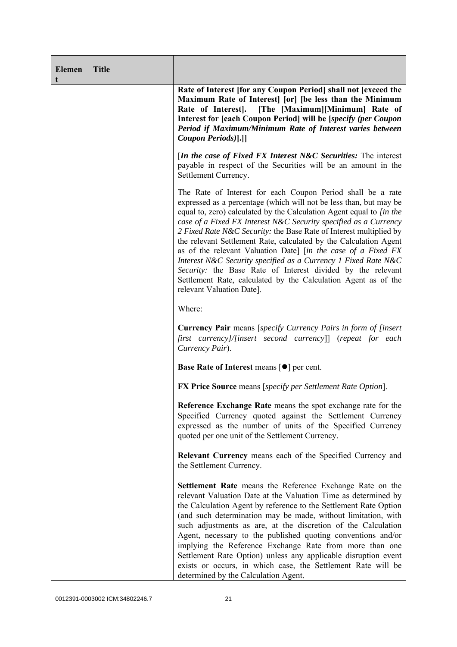| <b>Elemen</b> | <b>Title</b> |                                                                                                                                                                                                                                                                                                                                                                                                                                                                                                                                                                                                                                                                                                                           |
|---------------|--------------|---------------------------------------------------------------------------------------------------------------------------------------------------------------------------------------------------------------------------------------------------------------------------------------------------------------------------------------------------------------------------------------------------------------------------------------------------------------------------------------------------------------------------------------------------------------------------------------------------------------------------------------------------------------------------------------------------------------------------|
|               |              | Rate of Interest [for any Coupon Period] shall not [exceed the<br>Maximum Rate of Interest [or] [be less than the Minimum<br>Rate of Interest.<br>[The [Maximum][Minimum] Rate of<br>Interest for [each Coupon Period] will be [specify (per Coupon<br>Period if Maximum/Minimum Rate of Interest varies between<br>Coupon Periods)[.]]                                                                                                                                                                                                                                                                                                                                                                                   |
|               |              | [In the case of Fixed FX Interest N&C Securities: The interest<br>payable in respect of the Securities will be an amount in the<br>Settlement Currency.                                                                                                                                                                                                                                                                                                                                                                                                                                                                                                                                                                   |
|               |              | The Rate of Interest for each Coupon Period shall be a rate<br>expressed as a percentage (which will not be less than, but may be<br>equal to, zero) calculated by the Calculation Agent equal to [in the<br>case of a Fixed FX Interest N&C Security specified as a Currency<br>2 Fixed Rate N&C Security: the Base Rate of Interest multiplied by<br>the relevant Settlement Rate, calculated by the Calculation Agent<br>as of the relevant Valuation Date] [in the case of a Fixed FX<br>Interest N&C Security specified as a Currency 1 Fixed Rate N&C<br>Security: the Base Rate of Interest divided by the relevant<br>Settlement Rate, calculated by the Calculation Agent as of the<br>relevant Valuation Date]. |
|               |              | Where:                                                                                                                                                                                                                                                                                                                                                                                                                                                                                                                                                                                                                                                                                                                    |
|               |              | <b>Currency Pair</b> means [specify Currency Pairs in form of [insert]<br>first currency]/[insert second currency]] (repeat for each<br>Currency Pair).                                                                                                                                                                                                                                                                                                                                                                                                                                                                                                                                                                   |
|               |              | <b>Base Rate of Interest means <math>\lceil \bullet \rceil</math> per cent.</b>                                                                                                                                                                                                                                                                                                                                                                                                                                                                                                                                                                                                                                           |
|               |              | <b>FX Price Source</b> means [specify per Settlement Rate Option].                                                                                                                                                                                                                                                                                                                                                                                                                                                                                                                                                                                                                                                        |
|               |              | Reference Exchange Rate means the spot exchange rate for the<br>Specified Currency quoted against the Settlement Currency<br>expressed as the number of units of the Specified Currency<br>quoted per one unit of the Settlement Currency.                                                                                                                                                                                                                                                                                                                                                                                                                                                                                |
|               |              | Relevant Currency means each of the Specified Currency and<br>the Settlement Currency.                                                                                                                                                                                                                                                                                                                                                                                                                                                                                                                                                                                                                                    |
|               |              | Settlement Rate means the Reference Exchange Rate on the<br>relevant Valuation Date at the Valuation Time as determined by<br>the Calculation Agent by reference to the Settlement Rate Option<br>(and such determination may be made, without limitation, with<br>such adjustments as are, at the discretion of the Calculation<br>Agent, necessary to the published quoting conventions and/or<br>implying the Reference Exchange Rate from more than one<br>Settlement Rate Option) unless any applicable disruption event<br>exists or occurs, in which case, the Settlement Rate will be<br>determined by the Calculation Agent.                                                                                     |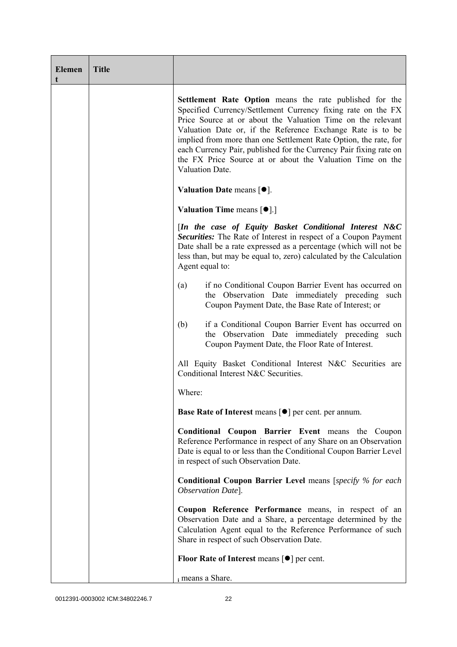| <b>Elemen</b><br>t | <b>Title</b> |                                                                                                                                                                                                                                                                                                                                                                                                                                                                                |
|--------------------|--------------|--------------------------------------------------------------------------------------------------------------------------------------------------------------------------------------------------------------------------------------------------------------------------------------------------------------------------------------------------------------------------------------------------------------------------------------------------------------------------------|
|                    |              | Settlement Rate Option means the rate published for the<br>Specified Currency/Settlement Currency fixing rate on the FX<br>Price Source at or about the Valuation Time on the relevant<br>Valuation Date or, if the Reference Exchange Rate is to be<br>implied from more than one Settlement Rate Option, the rate, for<br>each Currency Pair, published for the Currency Pair fixing rate on<br>the FX Price Source at or about the Valuation Time on the<br>Valuation Date. |
|                    |              | Valuation Date means $[\bullet].$                                                                                                                                                                                                                                                                                                                                                                                                                                              |
|                    |              | <b>Valuation Time means <math>\lceil \bullet \rceil</math>.</b>                                                                                                                                                                                                                                                                                                                                                                                                                |
|                    |              | [In the case of Equity Basket Conditional Interest N&C<br>Securities: The Rate of Interest in respect of a Coupon Payment<br>Date shall be a rate expressed as a percentage (which will not be<br>less than, but may be equal to, zero) calculated by the Calculation<br>Agent equal to:                                                                                                                                                                                       |
|                    |              | if no Conditional Coupon Barrier Event has occurred on<br>(a)<br>the Observation Date immediately preceding such<br>Coupon Payment Date, the Base Rate of Interest; or                                                                                                                                                                                                                                                                                                         |
|                    |              | if a Conditional Coupon Barrier Event has occurred on<br>(b)<br>the Observation Date immediately preceding such<br>Coupon Payment Date, the Floor Rate of Interest.                                                                                                                                                                                                                                                                                                            |
|                    |              | All Equity Basket Conditional Interest N&C Securities are<br>Conditional Interest N&C Securities.                                                                                                                                                                                                                                                                                                                                                                              |
|                    |              | Where:                                                                                                                                                                                                                                                                                                                                                                                                                                                                         |
|                    |              | <b>Base Rate of Interest means [<math>\bullet</math>] per cent. per annum.</b>                                                                                                                                                                                                                                                                                                                                                                                                 |
|                    |              | Conditional Coupon Barrier Event means the Coupon<br>Reference Performance in respect of any Share on an Observation<br>Date is equal to or less than the Conditional Coupon Barrier Level<br>in respect of such Observation Date.                                                                                                                                                                                                                                             |
|                    |              | <b>Conditional Coupon Barrier Level means [specify % for each</b><br>Observation Date].                                                                                                                                                                                                                                                                                                                                                                                        |
|                    |              | Coupon Reference Performance means, in respect of an<br>Observation Date and a Share, a percentage determined by the<br>Calculation Agent equal to the Reference Performance of such<br>Share in respect of such Observation Date.                                                                                                                                                                                                                                             |
|                    |              | Floor Rate of Interest means $[\bullet]$ per cent.                                                                                                                                                                                                                                                                                                                                                                                                                             |
|                    |              | i means a Share.                                                                                                                                                                                                                                                                                                                                                                                                                                                               |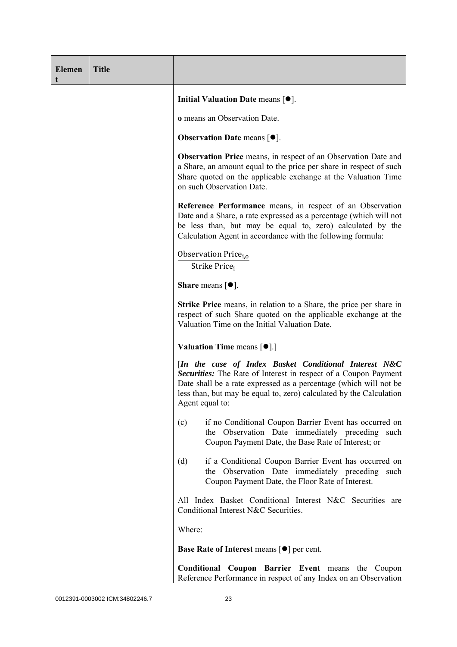| <b>Elemen</b><br>t | <b>Title</b> |                                                                                                                                                                                                                                                                                         |  |  |  |  |
|--------------------|--------------|-----------------------------------------------------------------------------------------------------------------------------------------------------------------------------------------------------------------------------------------------------------------------------------------|--|--|--|--|
|                    |              | Initial Valuation Date means $[•]$ .                                                                                                                                                                                                                                                    |  |  |  |  |
|                    |              | o means an Observation Date.                                                                                                                                                                                                                                                            |  |  |  |  |
|                    |              | <b>Observation Date means <math>[•]</math>.</b>                                                                                                                                                                                                                                         |  |  |  |  |
|                    |              | <b>Observation Price</b> means, in respect of an Observation Date and<br>a Share, an amount equal to the price per share in respect of such<br>Share quoted on the applicable exchange at the Valuation Time<br>on such Observation Date.                                               |  |  |  |  |
|                    |              | Reference Performance means, in respect of an Observation<br>Date and a Share, a rate expressed as a percentage (which will not<br>be less than, but may be equal to, zero) calculated by the<br>Calculation Agent in accordance with the following formula:                            |  |  |  |  |
|                    |              | Observation Price <sub>i.o</sub><br>Strike Price;                                                                                                                                                                                                                                       |  |  |  |  |
|                    |              | <b>Share</b> means $\lceil \bullet \rceil$ .                                                                                                                                                                                                                                            |  |  |  |  |
|                    |              | <b>Strike Price</b> means, in relation to a Share, the price per share in<br>respect of such Share quoted on the applicable exchange at the<br>Valuation Time on the Initial Valuation Date.                                                                                            |  |  |  |  |
|                    |              | <b>Valuation Time means <math>\lceil \bullet \rceil</math>.</b>                                                                                                                                                                                                                         |  |  |  |  |
|                    |              | [In the case of Index Basket Conditional Interest N&C<br>Securities: The Rate of Interest in respect of a Coupon Payment<br>Date shall be a rate expressed as a percentage (which will not be<br>less than, but may be equal to, zero) calculated by the Calculation<br>Agent equal to: |  |  |  |  |
|                    |              | if no Conditional Coupon Barrier Event has occurred on<br>(c)<br>the Observation Date immediately preceding such<br>Coupon Payment Date, the Base Rate of Interest; or                                                                                                                  |  |  |  |  |
|                    |              | if a Conditional Coupon Barrier Event has occurred on<br>(d)<br>the Observation Date immediately preceding such<br>Coupon Payment Date, the Floor Rate of Interest.                                                                                                                     |  |  |  |  |
|                    |              | All Index Basket Conditional Interest N&C Securities are<br>Conditional Interest N&C Securities.                                                                                                                                                                                        |  |  |  |  |
|                    |              | Where:                                                                                                                                                                                                                                                                                  |  |  |  |  |
|                    |              | <b>Base Rate of Interest means <math>\lceil \bullet \rceil</math> per cent.</b>                                                                                                                                                                                                         |  |  |  |  |
|                    |              | <b>Conditional Coupon Barrier Event means the Coupon</b><br>Reference Performance in respect of any Index on an Observation                                                                                                                                                             |  |  |  |  |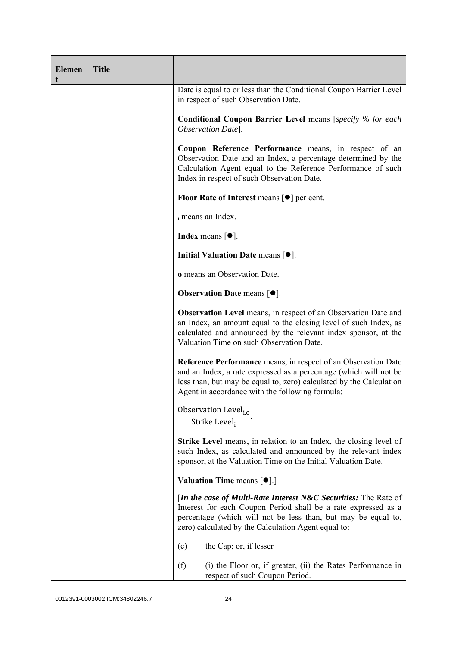| <b>Elemen</b> | <b>Title</b> |                                                                                                                                                                                                                                                                      |  |  |  |
|---------------|--------------|----------------------------------------------------------------------------------------------------------------------------------------------------------------------------------------------------------------------------------------------------------------------|--|--|--|
|               |              | Date is equal to or less than the Conditional Coupon Barrier Level<br>in respect of such Observation Date.                                                                                                                                                           |  |  |  |
|               |              | <b>Conditional Coupon Barrier Level means [specify % for each</b><br>Observation Date].                                                                                                                                                                              |  |  |  |
|               |              | Coupon Reference Performance means, in respect of an<br>Observation Date and an Index, a percentage determined by the<br>Calculation Agent equal to the Reference Performance of such<br>Index in respect of such Observation Date.                                  |  |  |  |
|               |              | Floor Rate of Interest means $\lceil \bullet \rceil$ per cent.                                                                                                                                                                                                       |  |  |  |
|               |              | i means an Index.                                                                                                                                                                                                                                                    |  |  |  |
|               |              | <b>Index</b> means $\lceil \bullet \rceil$ .                                                                                                                                                                                                                         |  |  |  |
|               |              | Initial Valuation Date means [ $\bullet$ ].                                                                                                                                                                                                                          |  |  |  |
|               |              | o means an Observation Date.                                                                                                                                                                                                                                         |  |  |  |
|               |              | <b>Observation Date means <math>[•]</math>.</b>                                                                                                                                                                                                                      |  |  |  |
|               |              | <b>Observation Level</b> means, in respect of an Observation Date and<br>an Index, an amount equal to the closing level of such Index, as<br>calculated and announced by the relevant index sponsor, at the<br>Valuation Time on such Observation Date.              |  |  |  |
|               |              | <b>Reference Performance</b> means, in respect of an Observation Date<br>and an Index, a rate expressed as a percentage (which will not be<br>less than, but may be equal to, zero) calculated by the Calculation<br>Agent in accordance with the following formula: |  |  |  |
|               |              | Observation Level <sub>i,o</sub><br>Strike Level;                                                                                                                                                                                                                    |  |  |  |
|               |              | Strike Level means, in relation to an Index, the closing level of<br>such Index, as calculated and announced by the relevant index<br>sponsor, at the Valuation Time on the Initial Valuation Date.                                                                  |  |  |  |
|               |              | <b>Valuation Time means <math>\lceil \bullet \rceil</math>.</b>                                                                                                                                                                                                      |  |  |  |
|               |              | [In the case of Multi-Rate Interest N&C Securities: The Rate of<br>Interest for each Coupon Period shall be a rate expressed as a<br>percentage (which will not be less than, but may be equal to,<br>zero) calculated by the Calculation Agent equal to:            |  |  |  |
|               |              | the Cap; or, if lesser<br>(e)                                                                                                                                                                                                                                        |  |  |  |
|               |              | (f)<br>(i) the Floor or, if greater, (ii) the Rates Performance in<br>respect of such Coupon Period.                                                                                                                                                                 |  |  |  |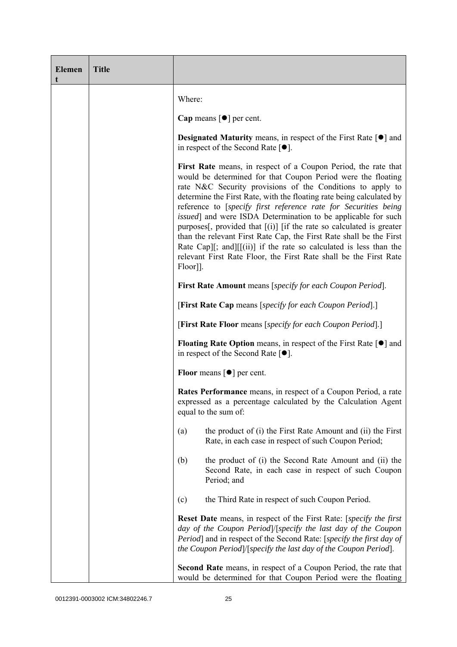| <b>Elemen</b><br>t | <b>Title</b> |                                                                                                                                                                                                                                                                                                                                                                                                                                                                                                                                                                                                                                                                                                                          |  |  |  |  |
|--------------------|--------------|--------------------------------------------------------------------------------------------------------------------------------------------------------------------------------------------------------------------------------------------------------------------------------------------------------------------------------------------------------------------------------------------------------------------------------------------------------------------------------------------------------------------------------------------------------------------------------------------------------------------------------------------------------------------------------------------------------------------------|--|--|--|--|
|                    |              | Where:                                                                                                                                                                                                                                                                                                                                                                                                                                                                                                                                                                                                                                                                                                                   |  |  |  |  |
|                    |              | Cap means $\lceil \bullet \rceil$ per cent.                                                                                                                                                                                                                                                                                                                                                                                                                                                                                                                                                                                                                                                                              |  |  |  |  |
|                    |              | <b>Designated Maturity means, in respect of the First Rate <math>\lceil \bullet \rceil</math> and</b><br>in respect of the Second Rate $[•]$ .                                                                                                                                                                                                                                                                                                                                                                                                                                                                                                                                                                           |  |  |  |  |
|                    |              | First Rate means, in respect of a Coupon Period, the rate that<br>would be determined for that Coupon Period were the floating<br>rate N&C Security provisions of the Conditions to apply to<br>determine the First Rate, with the floating rate being calculated by<br>reference to [specify first reference rate for Securities being<br><i>issued</i> ] and were ISDA Determination to be applicable for such<br>purposes[, provided that $[(i)]$ [if the rate so calculated is greater<br>than the relevant First Rate Cap, the First Rate shall be the First<br>Rate Cap][; and][[(ii)] if the rate so calculated is less than the<br>relevant First Rate Floor, the First Rate shall be the First Rate<br>Floor]]. |  |  |  |  |
|                    |              | <b>First Rate Amount</b> means [specify for each Coupon Period].                                                                                                                                                                                                                                                                                                                                                                                                                                                                                                                                                                                                                                                         |  |  |  |  |
|                    |              | [First Rate Cap means [specify for each Coupon Period].]                                                                                                                                                                                                                                                                                                                                                                                                                                                                                                                                                                                                                                                                 |  |  |  |  |
|                    |              | [First Rate Floor means [specify for each Coupon Period].]                                                                                                                                                                                                                                                                                                                                                                                                                                                                                                                                                                                                                                                               |  |  |  |  |
|                    |              | <b>Floating Rate Option</b> means, in respect of the First Rate $\lceil \bullet \rceil$ and<br>in respect of the Second Rate $[•]$ .                                                                                                                                                                                                                                                                                                                                                                                                                                                                                                                                                                                     |  |  |  |  |
|                    |              | <b>Floor</b> means $\lceil \bullet \rceil$ per cent.                                                                                                                                                                                                                                                                                                                                                                                                                                                                                                                                                                                                                                                                     |  |  |  |  |
|                    |              | Rates Performance means, in respect of a Coupon Period, a rate<br>expressed as a percentage calculated by the Calculation Agent<br>equal to the sum of:                                                                                                                                                                                                                                                                                                                                                                                                                                                                                                                                                                  |  |  |  |  |
|                    |              | the product of (i) the First Rate Amount and (ii) the First<br>(a)<br>Rate, in each case in respect of such Coupon Period;                                                                                                                                                                                                                                                                                                                                                                                                                                                                                                                                                                                               |  |  |  |  |
|                    |              | the product of (i) the Second Rate Amount and (ii) the<br>(b)<br>Second Rate, in each case in respect of such Coupon<br>Period; and                                                                                                                                                                                                                                                                                                                                                                                                                                                                                                                                                                                      |  |  |  |  |
|                    |              | the Third Rate in respect of such Coupon Period.<br>(c)                                                                                                                                                                                                                                                                                                                                                                                                                                                                                                                                                                                                                                                                  |  |  |  |  |
|                    |              | <b>Reset Date</b> means, in respect of the First Rate: [specify the first<br>day of the Coupon Period /[specify the last day of the Coupon<br>Period] and in respect of the Second Rate: [specify the first day of<br>the Coupon Period]/[specify the last day of the Coupon Period].                                                                                                                                                                                                                                                                                                                                                                                                                                    |  |  |  |  |
|                    |              | Second Rate means, in respect of a Coupon Period, the rate that<br>would be determined for that Coupon Period were the floating                                                                                                                                                                                                                                                                                                                                                                                                                                                                                                                                                                                          |  |  |  |  |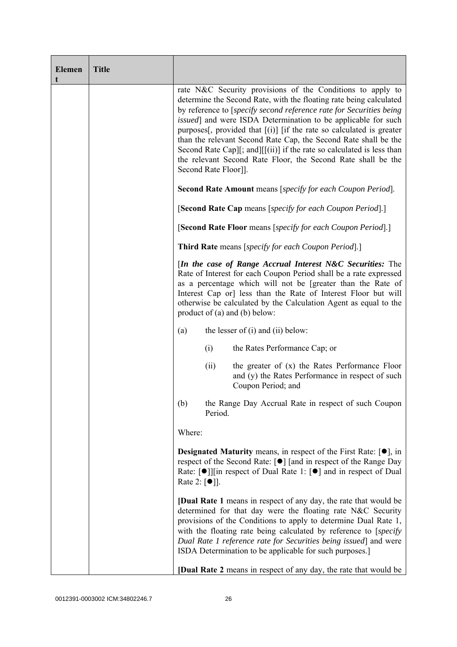| <b>Elemen</b><br>t | <b>Title</b> |                                                                                                                                                                                                                                                                                                                                                                                                                                                                                                                                                                                                |  |  |  |
|--------------------|--------------|------------------------------------------------------------------------------------------------------------------------------------------------------------------------------------------------------------------------------------------------------------------------------------------------------------------------------------------------------------------------------------------------------------------------------------------------------------------------------------------------------------------------------------------------------------------------------------------------|--|--|--|
|                    |              | rate N&C Security provisions of the Conditions to apply to<br>determine the Second Rate, with the floating rate being calculated<br>by reference to [specify second reference rate for Securities being<br><i>issued</i> ] and were ISDA Determination to be applicable for such<br>purposes[, provided that $[(i)]$ [if the rate so calculated is greater<br>than the relevant Second Rate Cap, the Second Rate shall be the<br>Second Rate Cap][; and][[(ii)] if the rate so calculated is less than<br>the relevant Second Rate Floor, the Second Rate shall be the<br>Second Rate Floor]]. |  |  |  |
|                    |              | <b>Second Rate Amount</b> means [specify for each Coupon Period].                                                                                                                                                                                                                                                                                                                                                                                                                                                                                                                              |  |  |  |
|                    |              | [Second Rate Cap means [specify for each Coupon Period].]                                                                                                                                                                                                                                                                                                                                                                                                                                                                                                                                      |  |  |  |
|                    |              | [Second Rate Floor means [specify for each Coupon Period].]                                                                                                                                                                                                                                                                                                                                                                                                                                                                                                                                    |  |  |  |
|                    |              | <b>Third Rate</b> means [specify for each Coupon Period].]                                                                                                                                                                                                                                                                                                                                                                                                                                                                                                                                     |  |  |  |
|                    |              | [In the case of Range Accrual Interest N&C Securities: The<br>Rate of Interest for each Coupon Period shall be a rate expressed<br>as a percentage which will not be [greater than the Rate of<br>Interest Cap or] less than the Rate of Interest Floor but will<br>otherwise be calculated by the Calculation Agent as equal to the<br>product of $(a)$ and $(b)$ below:                                                                                                                                                                                                                      |  |  |  |
|                    |              | the lesser of $(i)$ and $(ii)$ below:<br>(a)                                                                                                                                                                                                                                                                                                                                                                                                                                                                                                                                                   |  |  |  |
|                    |              | (i)<br>the Rates Performance Cap; or                                                                                                                                                                                                                                                                                                                                                                                                                                                                                                                                                           |  |  |  |
|                    |              | the greater of $(x)$ the Rates Performance Floor<br>(ii)<br>and (y) the Rates Performance in respect of such<br>Coupon Period; and                                                                                                                                                                                                                                                                                                                                                                                                                                                             |  |  |  |
|                    |              | the Range Day Accrual Rate in respect of such Coupon<br>(b)<br>Period.                                                                                                                                                                                                                                                                                                                                                                                                                                                                                                                         |  |  |  |
|                    |              | Where:                                                                                                                                                                                                                                                                                                                                                                                                                                                                                                                                                                                         |  |  |  |
|                    |              | <b>Designated Maturity</b> means, in respect of the First Rate: $[•]$ , in<br>respect of the Second Rate: [●] [and in respect of the Range Day<br>Rate: $\lceil \bullet \rceil$   in respect of Dual Rate 1: $\lceil \bullet \rceil$ and in respect of Dual<br>Rate 2: $\lceil \bullet \rceil$ .                                                                                                                                                                                                                                                                                               |  |  |  |
|                    |              | <b>[Dual Rate 1</b> means in respect of any day, the rate that would be<br>determined for that day were the floating rate N&C Security<br>provisions of the Conditions to apply to determine Dual Rate 1,<br>with the floating rate being calculated by reference to [specify]<br>Dual Rate 1 reference rate for Securities being issued] and were<br>ISDA Determination to be applicable for such purposes.]                                                                                                                                                                                  |  |  |  |
|                    |              | [Dual Rate 2 means in respect of any day, the rate that would be                                                                                                                                                                                                                                                                                                                                                                                                                                                                                                                               |  |  |  |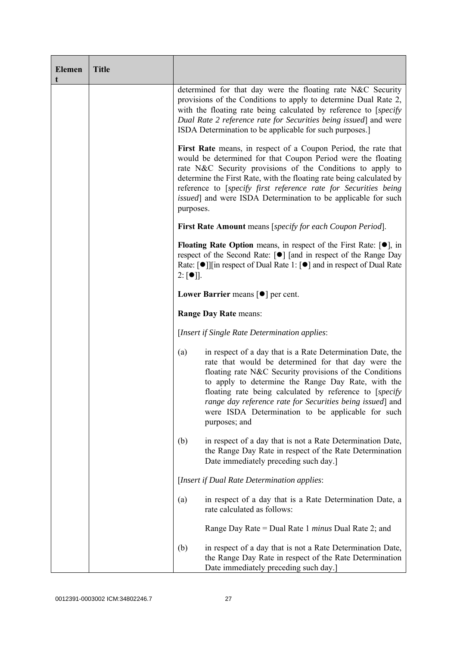| <b>Elemen</b><br>t | <b>Title</b> |                                                                                                                                                                                                                                                                                                                                                                                                                                          |  |  |  |
|--------------------|--------------|------------------------------------------------------------------------------------------------------------------------------------------------------------------------------------------------------------------------------------------------------------------------------------------------------------------------------------------------------------------------------------------------------------------------------------------|--|--|--|
|                    |              | determined for that day were the floating rate N&C Security<br>provisions of the Conditions to apply to determine Dual Rate 2,<br>with the floating rate being calculated by reference to [specify]<br>Dual Rate 2 reference rate for Securities being issued] and were<br>ISDA Determination to be applicable for such purposes.]                                                                                                       |  |  |  |
|                    |              | First Rate means, in respect of a Coupon Period, the rate that<br>would be determined for that Coupon Period were the floating<br>rate N&C Security provisions of the Conditions to apply to<br>determine the First Rate, with the floating rate being calculated by<br>reference to [specify first reference rate for Securities being<br><i>issued</i> ] and were ISDA Determination to be applicable for such<br>purposes.            |  |  |  |
|                    |              | First Rate Amount means [specify for each Coupon Period].                                                                                                                                                                                                                                                                                                                                                                                |  |  |  |
|                    |              | <b>Floating Rate Option</b> means, in respect of the First Rate: $[•]$ , in<br>respect of the Second Rate: [●] [and in respect of the Range Day<br>Rate: [●]][in respect of Dual Rate 1: [●] and in respect of Dual Rate<br>$2: [•]$ .                                                                                                                                                                                                   |  |  |  |
|                    |              | Lower Barrier means $\lceil \bullet \rceil$ per cent.                                                                                                                                                                                                                                                                                                                                                                                    |  |  |  |
|                    |              | <b>Range Day Rate means:</b>                                                                                                                                                                                                                                                                                                                                                                                                             |  |  |  |
|                    |              | [Insert if Single Rate Determination applies:                                                                                                                                                                                                                                                                                                                                                                                            |  |  |  |
|                    |              | in respect of a day that is a Rate Determination Date, the<br>(a)<br>rate that would be determined for that day were the<br>floating rate N&C Security provisions of the Conditions<br>to apply to determine the Range Day Rate, with the<br>floating rate being calculated by reference to [specify]<br>range day reference rate for Securities being issued] and<br>were ISDA Determination to be applicable for such<br>purposes; and |  |  |  |
|                    |              | in respect of a day that is not a Rate Determination Date,<br>(b)<br>the Range Day Rate in respect of the Rate Determination<br>Date immediately preceding such day.]                                                                                                                                                                                                                                                                    |  |  |  |
|                    |              | [Insert if Dual Rate Determination applies:                                                                                                                                                                                                                                                                                                                                                                                              |  |  |  |
|                    |              | in respect of a day that is a Rate Determination Date, a<br>(a)<br>rate calculated as follows:                                                                                                                                                                                                                                                                                                                                           |  |  |  |
|                    |              | Range Day Rate = Dual Rate 1 <i>minus</i> Dual Rate 2; and                                                                                                                                                                                                                                                                                                                                                                               |  |  |  |
|                    |              | in respect of a day that is not a Rate Determination Date,<br>(b)<br>the Range Day Rate in respect of the Rate Determination<br>Date immediately preceding such day.]                                                                                                                                                                                                                                                                    |  |  |  |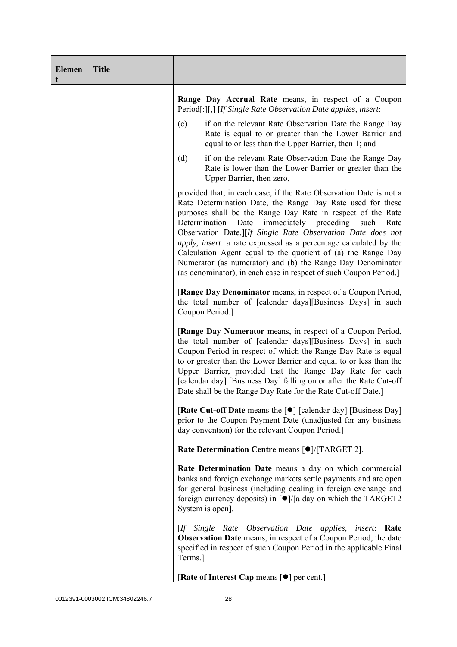| <b>Elemen</b><br>t | <b>Title</b> |                                                                                                                                                                                                                                                                                                                                                                                                                                                                                                                                                                                                          |  |  |  |
|--------------------|--------------|----------------------------------------------------------------------------------------------------------------------------------------------------------------------------------------------------------------------------------------------------------------------------------------------------------------------------------------------------------------------------------------------------------------------------------------------------------------------------------------------------------------------------------------------------------------------------------------------------------|--|--|--|
|                    |              | Range Day Accrual Rate means, in respect of a Coupon<br>Period[:][,] [If Single Rate Observation Date applies, insert:                                                                                                                                                                                                                                                                                                                                                                                                                                                                                   |  |  |  |
|                    |              | (c)<br>if on the relevant Rate Observation Date the Range Day<br>Rate is equal to or greater than the Lower Barrier and<br>equal to or less than the Upper Barrier, then 1; and                                                                                                                                                                                                                                                                                                                                                                                                                          |  |  |  |
|                    |              | if on the relevant Rate Observation Date the Range Day<br>(d)<br>Rate is lower than the Lower Barrier or greater than the<br>Upper Barrier, then zero,                                                                                                                                                                                                                                                                                                                                                                                                                                                   |  |  |  |
|                    |              | provided that, in each case, if the Rate Observation Date is not a<br>Rate Determination Date, the Range Day Rate used for these<br>purposes shall be the Range Day Rate in respect of the Rate<br>immediately preceding<br>Determination<br>Date<br>such<br>Rate<br>Observation Date.][If Single Rate Observation Date does not<br>apply, insert: a rate expressed as a percentage calculated by the<br>Calculation Agent equal to the quotient of (a) the Range Day<br>Numerator (as numerator) and (b) the Range Day Denominator<br>(as denominator), in each case in respect of such Coupon Period.] |  |  |  |
|                    |              | [Range Day Denominator means, in respect of a Coupon Period,<br>the total number of [calendar days][Business Days] in such<br>Coupon Period.]                                                                                                                                                                                                                                                                                                                                                                                                                                                            |  |  |  |
|                    |              | [Range Day Numerator means, in respect of a Coupon Period,<br>the total number of [calendar days][Business Days] in such<br>Coupon Period in respect of which the Range Day Rate is equal<br>to or greater than the Lower Barrier and equal to or less than the<br>Upper Barrier, provided that the Range Day Rate for each<br>[calendar day] [Business Day] falling on or after the Rate Cut-off<br>Date shall be the Range Day Rate for the Rate Cut-off Date.]                                                                                                                                        |  |  |  |
|                    |              | [Rate Cut-off Date means the [●] [calendar day] [Business Day]<br>prior to the Coupon Payment Date (unadjusted for any business<br>day convention) for the relevant Coupon Period.]                                                                                                                                                                                                                                                                                                                                                                                                                      |  |  |  |
|                    |              | Rate Determination Centre means [ $\bullet$ ]/[TARGET 2].                                                                                                                                                                                                                                                                                                                                                                                                                                                                                                                                                |  |  |  |
|                    |              | Rate Determination Date means a day on which commercial<br>banks and foreign exchange markets settle payments and are open<br>for general business (including dealing in foreign exchange and<br>foreign currency deposits) in [●]/[a day on which the TARGET2<br>System is open].                                                                                                                                                                                                                                                                                                                       |  |  |  |
|                    |              | [If Single Rate Observation Date applies,<br><i>insert</i> : Rate<br>Observation Date means, in respect of a Coupon Period, the date<br>specified in respect of such Coupon Period in the applicable Final<br>Terms.]                                                                                                                                                                                                                                                                                                                                                                                    |  |  |  |
|                    |              | [Rate of Interest Cap means [ $\bullet$ ] per cent.]                                                                                                                                                                                                                                                                                                                                                                                                                                                                                                                                                     |  |  |  |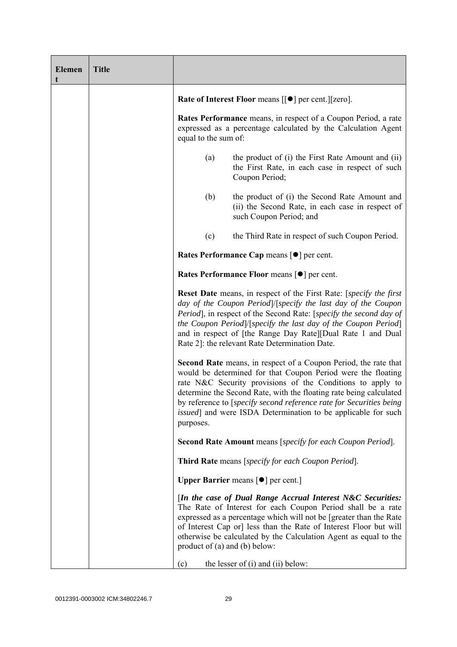| <b>Elemen</b> | <b>Title</b> |                                                                                                                                                                                                                                                                                                                                                                                                                                         |                                                                                                                                                                                                                                                                                                                                           |  |  |
|---------------|--------------|-----------------------------------------------------------------------------------------------------------------------------------------------------------------------------------------------------------------------------------------------------------------------------------------------------------------------------------------------------------------------------------------------------------------------------------------|-------------------------------------------------------------------------------------------------------------------------------------------------------------------------------------------------------------------------------------------------------------------------------------------------------------------------------------------|--|--|
|               |              |                                                                                                                                                                                                                                                                                                                                                                                                                                         | <b>Rate of Interest Floor means <math>[[\bullet]]</math> per cent.</b> $][zero]$ .                                                                                                                                                                                                                                                        |  |  |
|               |              | Rates Performance means, in respect of a Coupon Period, a rate<br>expressed as a percentage calculated by the Calculation Agent<br>equal to the sum of:                                                                                                                                                                                                                                                                                 |                                                                                                                                                                                                                                                                                                                                           |  |  |
|               |              | (a)                                                                                                                                                                                                                                                                                                                                                                                                                                     | the product of (i) the First Rate Amount and (ii)<br>the First Rate, in each case in respect of such<br>Coupon Period;                                                                                                                                                                                                                    |  |  |
|               |              | (b)                                                                                                                                                                                                                                                                                                                                                                                                                                     | the product of (i) the Second Rate Amount and<br>(ii) the Second Rate, in each case in respect of<br>such Coupon Period; and                                                                                                                                                                                                              |  |  |
|               |              | (c)                                                                                                                                                                                                                                                                                                                                                                                                                                     | the Third Rate in respect of such Coupon Period.                                                                                                                                                                                                                                                                                          |  |  |
|               |              | Rates Performance Cap means [ $\bullet$ ] per cent.                                                                                                                                                                                                                                                                                                                                                                                     |                                                                                                                                                                                                                                                                                                                                           |  |  |
|               |              | <b>Rates Performance Floor means [●] per cent.</b>                                                                                                                                                                                                                                                                                                                                                                                      |                                                                                                                                                                                                                                                                                                                                           |  |  |
|               |              | <b>Reset Date</b> means, in respect of the First Rate: [specify the first<br>day of the Coupon Period /[specify the last day of the Coupon<br>Period], in respect of the Second Rate: [specify the second day of<br>the Coupon Period /[specify the last day of the Coupon Period]<br>and in respect of [the Range Day Rate][Dual Rate 1 and Dual<br>Rate 2]: the relevant Rate Determination Date.                                     |                                                                                                                                                                                                                                                                                                                                           |  |  |
|               |              | <b>Second Rate</b> means, in respect of a Coupon Period, the rate that<br>would be determined for that Coupon Period were the floating<br>rate N&C Security provisions of the Conditions to apply to<br>determine the Second Rate, with the floating rate being calculated<br>by reference to [specify second reference rate for Securities being<br><i>issued</i> ] and were ISDA Determination to be applicable for such<br>purposes. |                                                                                                                                                                                                                                                                                                                                           |  |  |
|               |              |                                                                                                                                                                                                                                                                                                                                                                                                                                         | <b>Second Rate Amount</b> means [specify for each Coupon Period].                                                                                                                                                                                                                                                                         |  |  |
|               |              |                                                                                                                                                                                                                                                                                                                                                                                                                                         | Third Rate means [specify for each Coupon Period].                                                                                                                                                                                                                                                                                        |  |  |
|               |              | <b>Upper Barrier</b> means $\lceil \bullet \rceil$ per cent.]                                                                                                                                                                                                                                                                                                                                                                           |                                                                                                                                                                                                                                                                                                                                           |  |  |
|               |              | product of $(a)$ and $(b)$ below:                                                                                                                                                                                                                                                                                                                                                                                                       | [In the case of Dual Range Accrual Interest N&C Securities:<br>The Rate of Interest for each Coupon Period shall be a rate<br>expressed as a percentage which will not be [greater than the Rate<br>of Interest Cap or] less than the Rate of Interest Floor but will<br>otherwise be calculated by the Calculation Agent as equal to the |  |  |
|               |              | (c)                                                                                                                                                                                                                                                                                                                                                                                                                                     | the lesser of $(i)$ and $(ii)$ below:                                                                                                                                                                                                                                                                                                     |  |  |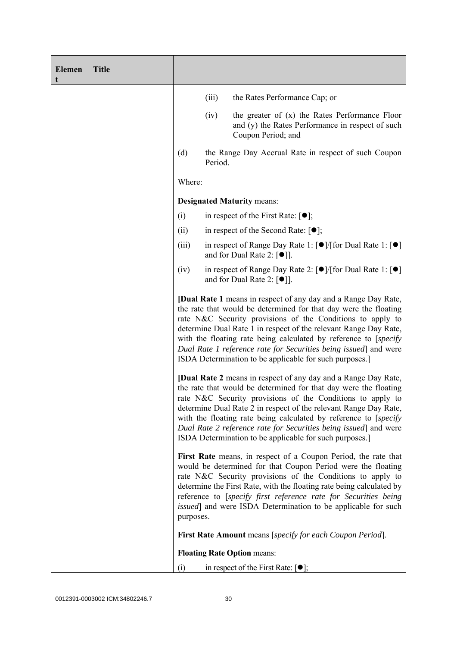| <b>Elemen</b><br>t | <b>Title</b> |                                                                                                                                                                                                                                                                                                                                                                                                                                                                                 |         |                                                                                                                                                                                                                                                                                                                                                                                                                  |
|--------------------|--------------|---------------------------------------------------------------------------------------------------------------------------------------------------------------------------------------------------------------------------------------------------------------------------------------------------------------------------------------------------------------------------------------------------------------------------------------------------------------------------------|---------|------------------------------------------------------------------------------------------------------------------------------------------------------------------------------------------------------------------------------------------------------------------------------------------------------------------------------------------------------------------------------------------------------------------|
|                    |              |                                                                                                                                                                                                                                                                                                                                                                                                                                                                                 | (iii)   | the Rates Performance Cap; or                                                                                                                                                                                                                                                                                                                                                                                    |
|                    |              |                                                                                                                                                                                                                                                                                                                                                                                                                                                                                 | (iv)    | the greater of $(x)$ the Rates Performance Floor<br>and (y) the Rates Performance in respect of such<br>Coupon Period; and                                                                                                                                                                                                                                                                                       |
|                    |              | (d)                                                                                                                                                                                                                                                                                                                                                                                                                                                                             | Period. | the Range Day Accrual Rate in respect of such Coupon                                                                                                                                                                                                                                                                                                                                                             |
|                    |              | Where:                                                                                                                                                                                                                                                                                                                                                                                                                                                                          |         |                                                                                                                                                                                                                                                                                                                                                                                                                  |
|                    |              |                                                                                                                                                                                                                                                                                                                                                                                                                                                                                 |         | <b>Designated Maturity means:</b>                                                                                                                                                                                                                                                                                                                                                                                |
|                    |              | (i)                                                                                                                                                                                                                                                                                                                                                                                                                                                                             |         | in respect of the First Rate: $[\bullet]$ ;                                                                                                                                                                                                                                                                                                                                                                      |
|                    |              | (ii)                                                                                                                                                                                                                                                                                                                                                                                                                                                                            |         | in respect of the Second Rate: $[•]$ ;                                                                                                                                                                                                                                                                                                                                                                           |
|                    |              | (iii)                                                                                                                                                                                                                                                                                                                                                                                                                                                                           |         | in respect of Range Day Rate 1: $\lceil \bullet \rceil / \lceil \text{for Dual Rate 1} \rceil \rceil$<br>and for Dual Rate 2: $[①$ ].                                                                                                                                                                                                                                                                            |
|                    |              | (iv)                                                                                                                                                                                                                                                                                                                                                                                                                                                                            |         | in respect of Range Day Rate 2: [●]/[for Dual Rate 1: [●]<br>and for Dual Rate 2: $[\bullet]$ ].                                                                                                                                                                                                                                                                                                                 |
|                    |              | <b>[Dual Rate 1</b> means in respect of any day and a Range Day Rate,<br>the rate that would be determined for that day were the floating<br>rate N&C Security provisions of the Conditions to apply to<br>determine Dual Rate 1 in respect of the relevant Range Day Rate,<br>with the floating rate being calculated by reference to [specify]<br>Dual Rate 1 reference rate for Securities being issued] and were<br>ISDA Determination to be applicable for such purposes.] |         |                                                                                                                                                                                                                                                                                                                                                                                                                  |
|                    |              | <b>[Dual Rate 2</b> means in respect of any day and a Range Day Rate,<br>the rate that would be determined for that day were the floating<br>rate N&C Security provisions of the Conditions to apply to<br>determine Dual Rate 2 in respect of the relevant Range Day Rate,<br>with the floating rate being calculated by reference to [specify]<br>Dual Rate 2 reference rate for Securities being issued] and were<br>ISDA Determination to be applicable for such purposes.] |         |                                                                                                                                                                                                                                                                                                                                                                                                                  |
|                    |              | purposes.                                                                                                                                                                                                                                                                                                                                                                                                                                                                       |         | First Rate means, in respect of a Coupon Period, the rate that<br>would be determined for that Coupon Period were the floating<br>rate N&C Security provisions of the Conditions to apply to<br>determine the First Rate, with the floating rate being calculated by<br>reference to [specify first reference rate for Securities being<br><i>issued</i> ] and were ISDA Determination to be applicable for such |
|                    |              |                                                                                                                                                                                                                                                                                                                                                                                                                                                                                 |         | <b>First Rate Amount</b> means [specify for each Coupon Period].                                                                                                                                                                                                                                                                                                                                                 |
|                    |              |                                                                                                                                                                                                                                                                                                                                                                                                                                                                                 |         | <b>Floating Rate Option means:</b>                                                                                                                                                                                                                                                                                                                                                                               |
|                    |              | (i)                                                                                                                                                                                                                                                                                                                                                                                                                                                                             |         | in respect of the First Rate: $[•]$ ;                                                                                                                                                                                                                                                                                                                                                                            |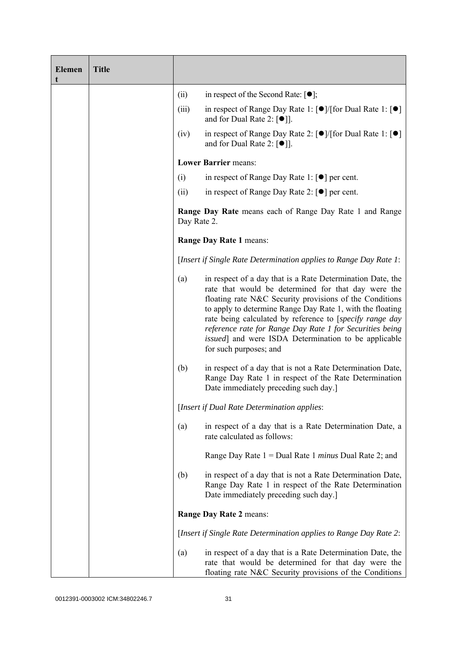| <b>Elemen</b><br>t | <b>Title</b> |                                                                               |                                                                                                                                                                                                                                                                                                                                                                                                                                                             |
|--------------------|--------------|-------------------------------------------------------------------------------|-------------------------------------------------------------------------------------------------------------------------------------------------------------------------------------------------------------------------------------------------------------------------------------------------------------------------------------------------------------------------------------------------------------------------------------------------------------|
|                    |              | (ii)                                                                          | in respect of the Second Rate: $[•]$ ;                                                                                                                                                                                                                                                                                                                                                                                                                      |
|                    |              | (iii)                                                                         | in respect of Range Day Rate 1: $\lceil \bullet \rceil / \lceil \text{for Dual Rate 1} \rceil \rceil$<br>and for Dual Rate 2: $\lceil \bullet \rceil$ .                                                                                                                                                                                                                                                                                                     |
|                    |              | (iv)                                                                          | in respect of Range Day Rate 2: $\lceil \bullet \rceil / \lceil \text{for Dual Rate 1} \rceil \rceil$<br>and for Dual Rate 2: $\lceil \bullet \rceil$ ].                                                                                                                                                                                                                                                                                                    |
|                    |              |                                                                               | <b>Lower Barrier means:</b>                                                                                                                                                                                                                                                                                                                                                                                                                                 |
|                    |              | (i)                                                                           | in respect of Range Day Rate 1: $\lceil \bullet \rceil$ per cent.                                                                                                                                                                                                                                                                                                                                                                                           |
|                    |              | (ii)                                                                          | in respect of Range Day Rate 2: $\lceil \bullet \rceil$ per cent.                                                                                                                                                                                                                                                                                                                                                                                           |
|                    |              | <b>Range Day Rate</b> means each of Range Day Rate 1 and Range<br>Day Rate 2. |                                                                                                                                                                                                                                                                                                                                                                                                                                                             |
|                    |              |                                                                               | Range Day Rate 1 means:                                                                                                                                                                                                                                                                                                                                                                                                                                     |
|                    |              |                                                                               | [Insert if Single Rate Determination applies to Range Day Rate 1:                                                                                                                                                                                                                                                                                                                                                                                           |
|                    |              | (a)                                                                           | in respect of a day that is a Rate Determination Date, the<br>rate that would be determined for that day were the<br>floating rate N&C Security provisions of the Conditions<br>to apply to determine Range Day Rate 1, with the floating<br>rate being calculated by reference to [specify range day<br>reference rate for Range Day Rate 1 for Securities being<br><i>issued</i> ] and were ISDA Determination to be applicable<br>for such purposes; and |
|                    |              | (b)                                                                           | in respect of a day that is not a Rate Determination Date,<br>Range Day Rate 1 in respect of the Rate Determination<br>Date immediately preceding such day.]                                                                                                                                                                                                                                                                                                |
|                    |              |                                                                               | [Insert if Dual Rate Determination applies:                                                                                                                                                                                                                                                                                                                                                                                                                 |
|                    |              | (a)                                                                           | in respect of a day that is a Rate Determination Date, a<br>rate calculated as follows:                                                                                                                                                                                                                                                                                                                                                                     |
|                    |              |                                                                               | Range Day Rate $1 =$ Dual Rate 1 <i>minus</i> Dual Rate 2; and                                                                                                                                                                                                                                                                                                                                                                                              |
|                    |              | (b)                                                                           | in respect of a day that is not a Rate Determination Date,<br>Range Day Rate 1 in respect of the Rate Determination<br>Date immediately preceding such day.]                                                                                                                                                                                                                                                                                                |
|                    |              |                                                                               | Range Day Rate 2 means:                                                                                                                                                                                                                                                                                                                                                                                                                                     |
|                    |              |                                                                               | [Insert if Single Rate Determination applies to Range Day Rate 2:                                                                                                                                                                                                                                                                                                                                                                                           |
|                    |              | (a)                                                                           | in respect of a day that is a Rate Determination Date, the<br>rate that would be determined for that day were the<br>floating rate N&C Security provisions of the Conditions                                                                                                                                                                                                                                                                                |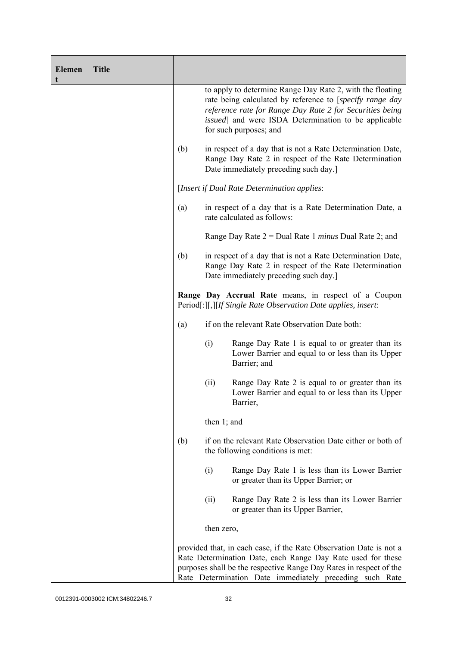| <b>Elemen</b><br>t | <b>Title</b> |     |                                                                                                                                                              |                                                                                                                                                                                                                                                                             |
|--------------------|--------------|-----|--------------------------------------------------------------------------------------------------------------------------------------------------------------|-----------------------------------------------------------------------------------------------------------------------------------------------------------------------------------------------------------------------------------------------------------------------------|
|                    |              |     |                                                                                                                                                              | to apply to determine Range Day Rate 2, with the floating<br>rate being calculated by reference to [specify range day<br>reference rate for Range Day Rate 2 for Securities being<br><i>issued</i> ] and were ISDA Determination to be applicable<br>for such purposes; and |
|                    |              | (b) | in respect of a day that is not a Rate Determination Date,<br>Range Day Rate 2 in respect of the Rate Determination<br>Date immediately preceding such day.] |                                                                                                                                                                                                                                                                             |
|                    |              |     | [Insert if Dual Rate Determination applies:                                                                                                                  |                                                                                                                                                                                                                                                                             |
|                    |              | (a) | in respect of a day that is a Rate Determination Date, a<br>rate calculated as follows:                                                                      |                                                                                                                                                                                                                                                                             |
|                    |              |     |                                                                                                                                                              | Range Day Rate $2 =$ Dual Rate 1 <i>minus</i> Dual Rate 2; and                                                                                                                                                                                                              |
|                    |              | (b) |                                                                                                                                                              | in respect of a day that is not a Rate Determination Date,<br>Range Day Rate 2 in respect of the Rate Determination<br>Date immediately preceding such day.]                                                                                                                |
|                    |              |     | Range Day Accrual Rate means, in respect of a Coupon<br>Period[:][,][If Single Rate Observation Date applies, insert:                                        |                                                                                                                                                                                                                                                                             |
|                    |              | (a) |                                                                                                                                                              | if on the relevant Rate Observation Date both:                                                                                                                                                                                                                              |
|                    |              |     | (i)                                                                                                                                                          | Range Day Rate 1 is equal to or greater than its<br>Lower Barrier and equal to or less than its Upper<br>Barrier; and                                                                                                                                                       |
|                    |              |     | (ii)                                                                                                                                                         | Range Day Rate 2 is equal to or greater than its<br>Lower Barrier and equal to or less than its Upper<br>Barrier,                                                                                                                                                           |
|                    |              |     | then $1$ ; and                                                                                                                                               |                                                                                                                                                                                                                                                                             |
|                    |              | (b) |                                                                                                                                                              | if on the relevant Rate Observation Date either or both of<br>the following conditions is met:                                                                                                                                                                              |
|                    |              |     | (i)                                                                                                                                                          | Range Day Rate 1 is less than its Lower Barrier<br>or greater than its Upper Barrier; or                                                                                                                                                                                    |
|                    |              |     | (ii)                                                                                                                                                         | Range Day Rate 2 is less than its Lower Barrier<br>or greater than its Upper Barrier,                                                                                                                                                                                       |
|                    |              |     | then zero,                                                                                                                                                   |                                                                                                                                                                                                                                                                             |
|                    |              |     |                                                                                                                                                              | provided that, in each case, if the Rate Observation Date is not a<br>Rate Determination Date, each Range Day Rate used for these<br>purposes shall be the respective Range Day Rates in respect of the<br>Rate Determination Date immediately preceding such Rate          |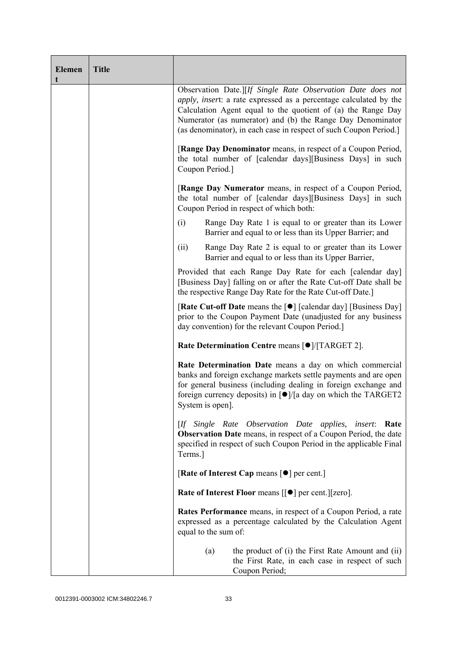| <b>Elemen</b><br>t | <b>Title</b> |                                                                                                                                                                                                                                                                                                                                            |  |  |  |  |
|--------------------|--------------|--------------------------------------------------------------------------------------------------------------------------------------------------------------------------------------------------------------------------------------------------------------------------------------------------------------------------------------------|--|--|--|--|
|                    |              | Observation Date.][If Single Rate Observation Date does not<br><i>apply, insert:</i> a rate expressed as a percentage calculated by the<br>Calculation Agent equal to the quotient of (a) the Range Day<br>Numerator (as numerator) and (b) the Range Day Denominator<br>(as denominator), in each case in respect of such Coupon Period.] |  |  |  |  |
|                    |              | [Range Day Denominator means, in respect of a Coupon Period,<br>the total number of [calendar days][Business Days] in such<br>Coupon Period.]                                                                                                                                                                                              |  |  |  |  |
|                    |              | [Range Day Numerator means, in respect of a Coupon Period,<br>the total number of [calendar days][Business Days] in such<br>Coupon Period in respect of which both:                                                                                                                                                                        |  |  |  |  |
|                    |              | (i)<br>Range Day Rate 1 is equal to or greater than its Lower<br>Barrier and equal to or less than its Upper Barrier; and                                                                                                                                                                                                                  |  |  |  |  |
|                    |              | Range Day Rate 2 is equal to or greater than its Lower<br>(ii)<br>Barrier and equal to or less than its Upper Barrier,                                                                                                                                                                                                                     |  |  |  |  |
|                    |              | Provided that each Range Day Rate for each [calendar day]<br>[Business Day] falling on or after the Rate Cut-off Date shall be<br>the respective Range Day Rate for the Rate Cut-off Date.]                                                                                                                                                |  |  |  |  |
|                    |              | [Rate Cut-off Date means the [●] [calendar day] [Business Day]<br>prior to the Coupon Payment Date (unadjusted for any business<br>day convention) for the relevant Coupon Period.                                                                                                                                                         |  |  |  |  |
|                    |              | Rate Determination Centre means [ $\bullet$ ]/[TARGET 2].                                                                                                                                                                                                                                                                                  |  |  |  |  |
|                    |              | Rate Determination Date means a day on which commercial<br>banks and foreign exchange markets settle payments and are open<br>for general business (including dealing in foreign exchange and<br>foreign currency deposits) in $\lceil \bullet \rceil / \lceil a \rceil$ day on which the TARGET2<br>System is open].                      |  |  |  |  |
|                    |              | [If Single Rate Observation Date applies,<br><i>insert</i> :<br>Rate<br><b>Observation Date</b> means, in respect of a Coupon Period, the date<br>specified in respect of such Coupon Period in the applicable Final<br>Terms.]                                                                                                            |  |  |  |  |
|                    |              | [Rate of Interest Cap means $\lceil \bullet \rceil$ per cent.]                                                                                                                                                                                                                                                                             |  |  |  |  |
|                    |              | <b>Rate of Interest Floor means <math>\lceil \bullet \rceil</math> per cent. <math>\lceil \cdot \rceil</math> zero.</b>                                                                                                                                                                                                                    |  |  |  |  |
|                    |              | <b>Rates Performance</b> means, in respect of a Coupon Period, a rate<br>expressed as a percentage calculated by the Calculation Agent<br>equal to the sum of:                                                                                                                                                                             |  |  |  |  |
|                    |              | the product of (i) the First Rate Amount and (ii)<br>(a)<br>the First Rate, in each case in respect of such<br>Coupon Period;                                                                                                                                                                                                              |  |  |  |  |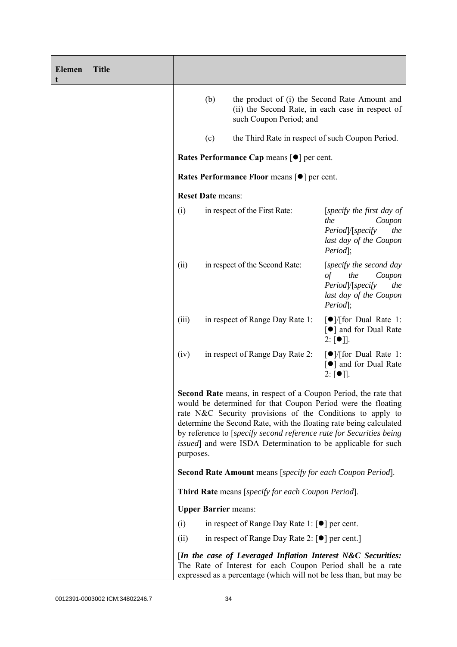| <b>Elemen</b><br>t | <b>Title</b> |                                                                                                                                                                                                                                                                                                                                                                                                                                         |                                                                                                                            |                                                                                                                              |                                                                                           |  |
|--------------------|--------------|-----------------------------------------------------------------------------------------------------------------------------------------------------------------------------------------------------------------------------------------------------------------------------------------------------------------------------------------------------------------------------------------------------------------------------------------|----------------------------------------------------------------------------------------------------------------------------|------------------------------------------------------------------------------------------------------------------------------|-------------------------------------------------------------------------------------------|--|
|                    |              |                                                                                                                                                                                                                                                                                                                                                                                                                                         | (b)                                                                                                                        | the product of (i) the Second Rate Amount and<br>(ii) the Second Rate, in each case in respect of<br>such Coupon Period; and |                                                                                           |  |
|                    |              | (c)<br>the Third Rate in respect of such Coupon Period.                                                                                                                                                                                                                                                                                                                                                                                 |                                                                                                                            |                                                                                                                              |                                                                                           |  |
|                    |              | Rates Performance Cap means [ $\bullet$ ] per cent.                                                                                                                                                                                                                                                                                                                                                                                     |                                                                                                                            |                                                                                                                              |                                                                                           |  |
|                    |              | Rates Performance Floor means [ $\bullet$ ] per cent.<br><b>Reset Date means:</b>                                                                                                                                                                                                                                                                                                                                                       |                                                                                                                            |                                                                                                                              |                                                                                           |  |
|                    |              |                                                                                                                                                                                                                                                                                                                                                                                                                                         |                                                                                                                            |                                                                                                                              |                                                                                           |  |
|                    |              | (i)                                                                                                                                                                                                                                                                                                                                                                                                                                     | in respect of the First Rate:<br>the<br>Period];<br>in respect of the Second Rate:<br>(ii)<br>the<br>$\sigma f$<br>Period; |                                                                                                                              | [specify the first day of<br>Coupon<br>Period /[specify<br>the<br>last day of the Coupon  |  |
|                    |              |                                                                                                                                                                                                                                                                                                                                                                                                                                         |                                                                                                                            |                                                                                                                              | [specify the second day<br>Coupon<br>Period /[specify<br>the<br>last day of the Coupon    |  |
|                    |              | (iii)                                                                                                                                                                                                                                                                                                                                                                                                                                   |                                                                                                                            | in respect of Range Day Rate 1:                                                                                              | $\lceil \bullet \rceil$ / [for Dual Rate 1:<br>[●] and for Dual Rate<br>$2: [\bullet]$ .  |  |
|                    |              | (iv)                                                                                                                                                                                                                                                                                                                                                                                                                                    |                                                                                                                            | in respect of Range Day Rate 2:                                                                                              | $\lceil \bullet \rceil$ / [for Dual Rate 1:<br>[●] and for Dual Rate<br>$2: [\bullet]$ ]. |  |
|                    |              | <b>Second Rate</b> means, in respect of a Coupon Period, the rate that<br>would be determined for that Coupon Period were the floating<br>rate N&C Security provisions of the Conditions to apply to<br>determine the Second Rate, with the floating rate being calculated<br>by reference to [specify second reference rate for Securities being<br><i>issued</i> ] and were ISDA Determination to be applicable for such<br>purposes. |                                                                                                                            |                                                                                                                              |                                                                                           |  |
|                    |              |                                                                                                                                                                                                                                                                                                                                                                                                                                         |                                                                                                                            | <b>Second Rate Amount</b> means [specify for each Coupon Period].                                                            |                                                                                           |  |
|                    |              |                                                                                                                                                                                                                                                                                                                                                                                                                                         |                                                                                                                            | Third Rate means [specify for each Coupon Period].                                                                           |                                                                                           |  |
|                    |              |                                                                                                                                                                                                                                                                                                                                                                                                                                         | <b>Upper Barrier means:</b>                                                                                                |                                                                                                                              |                                                                                           |  |
|                    |              | (i)                                                                                                                                                                                                                                                                                                                                                                                                                                     |                                                                                                                            | in respect of Range Day Rate 1: $\lceil \bullet \rceil$ per cent.                                                            |                                                                                           |  |
|                    |              | (ii)                                                                                                                                                                                                                                                                                                                                                                                                                                    |                                                                                                                            | in respect of Range Day Rate 2: [●] per cent.]                                                                               |                                                                                           |  |
|                    |              | [In the case of Leveraged Inflation Interest N&C Securities:<br>The Rate of Interest for each Coupon Period shall be a rate<br>expressed as a percentage (which will not be less than, but may be                                                                                                                                                                                                                                       |                                                                                                                            |                                                                                                                              |                                                                                           |  |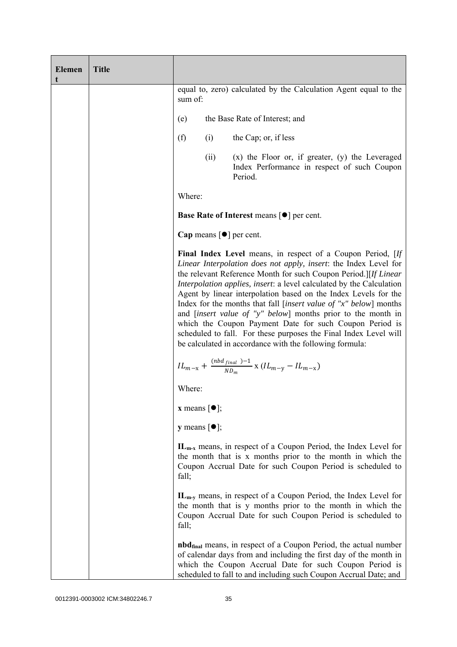| <b>Elemen</b><br>t | <b>Title</b> |                                                                             |      |                                                                                                                                                                                                                                                                                                                                                                                                                                                                                                                                                                                                                                                                                      |
|--------------------|--------------|-----------------------------------------------------------------------------|------|--------------------------------------------------------------------------------------------------------------------------------------------------------------------------------------------------------------------------------------------------------------------------------------------------------------------------------------------------------------------------------------------------------------------------------------------------------------------------------------------------------------------------------------------------------------------------------------------------------------------------------------------------------------------------------------|
|                    |              | equal to, zero) calculated by the Calculation Agent equal to the<br>sum of: |      |                                                                                                                                                                                                                                                                                                                                                                                                                                                                                                                                                                                                                                                                                      |
|                    |              | the Base Rate of Interest; and<br>(e)                                       |      |                                                                                                                                                                                                                                                                                                                                                                                                                                                                                                                                                                                                                                                                                      |
|                    |              | (f)                                                                         | (i)  | the Cap; or, if less                                                                                                                                                                                                                                                                                                                                                                                                                                                                                                                                                                                                                                                                 |
|                    |              |                                                                             | (ii) | $(x)$ the Floor or, if greater, $(y)$ the Leveraged<br>Index Performance in respect of such Coupon<br>Period.                                                                                                                                                                                                                                                                                                                                                                                                                                                                                                                                                                        |
|                    |              | Where:                                                                      |      |                                                                                                                                                                                                                                                                                                                                                                                                                                                                                                                                                                                                                                                                                      |
|                    |              | <b>Base Rate of Interest means [<math>\bullet</math>] per cent.</b>         |      |                                                                                                                                                                                                                                                                                                                                                                                                                                                                                                                                                                                                                                                                                      |
|                    |              | Cap means $\lceil \bullet \rceil$ per cent.                                 |      |                                                                                                                                                                                                                                                                                                                                                                                                                                                                                                                                                                                                                                                                                      |
|                    |              |                                                                             |      | Final Index Level means, in respect of a Coupon Period, [If<br>Linear Interpolation does not apply, insert: the Index Level for<br>the relevant Reference Month for such Coupon Period.][If Linear<br>Interpolation applies, insert: a level calculated by the Calculation<br>Agent by linear interpolation based on the Index Levels for the<br>Index for the months that fall [insert value of "x" below] months<br>and <i>[insert value of "y" below</i> ] months prior to the month in<br>which the Coupon Payment Date for such Coupon Period is<br>scheduled to fall. For these purposes the Final Index Level will<br>be calculated in accordance with the following formula: |
|                    |              |                                                                             |      | $IL_{m-x} + \frac{(nbd_{final})-1}{ND_m}$ x $(IL_{m-y} - IL_{m-x})$                                                                                                                                                                                                                                                                                                                                                                                                                                                                                                                                                                                                                  |
|                    |              | Where:                                                                      |      |                                                                                                                                                                                                                                                                                                                                                                                                                                                                                                                                                                                                                                                                                      |
|                    |              | <b>x</b> means $\lceil \bullet \rceil$ ;                                    |      |                                                                                                                                                                                                                                                                                                                                                                                                                                                                                                                                                                                                                                                                                      |
|                    |              | <b>y</b> means $[\bullet]$ ;                                                |      |                                                                                                                                                                                                                                                                                                                                                                                                                                                                                                                                                                                                                                                                                      |
|                    |              | fall;                                                                       |      | $IL_{m-x}$ means, in respect of a Coupon Period, the Index Level for<br>the month that is x months prior to the month in which the<br>Coupon Accrual Date for such Coupon Period is scheduled to                                                                                                                                                                                                                                                                                                                                                                                                                                                                                     |
|                    |              | fall;                                                                       |      | $IL_{m-y}$ means, in respect of a Coupon Period, the Index Level for<br>the month that is y months prior to the month in which the<br>Coupon Accrual Date for such Coupon Period is scheduled to                                                                                                                                                                                                                                                                                                                                                                                                                                                                                     |
|                    |              |                                                                             |      | <b>nbd</b> <sub>final</sub> means, in respect of a Coupon Period, the actual number<br>of calendar days from and including the first day of the month in<br>which the Coupon Accrual Date for such Coupon Period is<br>scheduled to fall to and including such Coupon Accrual Date; and                                                                                                                                                                                                                                                                                                                                                                                              |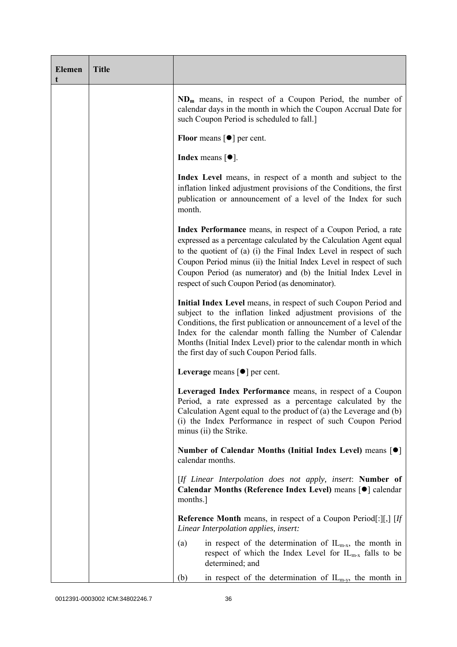| <b>Elemen</b><br>t | <b>Title</b> |                                                                                                                                                                                                                                                                                                                                                                                                           |  |
|--------------------|--------------|-----------------------------------------------------------------------------------------------------------------------------------------------------------------------------------------------------------------------------------------------------------------------------------------------------------------------------------------------------------------------------------------------------------|--|
|                    |              | $ND_m$ means, in respect of a Coupon Period, the number of<br>calendar days in the month in which the Coupon Accrual Date for<br>such Coupon Period is scheduled to fall.]                                                                                                                                                                                                                                |  |
|                    |              | Floor means $\lceil \bullet \rceil$ per cent.                                                                                                                                                                                                                                                                                                                                                             |  |
|                    |              | Index means $\lceil \bullet \rceil$ .                                                                                                                                                                                                                                                                                                                                                                     |  |
|                    |              | Index Level means, in respect of a month and subject to the<br>inflation linked adjustment provisions of the Conditions, the first<br>publication or announcement of a level of the Index for such<br>month.                                                                                                                                                                                              |  |
|                    |              | Index Performance means, in respect of a Coupon Period, a rate<br>expressed as a percentage calculated by the Calculation Agent equal<br>to the quotient of (a) (i) the Final Index Level in respect of such<br>Coupon Period minus (ii) the Initial Index Level in respect of such<br>Coupon Period (as numerator) and (b) the Initial Index Level in<br>respect of such Coupon Period (as denominator). |  |
|                    |              | Initial Index Level means, in respect of such Coupon Period and<br>subject to the inflation linked adjustment provisions of the<br>Conditions, the first publication or announcement of a level of the<br>Index for the calendar month falling the Number of Calendar<br>Months (Initial Index Level) prior to the calendar month in which<br>the first day of such Coupon Period falls.                  |  |
|                    |              | Leverage means $\lceil \bullet \rceil$ per cent.                                                                                                                                                                                                                                                                                                                                                          |  |
|                    |              | Leveraged Index Performance means, in respect of a Coupon<br>Period, a rate expressed as a percentage calculated by the<br>Calculation Agent equal to the product of $(a)$ the Leverage and $(b)$<br>(i) the Index Performance in respect of such Coupon Period<br>minus (ii) the Strike.                                                                                                                 |  |
|                    |              | Number of Calendar Months (Initial Index Level) means [ <sup>●</sup> ]<br>calendar months.                                                                                                                                                                                                                                                                                                                |  |
|                    |              | [If Linear Interpolation does not apply, insert: Number of<br>Calendar Months (Reference Index Level) means [ $\bullet$ ] calendar<br>months.                                                                                                                                                                                                                                                             |  |
|                    |              | <b>Reference Month</b> means, in respect of a Coupon Period[:][,] $[If$<br>Linear Interpolation applies, insert:                                                                                                                                                                                                                                                                                          |  |
|                    |              | in respect of the determination of $IL_{m-x}$ , the month in<br>(a)<br>respect of which the Index Level for $IL_{m-x}$ falls to be<br>determined; and                                                                                                                                                                                                                                                     |  |
|                    |              | in respect of the determination of $IL_{m-y}$ , the month in<br>(b)                                                                                                                                                                                                                                                                                                                                       |  |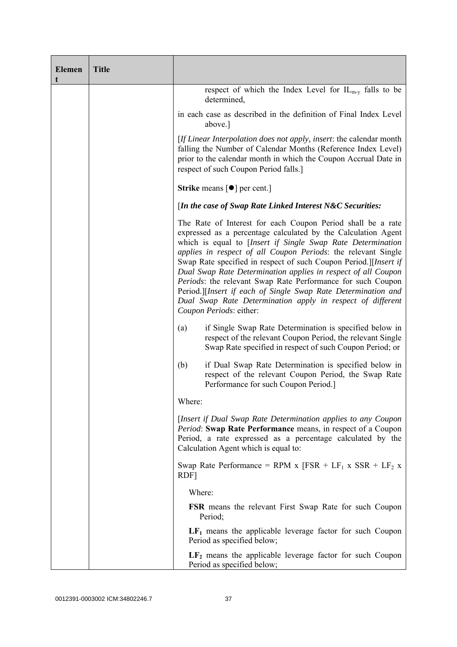| <b>Elemen</b><br>t | <b>Title</b> |                                                                                                                                                                                                                                                                                                                                                                                                                                                                                                                                                                                                                            |  |  |
|--------------------|--------------|----------------------------------------------------------------------------------------------------------------------------------------------------------------------------------------------------------------------------------------------------------------------------------------------------------------------------------------------------------------------------------------------------------------------------------------------------------------------------------------------------------------------------------------------------------------------------------------------------------------------------|--|--|
|                    |              | respect of which the Index Level for $IL_{m-y}$ falls to be<br>determined,                                                                                                                                                                                                                                                                                                                                                                                                                                                                                                                                                 |  |  |
|                    |              | in each case as described in the definition of Final Index Level<br>above.]                                                                                                                                                                                                                                                                                                                                                                                                                                                                                                                                                |  |  |
|                    |              | [If Linear Interpolation does not apply, insert: the calendar month<br>falling the Number of Calendar Months (Reference Index Level)<br>prior to the calendar month in which the Coupon Accrual Date in<br>respect of such Coupon Period falls.]                                                                                                                                                                                                                                                                                                                                                                           |  |  |
|                    |              | <b>Strike</b> means $\lceil \bullet \rceil$ per cent.                                                                                                                                                                                                                                                                                                                                                                                                                                                                                                                                                                      |  |  |
|                    |              | [In the case of Swap Rate Linked Interest N&C Securities:                                                                                                                                                                                                                                                                                                                                                                                                                                                                                                                                                                  |  |  |
|                    |              | The Rate of Interest for each Coupon Period shall be a rate<br>expressed as a percentage calculated by the Calculation Agent<br>which is equal to [Insert if Single Swap Rate Determination<br>applies in respect of all Coupon Periods: the relevant Single<br>Swap Rate specified in respect of such Coupon Period.][Insert if<br>Dual Swap Rate Determination applies in respect of all Coupon<br>Periods: the relevant Swap Rate Performance for such Coupon<br>Period.][Insert if each of Single Swap Rate Determination and<br>Dual Swap Rate Determination apply in respect of different<br>Coupon Periods: either: |  |  |
|                    |              | if Single Swap Rate Determination is specified below in<br>(a)<br>respect of the relevant Coupon Period, the relevant Single<br>Swap Rate specified in respect of such Coupon Period; or                                                                                                                                                                                                                                                                                                                                                                                                                                   |  |  |
|                    |              | if Dual Swap Rate Determination is specified below in<br>(b)<br>respect of the relevant Coupon Period, the Swap Rate<br>Performance for such Coupon Period.]                                                                                                                                                                                                                                                                                                                                                                                                                                                               |  |  |
|                    |              | Where:                                                                                                                                                                                                                                                                                                                                                                                                                                                                                                                                                                                                                     |  |  |
|                    |              | [Insert if Dual Swap Rate Determination applies to any Coupon<br>Period: Swap Rate Performance means, in respect of a Coupon<br>Period, a rate expressed as a percentage calculated by the<br>Calculation Agent which is equal to:                                                                                                                                                                                                                                                                                                                                                                                         |  |  |
|                    |              | Swap Rate Performance = RPM x $[FSR + LF_1 x SSR + LF_2 x]$<br>RDF]                                                                                                                                                                                                                                                                                                                                                                                                                                                                                                                                                        |  |  |
|                    |              | Where:                                                                                                                                                                                                                                                                                                                                                                                                                                                                                                                                                                                                                     |  |  |
|                    |              | <b>FSR</b> means the relevant First Swap Rate for such Coupon<br>Period;                                                                                                                                                                                                                                                                                                                                                                                                                                                                                                                                                   |  |  |
|                    |              | $LF1$ means the applicable leverage factor for such Coupon<br>Period as specified below;                                                                                                                                                                                                                                                                                                                                                                                                                                                                                                                                   |  |  |
|                    |              | $LF2$ means the applicable leverage factor for such Coupon<br>Period as specified below;                                                                                                                                                                                                                                                                                                                                                                                                                                                                                                                                   |  |  |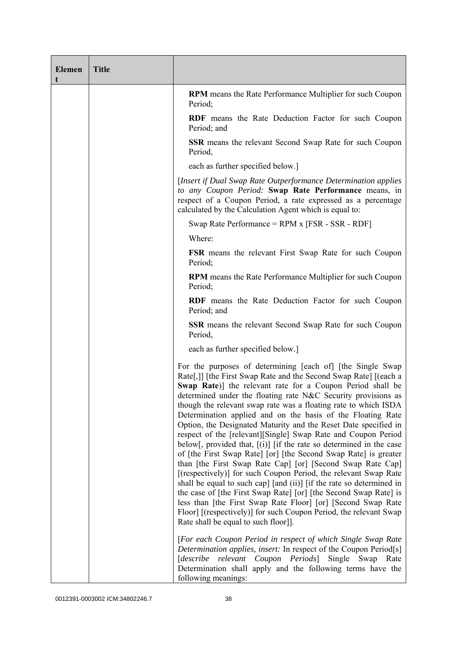| <b>Elemen</b><br>t | <b>Title</b> |                                                                                                                                                                                                                                                                                                                                                                                                                                                                                                                                                                                                                                                                                                                                                                                                                                                                                                                                                                                                                                                                                                                                           |  |  |
|--------------------|--------------|-------------------------------------------------------------------------------------------------------------------------------------------------------------------------------------------------------------------------------------------------------------------------------------------------------------------------------------------------------------------------------------------------------------------------------------------------------------------------------------------------------------------------------------------------------------------------------------------------------------------------------------------------------------------------------------------------------------------------------------------------------------------------------------------------------------------------------------------------------------------------------------------------------------------------------------------------------------------------------------------------------------------------------------------------------------------------------------------------------------------------------------------|--|--|
|                    |              | <b>RPM</b> means the Rate Performance Multiplier for such Coupon<br>Period;                                                                                                                                                                                                                                                                                                                                                                                                                                                                                                                                                                                                                                                                                                                                                                                                                                                                                                                                                                                                                                                               |  |  |
|                    |              | <b>RDF</b> means the Rate Deduction Factor for such Coupon<br>Period; and                                                                                                                                                                                                                                                                                                                                                                                                                                                                                                                                                                                                                                                                                                                                                                                                                                                                                                                                                                                                                                                                 |  |  |
|                    |              | <b>SSR</b> means the relevant Second Swap Rate for such Coupon<br>Period,                                                                                                                                                                                                                                                                                                                                                                                                                                                                                                                                                                                                                                                                                                                                                                                                                                                                                                                                                                                                                                                                 |  |  |
|                    |              | each as further specified below.]                                                                                                                                                                                                                                                                                                                                                                                                                                                                                                                                                                                                                                                                                                                                                                                                                                                                                                                                                                                                                                                                                                         |  |  |
|                    |              | [Insert if Dual Swap Rate Outperformance Determination applies]<br>to any Coupon Period: Swap Rate Performance means, in<br>respect of a Coupon Period, a rate expressed as a percentage<br>calculated by the Calculation Agent which is equal to:                                                                                                                                                                                                                                                                                                                                                                                                                                                                                                                                                                                                                                                                                                                                                                                                                                                                                        |  |  |
|                    |              | Swap Rate Performance = $RPM x$ [FSR - SSR - RDF]                                                                                                                                                                                                                                                                                                                                                                                                                                                                                                                                                                                                                                                                                                                                                                                                                                                                                                                                                                                                                                                                                         |  |  |
|                    |              | Where:                                                                                                                                                                                                                                                                                                                                                                                                                                                                                                                                                                                                                                                                                                                                                                                                                                                                                                                                                                                                                                                                                                                                    |  |  |
|                    |              | <b>FSR</b> means the relevant First Swap Rate for such Coupon<br>Period;                                                                                                                                                                                                                                                                                                                                                                                                                                                                                                                                                                                                                                                                                                                                                                                                                                                                                                                                                                                                                                                                  |  |  |
|                    |              | <b>RPM</b> means the Rate Performance Multiplier for such Coupon<br>Period;                                                                                                                                                                                                                                                                                                                                                                                                                                                                                                                                                                                                                                                                                                                                                                                                                                                                                                                                                                                                                                                               |  |  |
|                    |              | <b>RDF</b> means the Rate Deduction Factor for such Coupon<br>Period; and                                                                                                                                                                                                                                                                                                                                                                                                                                                                                                                                                                                                                                                                                                                                                                                                                                                                                                                                                                                                                                                                 |  |  |
|                    |              | <b>SSR</b> means the relevant Second Swap Rate for such Coupon<br>Period,                                                                                                                                                                                                                                                                                                                                                                                                                                                                                                                                                                                                                                                                                                                                                                                                                                                                                                                                                                                                                                                                 |  |  |
|                    |              | each as further specified below.]                                                                                                                                                                                                                                                                                                                                                                                                                                                                                                                                                                                                                                                                                                                                                                                                                                                                                                                                                                                                                                                                                                         |  |  |
|                    |              | For the purposes of determining [each of] [the Single Swap<br>Rate[,]] [the First Swap Rate and the Second Swap Rate] [(each a<br>Swap Rate)] the relevant rate for a Coupon Period shall be<br>determined under the floating rate N&C Security provisions as<br>though the relevant swap rate was a floating rate to which ISDA<br>Determination applied and on the basis of the Floating Rate<br>Option, the Designated Maturity and the Reset Date specified in<br>respect of the [relevant][Single] Swap Rate and Coupon Period<br>below[, provided that, $[(i)]$ [if the rate so determined in the case<br>of [the First Swap Rate] [or] [the Second Swap Rate] is greater<br>than [the First Swap Rate Cap] [or] [Second Swap Rate Cap]<br>[(respectively)] for such Coupon Period, the relevant Swap Rate<br>shall be equal to such cap] [and (ii)] [if the rate so determined in<br>the case of [the First Swap Rate] [or] [the Second Swap Rate] is<br>less than [the First Swap Rate Floor] [or] [Second Swap Rate<br>Floor] [(respectively)] for such Coupon Period, the relevant Swap<br>Rate shall be equal to such floor]]. |  |  |
|                    |              | [For each Coupon Period in respect of which Single Swap Rate<br>Determination applies, insert: In respect of the Coupon Period[s]<br>[describe relevant Coupon Periods] Single Swap<br>Rate<br>Determination shall apply and the following terms have the<br>following meanings:                                                                                                                                                                                                                                                                                                                                                                                                                                                                                                                                                                                                                                                                                                                                                                                                                                                          |  |  |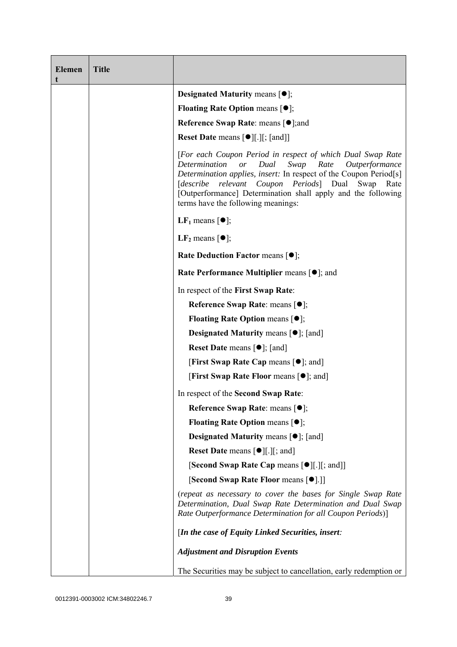| <b>Elemen</b><br>t | <b>Title</b> |                                                                                                                                                                                                                                                                                                                                                                              |  |
|--------------------|--------------|------------------------------------------------------------------------------------------------------------------------------------------------------------------------------------------------------------------------------------------------------------------------------------------------------------------------------------------------------------------------------|--|
|                    |              | <b>Designated Maturity means <math>[•]</math>;</b>                                                                                                                                                                                                                                                                                                                           |  |
|                    |              | <b>Floating Rate Option means <math>[•]</math>;</b>                                                                                                                                                                                                                                                                                                                          |  |
|                    |              | <b>Reference Swap Rate: means [●];and</b>                                                                                                                                                                                                                                                                                                                                    |  |
|                    |              | <b>Reset Date</b> means $[\bullet]$ [.][; [and]]                                                                                                                                                                                                                                                                                                                             |  |
|                    |              | [For each Coupon Period in respect of which Dual Swap Rate<br>Determination<br>Dual<br>Swap<br>Rate<br><i>or</i><br><i>Outperformance</i><br>Determination applies, insert: In respect of the Coupon Period[s]<br>[describe relevant Coupon Periods] Dual Swap<br>Rate<br>[Outperformance] Determination shall apply and the following<br>terms have the following meanings: |  |
|                    |              | <b>LF</b> <sub>1</sub> means $\lceil \bullet \rceil$ ;                                                                                                                                                                                                                                                                                                                       |  |
|                    |              | LF <sub>2</sub> means $\lceil \bullet \rceil$ ;                                                                                                                                                                                                                                                                                                                              |  |
|                    |              | Rate Deduction Factor means [ $\bullet$ ];                                                                                                                                                                                                                                                                                                                                   |  |
|                    |              | <b>Rate Performance Multiplier means <math>\lceil \bullet \rceil</math>; and</b>                                                                                                                                                                                                                                                                                             |  |
|                    |              | In respect of the First Swap Rate:                                                                                                                                                                                                                                                                                                                                           |  |
|                    |              | Reference Swap Rate: means [ $\bullet$ ];                                                                                                                                                                                                                                                                                                                                    |  |
|                    |              | <b>Floating Rate Option means <math>[•]</math>;</b>                                                                                                                                                                                                                                                                                                                          |  |
|                    |              | <b>Designated Maturity means <math>[\bullet]</math>; [and]</b>                                                                                                                                                                                                                                                                                                               |  |
|                    |              | <b>Reset Date</b> means $[\bullet]$ ; [and]                                                                                                                                                                                                                                                                                                                                  |  |
|                    |              | <b>[First Swap Rate Cap means [<math>\bullet</math>]; and]</b>                                                                                                                                                                                                                                                                                                               |  |
|                    |              | <b>[First Swap Rate Floor means [O]; and]</b>                                                                                                                                                                                                                                                                                                                                |  |
|                    |              | In respect of the Second Swap Rate:                                                                                                                                                                                                                                                                                                                                          |  |
|                    |              | <b>Reference Swap Rate: means [●];</b>                                                                                                                                                                                                                                                                                                                                       |  |
|                    |              | <b>Floating Rate Option means <math>[•]</math>;</b>                                                                                                                                                                                                                                                                                                                          |  |
|                    |              | <b>Designated Maturity means <math>\lceil \bullet \rceil</math>; [and]</b>                                                                                                                                                                                                                                                                                                   |  |
|                    |              | <b>Reset Date means <math>\lceil \bullet \rceil</math>.</b> $\lceil \cdot \rceil$ ; and $\lceil \cdot \rceil$                                                                                                                                                                                                                                                                |  |
|                    |              | [Second Swap Rate Cap means [●][.][; and]]                                                                                                                                                                                                                                                                                                                                   |  |
|                    |              | [Second Swap Rate Floor means [ $\bullet$ ].]]                                                                                                                                                                                                                                                                                                                               |  |
|                    |              | (repeat as necessary to cover the bases for Single Swap Rate<br>Determination, Dual Swap Rate Determination and Dual Swap<br>Rate Outperformance Determination for all Coupon Periods)]                                                                                                                                                                                      |  |
|                    |              | [In the case of Equity Linked Securities, insert:                                                                                                                                                                                                                                                                                                                            |  |
|                    |              | <b>Adjustment and Disruption Events</b>                                                                                                                                                                                                                                                                                                                                      |  |
|                    |              | The Securities may be subject to cancellation, early redemption or                                                                                                                                                                                                                                                                                                           |  |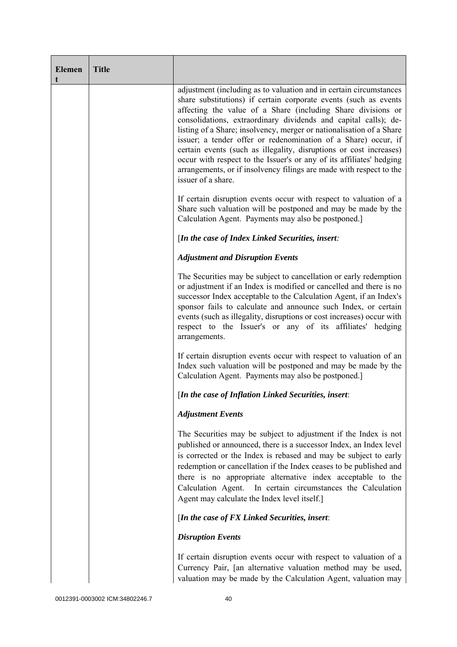| <b>Elemen</b><br>t | <b>Title</b> |                                                                                                                                                                                                                                                                                                                                                                                                                                                                                                                                                                                                                                                                |
|--------------------|--------------|----------------------------------------------------------------------------------------------------------------------------------------------------------------------------------------------------------------------------------------------------------------------------------------------------------------------------------------------------------------------------------------------------------------------------------------------------------------------------------------------------------------------------------------------------------------------------------------------------------------------------------------------------------------|
|                    |              | adjustment (including as to valuation and in certain circumstances<br>share substitutions) if certain corporate events (such as events<br>affecting the value of a Share (including Share divisions or<br>consolidations, extraordinary dividends and capital calls); de-<br>listing of a Share; insolvency, merger or nationalisation of a Share<br>issuer; a tender offer or redenomination of a Share) occur, if<br>certain events (such as illegality, disruptions or cost increases)<br>occur with respect to the Issuer's or any of its affiliates' hedging<br>arrangements, or if insolvency filings are made with respect to the<br>issuer of a share. |
|                    |              | If certain disruption events occur with respect to valuation of a<br>Share such valuation will be postponed and may be made by the<br>Calculation Agent. Payments may also be postponed.]                                                                                                                                                                                                                                                                                                                                                                                                                                                                      |
|                    |              | [In the case of Index Linked Securities, insert:                                                                                                                                                                                                                                                                                                                                                                                                                                                                                                                                                                                                               |
|                    |              | <b>Adjustment and Disruption Events</b>                                                                                                                                                                                                                                                                                                                                                                                                                                                                                                                                                                                                                        |
|                    |              | The Securities may be subject to cancellation or early redemption<br>or adjustment if an Index is modified or cancelled and there is no<br>successor Index acceptable to the Calculation Agent, if an Index's<br>sponsor fails to calculate and announce such Index, or certain<br>events (such as illegality, disruptions or cost increases) occur with<br>respect to the Issuer's or any of its affiliates' hedging<br>arrangements.                                                                                                                                                                                                                         |
|                    |              | If certain disruption events occur with respect to valuation of an<br>Index such valuation will be postponed and may be made by the<br>Calculation Agent. Payments may also be postponed.]                                                                                                                                                                                                                                                                                                                                                                                                                                                                     |
|                    |              | [In the case of Inflation Linked Securities, insert:                                                                                                                                                                                                                                                                                                                                                                                                                                                                                                                                                                                                           |
|                    |              | <b>Adjustment Events</b>                                                                                                                                                                                                                                                                                                                                                                                                                                                                                                                                                                                                                                       |
|                    |              | The Securities may be subject to adjustment if the Index is not<br>published or announced, there is a successor Index, an Index level<br>is corrected or the Index is rebased and may be subject to early<br>redemption or cancellation if the Index ceases to be published and<br>there is no appropriate alternative index acceptable to the<br>Calculation Agent.<br>In certain circumstances the Calculation<br>Agent may calculate the Index level itself.]                                                                                                                                                                                               |
|                    |              | [In the case of FX Linked Securities, insert:                                                                                                                                                                                                                                                                                                                                                                                                                                                                                                                                                                                                                  |
|                    |              | <b>Disruption Events</b>                                                                                                                                                                                                                                                                                                                                                                                                                                                                                                                                                                                                                                       |
|                    |              | If certain disruption events occur with respect to valuation of a<br>Currency Pair, [an alternative valuation method may be used,<br>valuation may be made by the Calculation Agent, valuation may                                                                                                                                                                                                                                                                                                                                                                                                                                                             |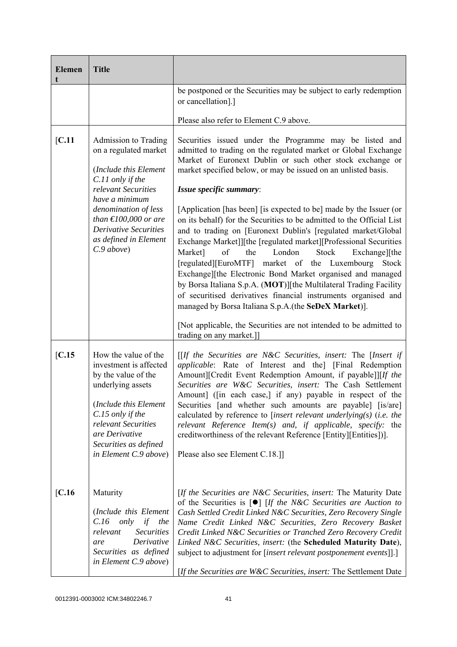| <b>Elemen</b><br>t | <b>Title</b>                                                                                                                                                                                                                                                        |                                                                                                                                                                                                                                                                                                                                                                                                                                                                                                                                                                                                                                                                                                                                                                                                                                                                                                                                                            |  |
|--------------------|---------------------------------------------------------------------------------------------------------------------------------------------------------------------------------------------------------------------------------------------------------------------|------------------------------------------------------------------------------------------------------------------------------------------------------------------------------------------------------------------------------------------------------------------------------------------------------------------------------------------------------------------------------------------------------------------------------------------------------------------------------------------------------------------------------------------------------------------------------------------------------------------------------------------------------------------------------------------------------------------------------------------------------------------------------------------------------------------------------------------------------------------------------------------------------------------------------------------------------------|--|
|                    |                                                                                                                                                                                                                                                                     | be postponed or the Securities may be subject to early redemption<br>or cancellation].]                                                                                                                                                                                                                                                                                                                                                                                                                                                                                                                                                                                                                                                                                                                                                                                                                                                                    |  |
|                    |                                                                                                                                                                                                                                                                     | Please also refer to Element C.9 above.                                                                                                                                                                                                                                                                                                                                                                                                                                                                                                                                                                                                                                                                                                                                                                                                                                                                                                                    |  |
| [C.11]             | Admission to Trading<br>on a regulated market<br>(Include this Element<br>C.11 only if the<br>relevant Securities<br>have a minimum<br>denomination of less<br>than $\epsilon$ 100,000 or are<br><b>Derivative Securities</b><br>as defined in Element<br>C.9 above | Securities issued under the Programme may be listed and<br>admitted to trading on the regulated market or Global Exchange<br>Market of Euronext Dublin or such other stock exchange or<br>market specified below, or may be issued on an unlisted basis.<br>Issue specific summary:<br>[Application [has been] [is expected to be] made by the Issuer (or<br>on its behalf) for the Securities to be admitted to the Official List<br>and to trading on [Euronext Dublin's [regulated market/Global<br>Exchange Market]][the [regulated market][Professional Securities<br>Market]<br>London<br>of<br>the<br>Stock<br>Exchange][the<br>[regulated][EuroMTF] market of the Luxembourg<br>Stock<br>Exchange][the Electronic Bond Market organised and managed<br>by Borsa Italiana S.p.A. (MOT)][the Multilateral Trading Facility<br>of securitised derivatives financial instruments organised and<br>managed by Borsa Italiana S.p.A.(the SeDeX Market)]. |  |
|                    |                                                                                                                                                                                                                                                                     | [Not applicable, the Securities are not intended to be admitted to<br>trading on any market.]]                                                                                                                                                                                                                                                                                                                                                                                                                                                                                                                                                                                                                                                                                                                                                                                                                                                             |  |
| [C.15]             | How the value of the<br>investment is affected<br>by the value of the<br>underlying assets<br>(Include this Element<br>C.15 only if the<br>relevant Securities<br>are Derivative<br>Securities as defined<br>in Element C.9 above)                                  | $[$ If the Securities are N&C Securities, insert: The [Insert if<br>applicable: Rate of Interest and the] [Final Redemption<br>Amount][Credit Event Redemption Amount, if payable]][If the<br>Securities are W&C Securities, insert: The Cash Settlement<br>Amount] ([in each case,] if any) payable in respect of the<br>Securities [and whether such amounts are payable] [is/are]<br>calculated by reference to [insert relevant underlying(s) (i.e. the<br>relevant Reference Item $(s)$ and, if applicable, specify: the<br>creditworthiness of the relevant Reference [Entity][Entities])].<br>Please also see Element C.18.]]                                                                                                                                                                                                                                                                                                                       |  |
| [C.16]             | Maturity<br>(Include this Element<br>$C.16$ only<br>if<br>the<br><b>Securities</b><br>relevant<br>Derivative<br>are<br>Securities as defined<br>in Element C.9 above)                                                                                               | [If the Securities are N&C Securities, insert: The Maturity Date<br>of the Securities is $[\bullet]$ [If the N&C Securities are Auction to<br>Cash Settled Credit Linked N&C Securities, Zero Recovery Single<br>Name Credit Linked N&C Securities, Zero Recovery Basket<br>Credit Linked N&C Securities or Tranched Zero Recovery Credit<br>Linked N&C Securities, insert: (the Scheduled Maturity Date),<br>subject to adjustment for [insert relevant postponement events]].]<br>[If the Securities are $W \& C$ Securities, insert: The Settlement Date                                                                                                                                                                                                                                                                                                                                                                                                |  |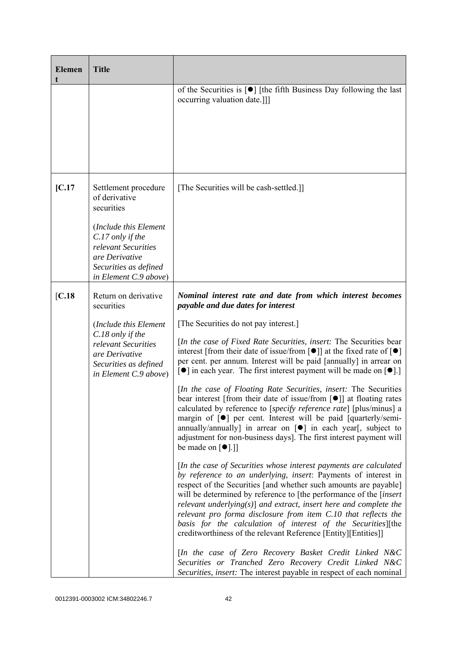| <b>Elemen</b> | <b>Title</b>                                                                                                                                                                                  |                                                                                                                                                                                                                                                                                                                                                                                                                                                                                                                                                                                                                                                                                                                                                                                                                                                                                                                                                                                                                                                                                                                                                                                                                                                                                                                                                                                                                                                                                                                                                                                                                                                                                                                                                                                                                 |
|---------------|-----------------------------------------------------------------------------------------------------------------------------------------------------------------------------------------------|-----------------------------------------------------------------------------------------------------------------------------------------------------------------------------------------------------------------------------------------------------------------------------------------------------------------------------------------------------------------------------------------------------------------------------------------------------------------------------------------------------------------------------------------------------------------------------------------------------------------------------------------------------------------------------------------------------------------------------------------------------------------------------------------------------------------------------------------------------------------------------------------------------------------------------------------------------------------------------------------------------------------------------------------------------------------------------------------------------------------------------------------------------------------------------------------------------------------------------------------------------------------------------------------------------------------------------------------------------------------------------------------------------------------------------------------------------------------------------------------------------------------------------------------------------------------------------------------------------------------------------------------------------------------------------------------------------------------------------------------------------------------------------------------------------------------|
|               |                                                                                                                                                                                               | of the Securities is $\lceil \bullet \rceil$ [the fifth Business Day following the last<br>occurring valuation date.]]                                                                                                                                                                                                                                                                                                                                                                                                                                                                                                                                                                                                                                                                                                                                                                                                                                                                                                                                                                                                                                                                                                                                                                                                                                                                                                                                                                                                                                                                                                                                                                                                                                                                                          |
| [C.17]        | Settlement procedure<br>of derivative<br>securities<br>(Include this Element<br>$C.17$ only if the<br>relevant Securities<br>are Derivative<br>Securities as defined<br>in Element C.9 above) | [The Securities will be cash-settled.]]                                                                                                                                                                                                                                                                                                                                                                                                                                                                                                                                                                                                                                                                                                                                                                                                                                                                                                                                                                                                                                                                                                                                                                                                                                                                                                                                                                                                                                                                                                                                                                                                                                                                                                                                                                         |
| [C.18]        | Return on derivative<br>securities<br>(Include this Element<br>C.18 only if the<br>relevant Securities<br>are Derivative<br>Securities as defined<br>in Element C.9 above)                    | Nominal interest rate and date from which interest becomes<br>payable and due dates for interest<br>[The Securities do not pay interest.]<br>[In the case of Fixed Rate Securities, insert: The Securities bear<br>interest [from their date of issue/from $\lceil \bullet \rceil$ ] at the fixed rate of $\lceil \bullet \rceil$<br>per cent. per annum. Interest will be paid [annually] in arrear on<br>$\lceil \bullet \rceil$ in each year. The first interest payment will be made on $\lceil \bullet \rceil$ .<br>[In the case of Floating Rate Securities, insert: The Securities<br>bear interest [from their date of issue/from [ $\bullet$ ]] at floating rates<br>calculated by reference to [ <i>specify reference rate</i> ] [plus/minus] a<br>margin of $\lceil \bullet \rceil$ per cent. Interest will be paid $\lceil$ quarterly/semi-<br>annually/annually] in arrear on $[\bullet]$ in each year[, subject to<br>adjustment for non-business days]. The first interest payment will<br>be made on $\lceil \bullet \rceil$ .]<br>[In the case of Securities whose interest payments are calculated<br>by reference to an underlying, insert: Payments of interest in<br>respect of the Securities [and whether such amounts are payable]<br>will be determined by reference to [the performance of the <i>[insert</i> ]<br>relevant underlying $(s)$ and extract, insert here and complete the<br>relevant pro forma disclosure from item C.10 that reflects the<br>basis for the calculation of interest of the Securities][the<br>creditworthiness of the relevant Reference [Entity][Entities]]<br>[In the case of Zero Recovery Basket Credit Linked N&C<br>Securities or Tranched Zero Recovery Credit Linked N&C<br>Securities, insert: The interest payable in respect of each nominal |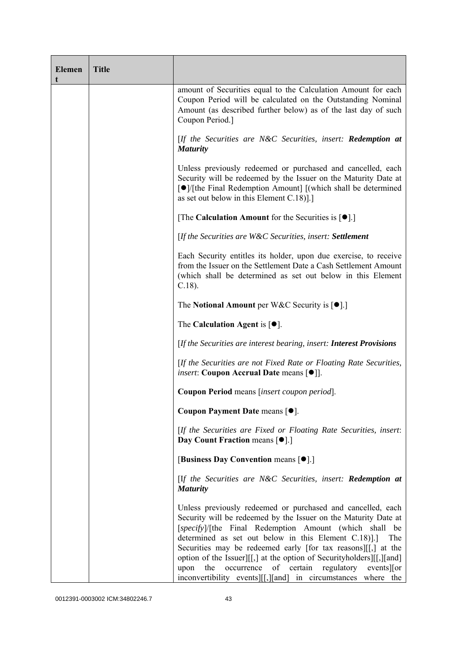| <b>Elemen</b><br>t | <b>Title</b> |                                                                                                                                                                                                                                                                                                                                                                                                                                                                                                                                  |  |
|--------------------|--------------|----------------------------------------------------------------------------------------------------------------------------------------------------------------------------------------------------------------------------------------------------------------------------------------------------------------------------------------------------------------------------------------------------------------------------------------------------------------------------------------------------------------------------------|--|
|                    |              | amount of Securities equal to the Calculation Amount for each<br>Coupon Period will be calculated on the Outstanding Nominal<br>Amount (as described further below) as of the last day of such<br>Coupon Period.]                                                                                                                                                                                                                                                                                                                |  |
|                    |              | [If the Securities are N&C Securities, insert: Redemption at<br><b>Maturity</b>                                                                                                                                                                                                                                                                                                                                                                                                                                                  |  |
|                    |              | Unless previously redeemed or purchased and cancelled, each<br>Security will be redeemed by the Issuer on the Maturity Date at<br>[●]/[the Final Redemption Amount] [(which shall be determined<br>as set out below in this Element C.18)].]                                                                                                                                                                                                                                                                                     |  |
|                    |              | [The Calculation Amount for the Securities is $[•]$ .]                                                                                                                                                                                                                                                                                                                                                                                                                                                                           |  |
|                    |              | [If the Securities are W&C Securities, insert: Settlement                                                                                                                                                                                                                                                                                                                                                                                                                                                                        |  |
|                    |              | Each Security entitles its holder, upon due exercise, to receive<br>from the Issuer on the Settlement Date a Cash Settlement Amount<br>(which shall be determined as set out below in this Element<br>$C.18$ ).                                                                                                                                                                                                                                                                                                                  |  |
|                    |              | The Notional Amount per W&C Security is $[•]$ .]                                                                                                                                                                                                                                                                                                                                                                                                                                                                                 |  |
|                    |              | The Calculation Agent is $[•]$ .                                                                                                                                                                                                                                                                                                                                                                                                                                                                                                 |  |
|                    |              | [If the Securities are interest bearing, insert: Interest Provisions                                                                                                                                                                                                                                                                                                                                                                                                                                                             |  |
|                    |              | [If the Securities are not Fixed Rate or Floating Rate Securities,<br><i>insert</i> : Coupon Accrual Date means [ $\bullet$ ]].                                                                                                                                                                                                                                                                                                                                                                                                  |  |
|                    |              | Coupon Period means [insert coupon period].                                                                                                                                                                                                                                                                                                                                                                                                                                                                                      |  |
|                    |              | Coupon Payment Date means [ $\bullet$ ].                                                                                                                                                                                                                                                                                                                                                                                                                                                                                         |  |
|                    |              | [If the Securities are Fixed or Floating Rate Securities, insert:<br>Day Count Fraction means [ $\bullet$ ].]                                                                                                                                                                                                                                                                                                                                                                                                                    |  |
|                    |              | [Business Day Convention means [ $\bullet$ ].]                                                                                                                                                                                                                                                                                                                                                                                                                                                                                   |  |
|                    |              | [If the Securities are N&C Securities, insert: Redemption at<br><b>Maturity</b>                                                                                                                                                                                                                                                                                                                                                                                                                                                  |  |
|                    |              | Unless previously redeemed or purchased and cancelled, each<br>Security will be redeemed by the Issuer on the Maturity Date at<br>[specify]/[the Final Redemption Amount (which shall be<br>determined as set out below in this Element C.18).<br>The<br>Securities may be redeemed early [for tax reasons][[,] at the<br>option of the Issuer][[,] at the option of Securityholders][[,][and]<br>occurrence of certain<br>the<br>regulatory events or<br>upon<br>inconvertibility events [[[, ][and] in circumstances where the |  |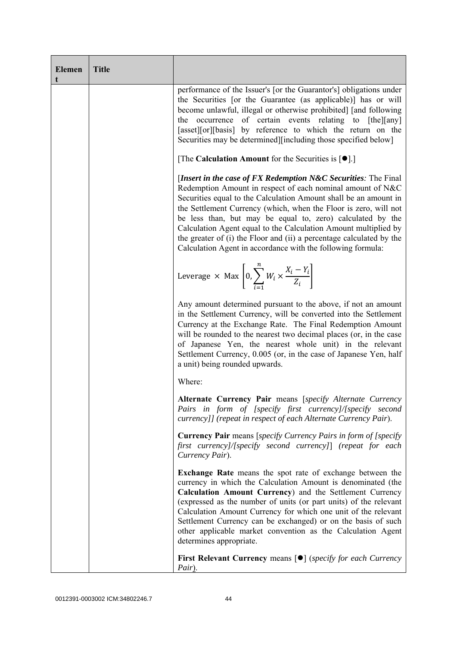| <b>Elemen</b> | <b>Title</b> |                                                                                                                                                                                                                                                                                                                                                                                                                                                                                                                                              |
|---------------|--------------|----------------------------------------------------------------------------------------------------------------------------------------------------------------------------------------------------------------------------------------------------------------------------------------------------------------------------------------------------------------------------------------------------------------------------------------------------------------------------------------------------------------------------------------------|
|               |              | performance of the Issuer's [or the Guarantor's] obligations under<br>the Securities [or the Guarantee (as applicable)] has or will<br>become unlawful, illegal or otherwise prohibited] [and following<br>occurrence of certain events relating to [the][any]<br>the<br>[asset][or][basis] by reference to which the return on the<br>Securities may be determined][including those specified below]                                                                                                                                        |
|               |              | [The Calculation Amount for the Securities is $[•]$ .]                                                                                                                                                                                                                                                                                                                                                                                                                                                                                       |
|               |              | [Insert in the case of FX Redemption N&C Securities: The Final<br>Redemption Amount in respect of each nominal amount of N&C<br>Securities equal to the Calculation Amount shall be an amount in<br>the Settlement Currency (which, when the Floor is zero, will not<br>be less than, but may be equal to, zero) calculated by the<br>Calculation Agent equal to the Calculation Amount multiplied by<br>the greater of (i) the Floor and (ii) a percentage calculated by the<br>Calculation Agent in accordance with the following formula: |
|               |              | Leverage $\times$ Max $\left[0, \sum_{i=1}^{n} W_i \times \frac{X_i - Y_i}{Z_i}\right]$                                                                                                                                                                                                                                                                                                                                                                                                                                                      |
|               |              | Any amount determined pursuant to the above, if not an amount<br>in the Settlement Currency, will be converted into the Settlement<br>Currency at the Exchange Rate. The Final Redemption Amount<br>will be rounded to the nearest two decimal places (or, in the case<br>of Japanese Yen, the nearest whole unit) in the relevant<br>Settlement Currency, 0.005 (or, in the case of Japanese Yen, half<br>a unit) being rounded upwards.                                                                                                    |
|               |              | Where:                                                                                                                                                                                                                                                                                                                                                                                                                                                                                                                                       |
|               |              | Alternate Currency Pair means [specify Alternate Currency<br>Pairs in form of [specify first currency]/[specify second<br>currency]] (repeat in respect of each Alternate Currency Pair).                                                                                                                                                                                                                                                                                                                                                    |
|               |              | <b>Currency Pair</b> means [specify Currency Pairs in form of [specify]<br>first currency]/[specify second currency]] (repeat for each<br>Currency Pair).                                                                                                                                                                                                                                                                                                                                                                                    |
|               |              | <b>Exchange Rate</b> means the spot rate of exchange between the<br>currency in which the Calculation Amount is denominated (the<br>Calculation Amount Currency) and the Settlement Currency<br>(expressed as the number of units (or part units) of the relevant<br>Calculation Amount Currency for which one unit of the relevant<br>Settlement Currency can be exchanged) or on the basis of such<br>other applicable market convention as the Calculation Agent<br>determines appropriate.                                               |
|               |              | <b>First Relevant Currency means <math>\lceil \bullet \rceil</math> (specify for each Currency</b><br>Pair).                                                                                                                                                                                                                                                                                                                                                                                                                                 |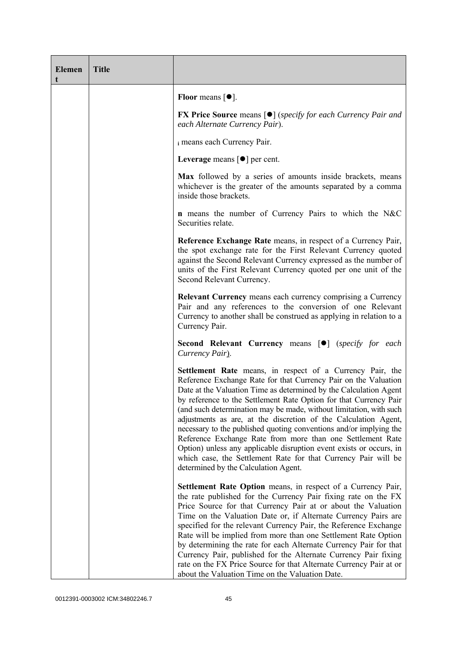| <b>Elemen</b><br>t | <b>Title</b> |                                                                                                                                                                                                                                                                                                                                                                                                                                                                                                                                                                                                                                                                                                                                      |
|--------------------|--------------|--------------------------------------------------------------------------------------------------------------------------------------------------------------------------------------------------------------------------------------------------------------------------------------------------------------------------------------------------------------------------------------------------------------------------------------------------------------------------------------------------------------------------------------------------------------------------------------------------------------------------------------------------------------------------------------------------------------------------------------|
|                    |              | Floor means $[•]$ .                                                                                                                                                                                                                                                                                                                                                                                                                                                                                                                                                                                                                                                                                                                  |
|                    |              | <b>FX Price Source means [<math>\bullet</math>]</b> (specify for each Currency Pair and<br>each Alternate Currency Pair).                                                                                                                                                                                                                                                                                                                                                                                                                                                                                                                                                                                                            |
|                    |              | i means each Currency Pair.                                                                                                                                                                                                                                                                                                                                                                                                                                                                                                                                                                                                                                                                                                          |
|                    |              | Leverage means $\lceil \bullet \rceil$ per cent.                                                                                                                                                                                                                                                                                                                                                                                                                                                                                                                                                                                                                                                                                     |
|                    |              | Max followed by a series of amounts inside brackets, means<br>whichever is the greater of the amounts separated by a comma<br>inside those brackets.                                                                                                                                                                                                                                                                                                                                                                                                                                                                                                                                                                                 |
|                    |              | <b>n</b> means the number of Currency Pairs to which the N&C<br>Securities relate.                                                                                                                                                                                                                                                                                                                                                                                                                                                                                                                                                                                                                                                   |
|                    |              | Reference Exchange Rate means, in respect of a Currency Pair,<br>the spot exchange rate for the First Relevant Currency quoted<br>against the Second Relevant Currency expressed as the number of<br>units of the First Relevant Currency quoted per one unit of the<br>Second Relevant Currency.                                                                                                                                                                                                                                                                                                                                                                                                                                    |
|                    |              | <b>Relevant Currency</b> means each currency comprising a Currency<br>Pair and any references to the conversion of one Relevant<br>Currency to another shall be construed as applying in relation to a<br>Currency Pair.                                                                                                                                                                                                                                                                                                                                                                                                                                                                                                             |
|                    |              | Second Relevant Currency means [ <sup>o</sup> ] (specify for each<br>Currency Pair).                                                                                                                                                                                                                                                                                                                                                                                                                                                                                                                                                                                                                                                 |
|                    |              | Settlement Rate means, in respect of a Currency Pair, the<br>Reference Exchange Rate for that Currency Pair on the Valuation<br>Date at the Valuation Time as determined by the Calculation Agent<br>by reference to the Settlement Rate Option for that Currency Pair<br>(and such determination may be made, without limitation, with such<br>adjustments as are, at the discretion of the Calculation Agent,<br>necessary to the published quoting conventions and/or implying the<br>Reference Exchange Rate from more than one Settlement Rate<br>Option) unless any applicable disruption event exists or occurs, in<br>which case, the Settlement Rate for that Currency Pair will be<br>determined by the Calculation Agent. |
|                    |              | Settlement Rate Option means, in respect of a Currency Pair,<br>the rate published for the Currency Pair fixing rate on the FX<br>Price Source for that Currency Pair at or about the Valuation<br>Time on the Valuation Date or, if Alternate Currency Pairs are<br>specified for the relevant Currency Pair, the Reference Exchange<br>Rate will be implied from more than one Settlement Rate Option<br>by determining the rate for each Alternate Currency Pair for that<br>Currency Pair, published for the Alternate Currency Pair fixing<br>rate on the FX Price Source for that Alternate Currency Pair at or<br>about the Valuation Time on the Valuation Date.                                                             |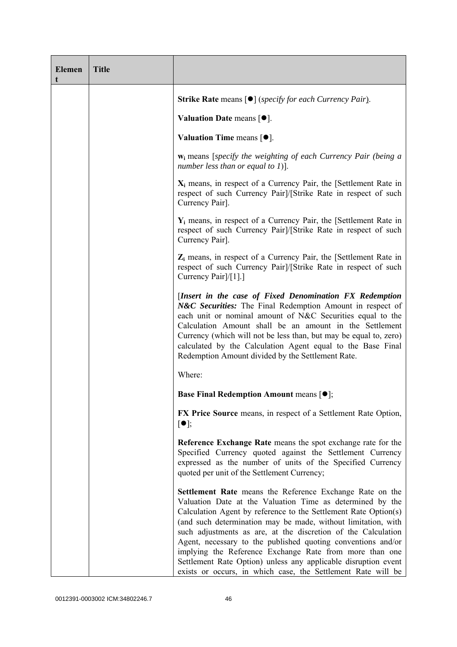| <b>Elemen</b> | <b>Title</b> |                                                                                                                                                                                                                                                                                                                                                                                                                                                                                                                                                                                         |
|---------------|--------------|-----------------------------------------------------------------------------------------------------------------------------------------------------------------------------------------------------------------------------------------------------------------------------------------------------------------------------------------------------------------------------------------------------------------------------------------------------------------------------------------------------------------------------------------------------------------------------------------|
|               |              | Strike Rate means [ <sup>•</sup> ] ( <i>specify for each Currency Pair</i> ).                                                                                                                                                                                                                                                                                                                                                                                                                                                                                                           |
|               |              | Valuation Date means $[•]$ .                                                                                                                                                                                                                                                                                                                                                                                                                                                                                                                                                            |
|               |              | Valuation Time means $[•]$ .                                                                                                                                                                                                                                                                                                                                                                                                                                                                                                                                                            |
|               |              | $w_i$ means [specify the weighting of each Currency Pair (being a<br>number less than or equal to 1)].                                                                                                                                                                                                                                                                                                                                                                                                                                                                                  |
|               |              | $X_i$ means, in respect of a Currency Pair, the [Settlement Rate in<br>respect of such Currency Pair]/[Strike Rate in respect of such<br>Currency Pair].                                                                                                                                                                                                                                                                                                                                                                                                                                |
|               |              | $Y_i$ means, in respect of a Currency Pair, the [Settlement Rate in<br>respect of such Currency Pair]/[Strike Rate in respect of such<br>Currency Pair].                                                                                                                                                                                                                                                                                                                                                                                                                                |
|               |              | Z <sub>i</sub> means, in respect of a Currency Pair, the [Settlement Rate in<br>respect of such Currency Pair]/[Strike Rate in respect of such<br>Currency Pair]/[1].]                                                                                                                                                                                                                                                                                                                                                                                                                  |
|               |              | [Insert in the case of Fixed Denomination FX Redemption<br>N&C Securities: The Final Redemption Amount in respect of<br>each unit or nominal amount of N&C Securities equal to the<br>Calculation Amount shall be an amount in the Settlement<br>Currency (which will not be less than, but may be equal to, zero)<br>calculated by the Calculation Agent equal to the Base Final<br>Redemption Amount divided by the Settlement Rate.                                                                                                                                                  |
|               |              | Where:                                                                                                                                                                                                                                                                                                                                                                                                                                                                                                                                                                                  |
|               |              | <b>Base Final Redemption Amount means <math>[①]</math>;</b>                                                                                                                                                                                                                                                                                                                                                                                                                                                                                                                             |
|               |              | FX Price Source means, in respect of a Settlement Rate Option,<br>$[\bullet]$ ;                                                                                                                                                                                                                                                                                                                                                                                                                                                                                                         |
|               |              | Reference Exchange Rate means the spot exchange rate for the<br>Specified Currency quoted against the Settlement Currency<br>expressed as the number of units of the Specified Currency<br>quoted per unit of the Settlement Currency;                                                                                                                                                                                                                                                                                                                                                  |
|               |              | Settlement Rate means the Reference Exchange Rate on the<br>Valuation Date at the Valuation Time as determined by the<br>Calculation Agent by reference to the Settlement Rate Option(s)<br>(and such determination may be made, without limitation, with<br>such adjustments as are, at the discretion of the Calculation<br>Agent, necessary to the published quoting conventions and/or<br>implying the Reference Exchange Rate from more than one<br>Settlement Rate Option) unless any applicable disruption event<br>exists or occurs, in which case, the Settlement Rate will be |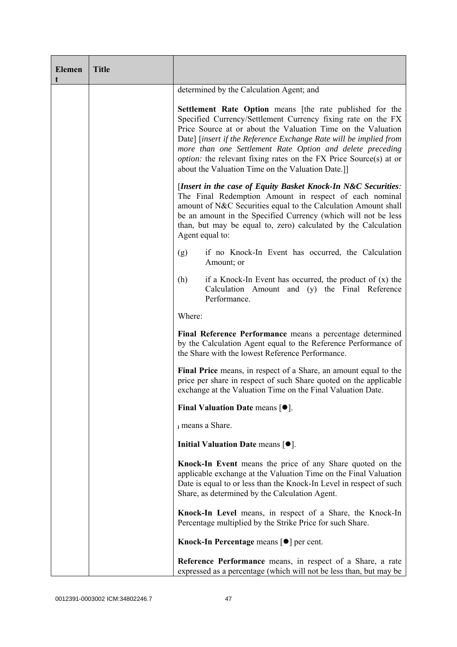| <b>Elemen</b><br>t | <b>Title</b> |                                                                                                                                                                                                                                                                                                                                                                                                                                                                    |  |  |
|--------------------|--------------|--------------------------------------------------------------------------------------------------------------------------------------------------------------------------------------------------------------------------------------------------------------------------------------------------------------------------------------------------------------------------------------------------------------------------------------------------------------------|--|--|
|                    |              | determined by the Calculation Agent; and                                                                                                                                                                                                                                                                                                                                                                                                                           |  |  |
|                    |              | <b>Settlement Rate Option</b> means [the rate published for the<br>Specified Currency/Settlement Currency fixing rate on the FX<br>Price Source at or about the Valuation Time on the Valuation<br>Date] [insert if the Reference Exchange Rate will be implied from<br>more than one Settlement Rate Option and delete preceding<br><i>option:</i> the relevant fixing rates on the FX Price Source(s) at or<br>about the Valuation Time on the Valuation Date.]] |  |  |
|                    |              | [Insert in the case of Equity Basket Knock-In N&C Securities:<br>The Final Redemption Amount in respect of each nominal<br>amount of N&C Securities equal to the Calculation Amount shall<br>be an amount in the Specified Currency (which will not be less<br>than, but may be equal to, zero) calculated by the Calculation<br>Agent equal to:                                                                                                                   |  |  |
|                    |              | if no Knock-In Event has occurred, the Calculation<br>(g)<br>Amount; or                                                                                                                                                                                                                                                                                                                                                                                            |  |  |
|                    |              | (h)<br>if a Knock-In Event has occurred, the product of $(x)$ the<br>Calculation Amount and (y) the Final Reference<br>Performance.                                                                                                                                                                                                                                                                                                                                |  |  |
|                    |              | Where:                                                                                                                                                                                                                                                                                                                                                                                                                                                             |  |  |
|                    |              | Final Reference Performance means a percentage determined<br>by the Calculation Agent equal to the Reference Performance of<br>the Share with the lowest Reference Performance.                                                                                                                                                                                                                                                                                    |  |  |
|                    |              | Final Price means, in respect of a Share, an amount equal to the<br>price per share in respect of such Share quoted on the applicable<br>exchange at the Valuation Time on the Final Valuation Date.                                                                                                                                                                                                                                                               |  |  |
|                    |              | Final Valuation Date means $[•]$ .                                                                                                                                                                                                                                                                                                                                                                                                                                 |  |  |
|                    |              | i means a Share.                                                                                                                                                                                                                                                                                                                                                                                                                                                   |  |  |
|                    |              | Initial Valuation Date means $[•]$ .                                                                                                                                                                                                                                                                                                                                                                                                                               |  |  |
|                    |              | Knock-In Event means the price of any Share quoted on the<br>applicable exchange at the Valuation Time on the Final Valuation<br>Date is equal to or less than the Knock-In Level in respect of such<br>Share, as determined by the Calculation Agent.                                                                                                                                                                                                             |  |  |
|                    |              | Knock-In Level means, in respect of a Share, the Knock-In<br>Percentage multiplied by the Strike Price for such Share.                                                                                                                                                                                                                                                                                                                                             |  |  |
|                    |              | Knock-In Percentage means [●] per cent.                                                                                                                                                                                                                                                                                                                                                                                                                            |  |  |
|                    |              | Reference Performance means, in respect of a Share, a rate<br>expressed as a percentage (which will not be less than, but may be                                                                                                                                                                                                                                                                                                                                   |  |  |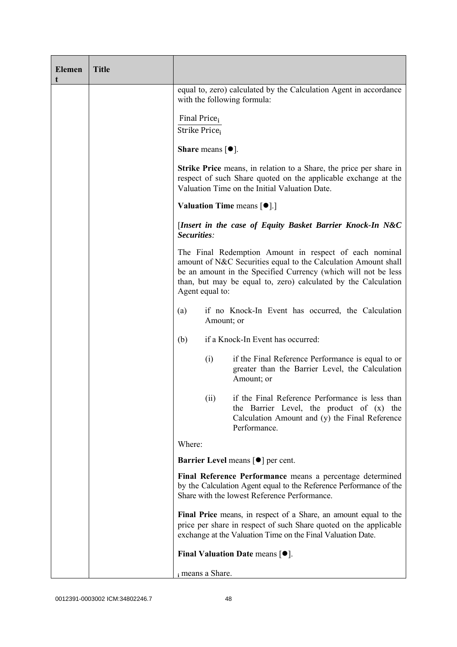| <b>Elemen</b><br>t | <b>Title</b> |                                                                                                                                                                                                                                                                                 |                                                                                                                                                                |  |  |
|--------------------|--------------|---------------------------------------------------------------------------------------------------------------------------------------------------------------------------------------------------------------------------------------------------------------------------------|----------------------------------------------------------------------------------------------------------------------------------------------------------------|--|--|
|                    |              | equal to, zero) calculated by the Calculation Agent in accordance<br>with the following formula:                                                                                                                                                                                |                                                                                                                                                                |  |  |
|                    |              | Final Price <sub>i</sub><br>Strike Price <sub>i</sub>                                                                                                                                                                                                                           |                                                                                                                                                                |  |  |
|                    |              | <b>Share</b> means $\lceil \bullet \rceil$ .                                                                                                                                                                                                                                    |                                                                                                                                                                |  |  |
|                    |              | <b>Strike Price</b> means, in relation to a Share, the price per share in<br>respect of such Share quoted on the applicable exchange at the<br>Valuation Time on the Initial Valuation Date.                                                                                    |                                                                                                                                                                |  |  |
|                    |              | Valuation Time means [ $\bullet$ ].]                                                                                                                                                                                                                                            |                                                                                                                                                                |  |  |
|                    |              |                                                                                                                                                                                                                                                                                 | [Insert in the case of Equity Basket Barrier Knock-In N&C<br>Securities:                                                                                       |  |  |
|                    |              | The Final Redemption Amount in respect of each nominal<br>amount of N&C Securities equal to the Calculation Amount shall<br>be an amount in the Specified Currency (which will not be less<br>than, but may be equal to, zero) calculated by the Calculation<br>Agent equal to: |                                                                                                                                                                |  |  |
|                    |              | if no Knock-In Event has occurred, the Calculation<br>(a)<br>Amount; or                                                                                                                                                                                                         |                                                                                                                                                                |  |  |
|                    |              | (b)                                                                                                                                                                                                                                                                             | if a Knock-In Event has occurred:                                                                                                                              |  |  |
|                    |              | (i)                                                                                                                                                                                                                                                                             | if the Final Reference Performance is equal to or<br>greater than the Barrier Level, the Calculation<br>Amount; or                                             |  |  |
|                    |              | (ii)                                                                                                                                                                                                                                                                            | if the Final Reference Performance is less than<br>the Barrier Level, the product of (x) the<br>Calculation Amount and (y) the Final Reference<br>Performance. |  |  |
|                    |              | Where:                                                                                                                                                                                                                                                                          |                                                                                                                                                                |  |  |
|                    |              |                                                                                                                                                                                                                                                                                 | Barrier Level means [ $\bullet$ ] per cent.                                                                                                                    |  |  |
|                    |              | Final Reference Performance means a percentage determined<br>by the Calculation Agent equal to the Reference Performance of the<br>Share with the lowest Reference Performance.                                                                                                 |                                                                                                                                                                |  |  |
|                    |              | Final Price means, in respect of a Share, an amount equal to the<br>price per share in respect of such Share quoted on the applicable<br>exchange at the Valuation Time on the Final Valuation Date.                                                                            |                                                                                                                                                                |  |  |
|                    |              | Final Valuation Date means $[•]$ .                                                                                                                                                                                                                                              |                                                                                                                                                                |  |  |
|                    |              | i means a Share.                                                                                                                                                                                                                                                                |                                                                                                                                                                |  |  |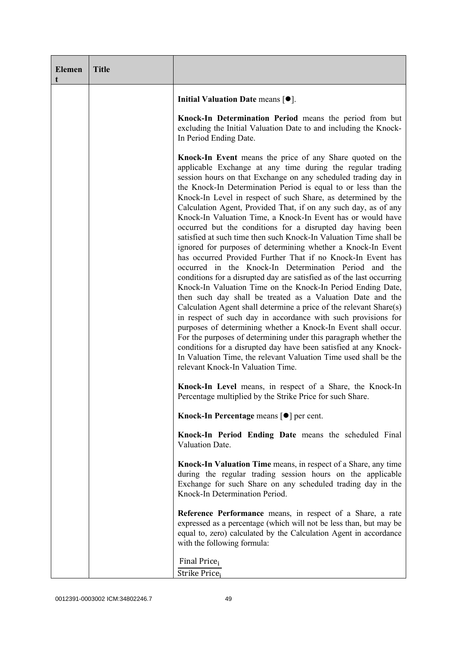| <b>Elemen</b><br>t | <b>Title</b> |                                                                                                                                                                                                                                                                                                                                                                                                                                                                                                                                                                                                                                                                                                                                                                                                                                                                                                                                                                                                                                                                                                                                                                                                                                                                                                                                                                                                                                                           |
|--------------------|--------------|-----------------------------------------------------------------------------------------------------------------------------------------------------------------------------------------------------------------------------------------------------------------------------------------------------------------------------------------------------------------------------------------------------------------------------------------------------------------------------------------------------------------------------------------------------------------------------------------------------------------------------------------------------------------------------------------------------------------------------------------------------------------------------------------------------------------------------------------------------------------------------------------------------------------------------------------------------------------------------------------------------------------------------------------------------------------------------------------------------------------------------------------------------------------------------------------------------------------------------------------------------------------------------------------------------------------------------------------------------------------------------------------------------------------------------------------------------------|
|                    |              | Initial Valuation Date means $[•]$ .                                                                                                                                                                                                                                                                                                                                                                                                                                                                                                                                                                                                                                                                                                                                                                                                                                                                                                                                                                                                                                                                                                                                                                                                                                                                                                                                                                                                                      |
|                    |              | Knock-In Determination Period means the period from but<br>excluding the Initial Valuation Date to and including the Knock-<br>In Period Ending Date.                                                                                                                                                                                                                                                                                                                                                                                                                                                                                                                                                                                                                                                                                                                                                                                                                                                                                                                                                                                                                                                                                                                                                                                                                                                                                                     |
|                    |              | Knock-In Event means the price of any Share quoted on the<br>applicable Exchange at any time during the regular trading<br>session hours on that Exchange on any scheduled trading day in<br>the Knock-In Determination Period is equal to or less than the<br>Knock-In Level in respect of such Share, as determined by the<br>Calculation Agent, Provided That, if on any such day, as of any<br>Knock-In Valuation Time, a Knock-In Event has or would have<br>occurred but the conditions for a disrupted day having been<br>satisfied at such time then such Knock-In Valuation Time shall be<br>ignored for purposes of determining whether a Knock-In Event<br>has occurred Provided Further That if no Knock-In Event has<br>occurred in the Knock-In Determination Period and the<br>conditions for a disrupted day are satisfied as of the last occurring<br>Knock-In Valuation Time on the Knock-In Period Ending Date,<br>then such day shall be treated as a Valuation Date and the<br>Calculation Agent shall determine a price of the relevant Share(s)<br>in respect of such day in accordance with such provisions for<br>purposes of determining whether a Knock-In Event shall occur.<br>For the purposes of determining under this paragraph whether the<br>conditions for a disrupted day have been satisfied at any Knock-<br>In Valuation Time, the relevant Valuation Time used shall be the<br>relevant Knock-In Valuation Time. |
|                    |              | Knock-In Level means, in respect of a Share, the Knock-In<br>Percentage multiplied by the Strike Price for such Share.                                                                                                                                                                                                                                                                                                                                                                                                                                                                                                                                                                                                                                                                                                                                                                                                                                                                                                                                                                                                                                                                                                                                                                                                                                                                                                                                    |
|                    |              | Knock-In Percentage means [●] per cent.                                                                                                                                                                                                                                                                                                                                                                                                                                                                                                                                                                                                                                                                                                                                                                                                                                                                                                                                                                                                                                                                                                                                                                                                                                                                                                                                                                                                                   |
|                    |              | Knock-In Period Ending Date means the scheduled Final<br>Valuation Date.                                                                                                                                                                                                                                                                                                                                                                                                                                                                                                                                                                                                                                                                                                                                                                                                                                                                                                                                                                                                                                                                                                                                                                                                                                                                                                                                                                                  |
|                    |              | Knock-In Valuation Time means, in respect of a Share, any time<br>during the regular trading session hours on the applicable<br>Exchange for such Share on any scheduled trading day in the<br>Knock-In Determination Period.                                                                                                                                                                                                                                                                                                                                                                                                                                                                                                                                                                                                                                                                                                                                                                                                                                                                                                                                                                                                                                                                                                                                                                                                                             |
|                    |              | Reference Performance means, in respect of a Share, a rate<br>expressed as a percentage (which will not be less than, but may be<br>equal to, zero) calculated by the Calculation Agent in accordance<br>with the following formula:                                                                                                                                                                                                                                                                                                                                                                                                                                                                                                                                                                                                                                                                                                                                                                                                                                                                                                                                                                                                                                                                                                                                                                                                                      |
|                    |              | Final Price <sub>i</sub><br>Strike Price <sub>i</sub>                                                                                                                                                                                                                                                                                                                                                                                                                                                                                                                                                                                                                                                                                                                                                                                                                                                                                                                                                                                                                                                                                                                                                                                                                                                                                                                                                                                                     |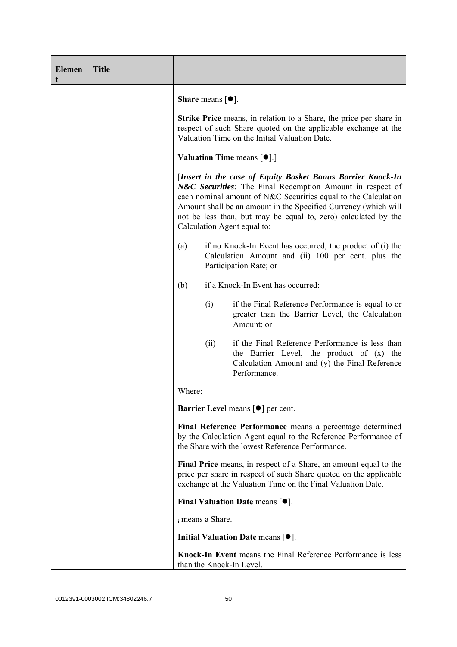| <b>Elemen</b><br>t | <b>Title</b> |                                                                                                                                                                                                                                                                                                                                                                |
|--------------------|--------------|----------------------------------------------------------------------------------------------------------------------------------------------------------------------------------------------------------------------------------------------------------------------------------------------------------------------------------------------------------------|
|                    |              | <b>Share</b> means $\lceil \bullet \rceil$ .                                                                                                                                                                                                                                                                                                                   |
|                    |              | <b>Strike Price</b> means, in relation to a Share, the price per share in<br>respect of such Share quoted on the applicable exchange at the<br>Valuation Time on the Initial Valuation Date.                                                                                                                                                                   |
|                    |              | <b>Valuation Time means <math>\lceil \bullet \rceil</math>.</b>                                                                                                                                                                                                                                                                                                |
|                    |              | [Insert in the case of Equity Basket Bonus Barrier Knock-In<br>N&C Securities: The Final Redemption Amount in respect of<br>each nominal amount of N&C Securities equal to the Calculation<br>Amount shall be an amount in the Specified Currency (which will<br>not be less than, but may be equal to, zero) calculated by the<br>Calculation Agent equal to: |
|                    |              | if no Knock-In Event has occurred, the product of (i) the<br>(a)<br>Calculation Amount and (ii) 100 per cent. plus the<br>Participation Rate; or                                                                                                                                                                                                               |
|                    |              | if a Knock-In Event has occurred:<br>(b)                                                                                                                                                                                                                                                                                                                       |
|                    |              | (i)<br>if the Final Reference Performance is equal to or<br>greater than the Barrier Level, the Calculation<br>Amount; or                                                                                                                                                                                                                                      |
|                    |              | if the Final Reference Performance is less than<br>(ii)<br>the Barrier Level, the product of (x) the<br>Calculation Amount and (y) the Final Reference<br>Performance.                                                                                                                                                                                         |
|                    |              | Where:                                                                                                                                                                                                                                                                                                                                                         |
|                    |              | <b>Barrier Level</b> means $\lceil \bullet \rceil$ per cent.                                                                                                                                                                                                                                                                                                   |
|                    |              | Final Reference Performance means a percentage determined<br>by the Calculation Agent equal to the Reference Performance of<br>the Share with the lowest Reference Performance.                                                                                                                                                                                |
|                    |              | Final Price means, in respect of a Share, an amount equal to the<br>price per share in respect of such Share quoted on the applicable<br>exchange at the Valuation Time on the Final Valuation Date.                                                                                                                                                           |
|                    |              | Final Valuation Date means $[•]$ .                                                                                                                                                                                                                                                                                                                             |
|                    |              | i means a Share.                                                                                                                                                                                                                                                                                                                                               |
|                    |              | Initial Valuation Date means $[•]$ .                                                                                                                                                                                                                                                                                                                           |
|                    |              | Knock-In Event means the Final Reference Performance is less<br>than the Knock-In Level.                                                                                                                                                                                                                                                                       |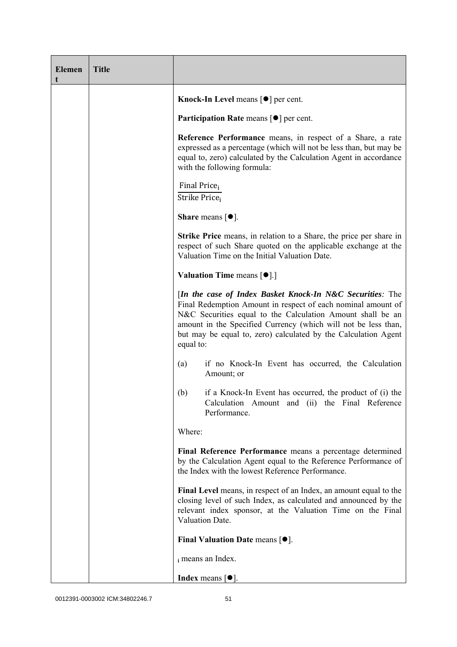| <b>Elemen</b> | <b>Title</b> |                                                                                                                                                                                                                                                                                                                                          |
|---------------|--------------|------------------------------------------------------------------------------------------------------------------------------------------------------------------------------------------------------------------------------------------------------------------------------------------------------------------------------------------|
|               |              | Knock-In Level means [●] per cent.                                                                                                                                                                                                                                                                                                       |
|               |              | Participation Rate means [ $\bullet$ ] per cent.                                                                                                                                                                                                                                                                                         |
|               |              | Reference Performance means, in respect of a Share, a rate<br>expressed as a percentage (which will not be less than, but may be<br>equal to, zero) calculated by the Calculation Agent in accordance<br>with the following formula:                                                                                                     |
|               |              | Final Price <sub>i</sub><br>Strike Price;                                                                                                                                                                                                                                                                                                |
|               |              | <b>Share</b> means $\lceil \bullet \rceil$ .                                                                                                                                                                                                                                                                                             |
|               |              | Strike Price means, in relation to a Share, the price per share in<br>respect of such Share quoted on the applicable exchange at the<br>Valuation Time on the Initial Valuation Date.                                                                                                                                                    |
|               |              | <b>Valuation Time means <math>\lceil \bullet \rceil</math>.</b>                                                                                                                                                                                                                                                                          |
|               |              | [In the case of Index Basket Knock-In N&C Securities: The<br>Final Redemption Amount in respect of each nominal amount of<br>N&C Securities equal to the Calculation Amount shall be an<br>amount in the Specified Currency (which will not be less than,<br>but may be equal to, zero) calculated by the Calculation Agent<br>equal to: |
|               |              | if no Knock-In Event has occurred, the Calculation<br>(a)<br>Amount; or                                                                                                                                                                                                                                                                  |
|               |              | if a Knock-In Event has occurred, the product of (i) the<br>(b)<br>Calculation Amount and (ii) the Final Reference<br>Performance.                                                                                                                                                                                                       |
|               |              | Where:                                                                                                                                                                                                                                                                                                                                   |
|               |              | Final Reference Performance means a percentage determined<br>by the Calculation Agent equal to the Reference Performance of<br>the Index with the lowest Reference Performance.                                                                                                                                                          |
|               |              | Final Level means, in respect of an Index, an amount equal to the<br>closing level of such Index, as calculated and announced by the<br>relevant index sponsor, at the Valuation Time on the Final<br>Valuation Date.                                                                                                                    |
|               |              | Final Valuation Date means $[•]$ .                                                                                                                                                                                                                                                                                                       |
|               |              | i means an Index.                                                                                                                                                                                                                                                                                                                        |
|               |              | <b>Index</b> means $\lceil \bullet \rceil$ .                                                                                                                                                                                                                                                                                             |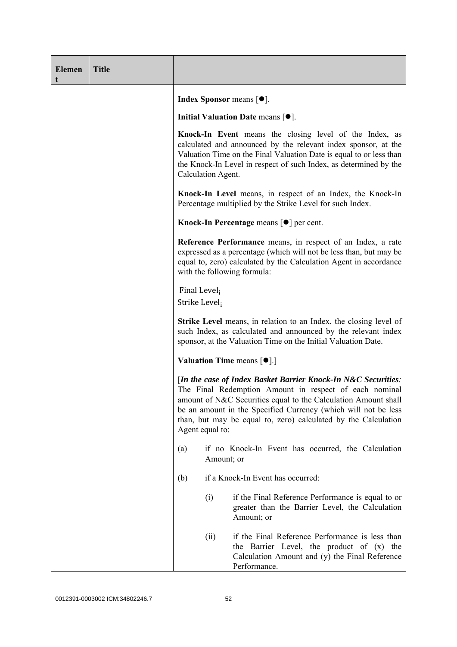| <b>Elemen</b><br>t | <b>Title</b> |                                                                                                                                                                                                                                                                                                                                                  |
|--------------------|--------------|--------------------------------------------------------------------------------------------------------------------------------------------------------------------------------------------------------------------------------------------------------------------------------------------------------------------------------------------------|
|                    |              | <b>Index Sponsor</b> means $\lceil \bullet \rceil$ .                                                                                                                                                                                                                                                                                             |
|                    |              | Initial Valuation Date means $[•]$ .                                                                                                                                                                                                                                                                                                             |
|                    |              | Knock-In Event means the closing level of the Index, as<br>calculated and announced by the relevant index sponsor, at the<br>Valuation Time on the Final Valuation Date is equal to or less than<br>the Knock-In Level in respect of such Index, as determined by the<br>Calculation Agent.                                                      |
|                    |              | Knock-In Level means, in respect of an Index, the Knock-In<br>Percentage multiplied by the Strike Level for such Index.                                                                                                                                                                                                                          |
|                    |              | Knock-In Percentage means [●] per cent.                                                                                                                                                                                                                                                                                                          |
|                    |              | Reference Performance means, in respect of an Index, a rate<br>expressed as a percentage (which will not be less than, but may be<br>equal to, zero) calculated by the Calculation Agent in accordance<br>with the following formula:                                                                                                            |
|                    |              | Final Level<br>Strike Level <sub>i</sub>                                                                                                                                                                                                                                                                                                         |
|                    |              | <b>Strike Level</b> means, in relation to an Index, the closing level of<br>such Index, as calculated and announced by the relevant index<br>sponsor, at the Valuation Time on the Initial Valuation Date.                                                                                                                                       |
|                    |              | <b>Valuation Time means <math>\lceil \bullet \rceil</math>.</b>                                                                                                                                                                                                                                                                                  |
|                    |              | [In the case of Index Basket Barrier Knock-In N&C Securities:<br>The Final Redemption Amount in respect of each nominal<br>amount of N&C Securities equal to the Calculation Amount shall<br>be an amount in the Specified Currency (which will not be less<br>than, but may be equal to, zero) calculated by the Calculation<br>Agent equal to: |
|                    |              | if no Knock-In Event has occurred, the Calculation<br>(a)<br>Amount; or                                                                                                                                                                                                                                                                          |
|                    |              | if a Knock-In Event has occurred:<br>(b)                                                                                                                                                                                                                                                                                                         |
|                    |              | (i)<br>if the Final Reference Performance is equal to or<br>greater than the Barrier Level, the Calculation<br>Amount; or                                                                                                                                                                                                                        |
|                    |              | if the Final Reference Performance is less than<br>(ii)<br>the Barrier Level, the product of (x) the<br>Calculation Amount and (y) the Final Reference<br>Performance.                                                                                                                                                                           |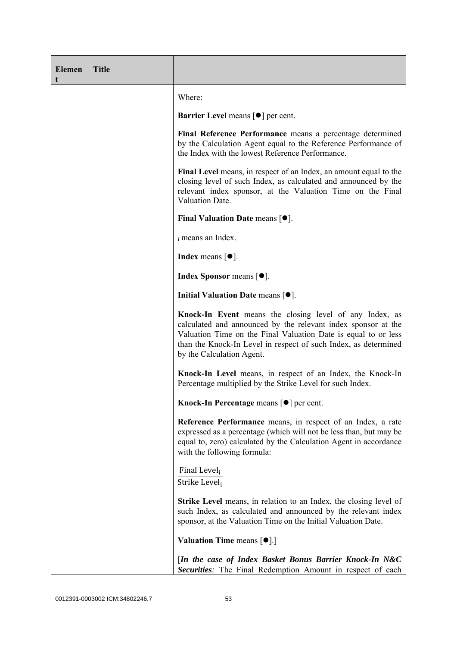| <b>Elemen</b><br>t | <b>Title</b> |                                                                                                                                                                                                                                                                                            |
|--------------------|--------------|--------------------------------------------------------------------------------------------------------------------------------------------------------------------------------------------------------------------------------------------------------------------------------------------|
|                    |              | Where:                                                                                                                                                                                                                                                                                     |
|                    |              | <b>Barrier Level</b> means $\lceil \bullet \rceil$ per cent.                                                                                                                                                                                                                               |
|                    |              | Final Reference Performance means a percentage determined<br>by the Calculation Agent equal to the Reference Performance of<br>the Index with the lowest Reference Performance.                                                                                                            |
|                    |              | Final Level means, in respect of an Index, an amount equal to the<br>closing level of such Index, as calculated and announced by the<br>relevant index sponsor, at the Valuation Time on the Final<br>Valuation Date.                                                                      |
|                    |              | Final Valuation Date means $[•]$ .                                                                                                                                                                                                                                                         |
|                    |              | i means an Index.                                                                                                                                                                                                                                                                          |
|                    |              | Index means $\lceil \bullet \rceil$ .                                                                                                                                                                                                                                                      |
|                    |              | <b>Index Sponsor</b> means $[•]$ .                                                                                                                                                                                                                                                         |
|                    |              | Initial Valuation Date means $[•]$ .                                                                                                                                                                                                                                                       |
|                    |              | Knock-In Event means the closing level of any Index, as<br>calculated and announced by the relevant index sponsor at the<br>Valuation Time on the Final Valuation Date is equal to or less<br>than the Knock-In Level in respect of such Index, as determined<br>by the Calculation Agent. |
|                    |              | Knock-In Level means, in respect of an Index, the Knock-In<br>Percentage multiplied by the Strike Level for such Index.                                                                                                                                                                    |
|                    |              | Knock-In Percentage means [ <sup>o</sup> ] per cent.                                                                                                                                                                                                                                       |
|                    |              | Reference Performance means, in respect of an Index, a rate<br>expressed as a percentage (which will not be less than, but may be<br>equal to, zero) calculated by the Calculation Agent in accordance<br>with the following formula:                                                      |
|                    |              | Final Level,<br>Strike Level;                                                                                                                                                                                                                                                              |
|                    |              | Strike Level means, in relation to an Index, the closing level of<br>such Index, as calculated and announced by the relevant index<br>sponsor, at the Valuation Time on the Initial Valuation Date.                                                                                        |
|                    |              | <b>Valuation Time means <math>\lceil \bullet \rceil</math>.</b>                                                                                                                                                                                                                            |
|                    |              | [In the case of Index Basket Bonus Barrier Knock-In N&C<br><b>Securities:</b> The Final Redemption Amount in respect of each                                                                                                                                                               |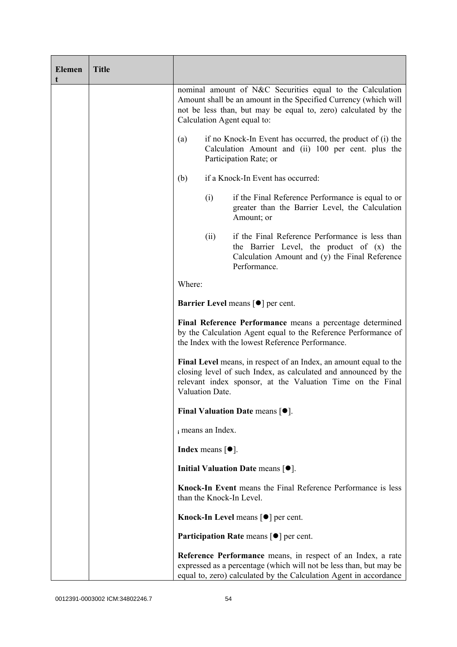| <b>Elemen</b><br>t | <b>Title</b> |                                                                                                                                                                                                                               |                                                              |                                                                                                                                                                                                        |  |
|--------------------|--------------|-------------------------------------------------------------------------------------------------------------------------------------------------------------------------------------------------------------------------------|--------------------------------------------------------------|--------------------------------------------------------------------------------------------------------------------------------------------------------------------------------------------------------|--|
|                    |              | nominal amount of N&C Securities equal to the Calculation<br>Amount shall be an amount in the Specified Currency (which will<br>not be less than, but may be equal to, zero) calculated by the<br>Calculation Agent equal to: |                                                              |                                                                                                                                                                                                        |  |
|                    |              | (a)                                                                                                                                                                                                                           |                                                              | if no Knock-In Event has occurred, the product of (i) the<br>Calculation Amount and (ii) 100 per cent. plus the<br>Participation Rate; or                                                              |  |
|                    |              | (b)                                                                                                                                                                                                                           |                                                              | if a Knock-In Event has occurred:                                                                                                                                                                      |  |
|                    |              |                                                                                                                                                                                                                               | (i)                                                          | if the Final Reference Performance is equal to or<br>greater than the Barrier Level, the Calculation<br>Amount; or                                                                                     |  |
|                    |              |                                                                                                                                                                                                                               | (ii)                                                         | if the Final Reference Performance is less than<br>the Barrier Level, the product of (x) the<br>Calculation Amount and (y) the Final Reference<br>Performance.                                         |  |
|                    |              | Where:                                                                                                                                                                                                                        |                                                              |                                                                                                                                                                                                        |  |
|                    |              |                                                                                                                                                                                                                               | <b>Barrier Level</b> means $\lceil \bullet \rceil$ per cent. |                                                                                                                                                                                                        |  |
|                    |              |                                                                                                                                                                                                                               |                                                              | Final Reference Performance means a percentage determined<br>by the Calculation Agent equal to the Reference Performance of<br>the Index with the lowest Reference Performance.                        |  |
|                    |              | Valuation Date.                                                                                                                                                                                                               |                                                              | Final Level means, in respect of an Index, an amount equal to the<br>closing level of such Index, as calculated and announced by the<br>relevant index sponsor, at the Valuation Time on the Final     |  |
|                    |              |                                                                                                                                                                                                                               |                                                              | <b>Final Valuation Date means <math>\lceil \bullet \rceil</math>.</b>                                                                                                                                  |  |
|                    |              | i means an Index.                                                                                                                                                                                                             |                                                              |                                                                                                                                                                                                        |  |
|                    |              | <b>Index</b> means $\lceil \bullet \rceil$ .                                                                                                                                                                                  |                                                              |                                                                                                                                                                                                        |  |
|                    |              |                                                                                                                                                                                                                               |                                                              | Initial Valuation Date means $[•]$ .                                                                                                                                                                   |  |
|                    |              |                                                                                                                                                                                                                               |                                                              | Knock-In Event means the Final Reference Performance is less<br>than the Knock-In Level.                                                                                                               |  |
|                    |              |                                                                                                                                                                                                                               |                                                              | Knock-In Level means $\lceil \bullet \rceil$ per cent.                                                                                                                                                 |  |
|                    |              |                                                                                                                                                                                                                               |                                                              | Participation Rate means [ $\bullet$ ] per cent.                                                                                                                                                       |  |
|                    |              |                                                                                                                                                                                                                               |                                                              | Reference Performance means, in respect of an Index, a rate<br>expressed as a percentage (which will not be less than, but may be<br>equal to, zero) calculated by the Calculation Agent in accordance |  |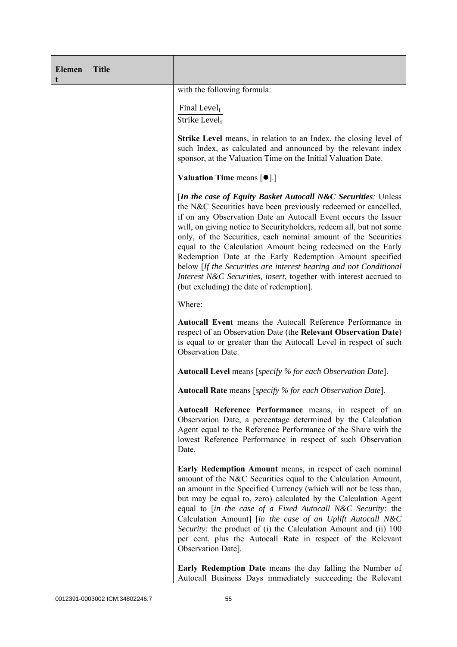| <b>Elemen</b><br>t | <b>Title</b> |                                                                                                                                                                                                                                                                                                                                                                                                                                                                                                                                                                                                                                                              |
|--------------------|--------------|--------------------------------------------------------------------------------------------------------------------------------------------------------------------------------------------------------------------------------------------------------------------------------------------------------------------------------------------------------------------------------------------------------------------------------------------------------------------------------------------------------------------------------------------------------------------------------------------------------------------------------------------------------------|
|                    |              | with the following formula:                                                                                                                                                                                                                                                                                                                                                                                                                                                                                                                                                                                                                                  |
|                    |              | Final Level <sub>i</sub><br>Strike Level;                                                                                                                                                                                                                                                                                                                                                                                                                                                                                                                                                                                                                    |
|                    |              | <b>Strike Level</b> means, in relation to an Index, the closing level of<br>such Index, as calculated and announced by the relevant index<br>sponsor, at the Valuation Time on the Initial Valuation Date.                                                                                                                                                                                                                                                                                                                                                                                                                                                   |
|                    |              | <b>Valuation Time means <math>\lceil \bullet \rceil</math>.</b>                                                                                                                                                                                                                                                                                                                                                                                                                                                                                                                                                                                              |
|                    |              | [In the case of Equity Basket Autocall N&C Securities: Unless<br>the N&C Securities have been previously redeemed or cancelled,<br>if on any Observation Date an Autocall Event occurs the Issuer<br>will, on giving notice to Securityholders, redeem all, but not some<br>only, of the Securities, each nominal amount of the Securities<br>equal to the Calculation Amount being redeemed on the Early<br>Redemption Date at the Early Redemption Amount specified<br>below [If the Securities are interest bearing and not Conditional<br>Interest N&C Securities, insert, together with interest accrued to<br>(but excluding) the date of redemption]. |
|                    |              | Where:                                                                                                                                                                                                                                                                                                                                                                                                                                                                                                                                                                                                                                                       |
|                    |              | <b>Autocall Event</b> means the Autocall Reference Performance in<br>respect of an Observation Date (the Relevant Observation Date)<br>is equal to or greater than the Autocall Level in respect of such<br>Observation Date.                                                                                                                                                                                                                                                                                                                                                                                                                                |
|                    |              | <b>Autocall Level</b> means [specify % for each Observation Date].                                                                                                                                                                                                                                                                                                                                                                                                                                                                                                                                                                                           |
|                    |              | <b>Autocall Rate</b> means [specify % for each Observation Date].                                                                                                                                                                                                                                                                                                                                                                                                                                                                                                                                                                                            |
|                    |              | Autocall Reference Performance means, in respect of an<br>Observation Date, a percentage determined by the Calculation<br>Agent equal to the Reference Performance of the Share with the<br>lowest Reference Performance in respect of such Observation<br>Date.                                                                                                                                                                                                                                                                                                                                                                                             |
|                    |              | Early Redemption Amount means, in respect of each nominal<br>amount of the N&C Securities equal to the Calculation Amount,<br>an amount in the Specified Currency (which will not be less than,<br>but may be equal to, zero) calculated by the Calculation Agent<br>equal to [in the case of a Fixed Autocall N&C Security: the<br>Calculation Amount] [in the case of an Uplift Autocall N&C<br>Security: the product of (i) the Calculation Amount and (ii) 100<br>per cent. plus the Autocall Rate in respect of the Relevant<br>Observation Date].                                                                                                      |
|                    |              | Early Redemption Date means the day falling the Number of<br>Autocall Business Days immediately succeeding the Relevant                                                                                                                                                                                                                                                                                                                                                                                                                                                                                                                                      |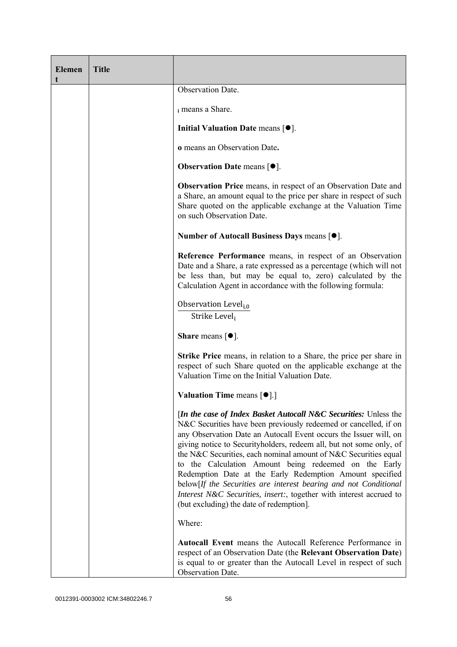| <b>Elemen</b><br>t | <b>Title</b> |                                                                                                                                                                                                                                                                                                                                                                                                                                                                                                                                                                                                                                                                           |
|--------------------|--------------|---------------------------------------------------------------------------------------------------------------------------------------------------------------------------------------------------------------------------------------------------------------------------------------------------------------------------------------------------------------------------------------------------------------------------------------------------------------------------------------------------------------------------------------------------------------------------------------------------------------------------------------------------------------------------|
|                    |              | Observation Date.                                                                                                                                                                                                                                                                                                                                                                                                                                                                                                                                                                                                                                                         |
|                    |              | i means a Share.                                                                                                                                                                                                                                                                                                                                                                                                                                                                                                                                                                                                                                                          |
|                    |              | Initial Valuation Date means $[•]$ .                                                                                                                                                                                                                                                                                                                                                                                                                                                                                                                                                                                                                                      |
|                    |              | o means an Observation Date.                                                                                                                                                                                                                                                                                                                                                                                                                                                                                                                                                                                                                                              |
|                    |              | <b>Observation Date means <math>\lceil \bullet \rceil</math>.</b>                                                                                                                                                                                                                                                                                                                                                                                                                                                                                                                                                                                                         |
|                    |              | <b>Observation Price</b> means, in respect of an Observation Date and<br>a Share, an amount equal to the price per share in respect of such<br>Share quoted on the applicable exchange at the Valuation Time<br>on such Observation Date.                                                                                                                                                                                                                                                                                                                                                                                                                                 |
|                    |              | Number of Autocall Business Days means [●].                                                                                                                                                                                                                                                                                                                                                                                                                                                                                                                                                                                                                               |
|                    |              | Reference Performance means, in respect of an Observation<br>Date and a Share, a rate expressed as a percentage (which will not<br>be less than, but may be equal to, zero) calculated by the<br>Calculation Agent in accordance with the following formula:                                                                                                                                                                                                                                                                                                                                                                                                              |
|                    |              | Observation Level <sub>i.0</sub><br>Strike Level;                                                                                                                                                                                                                                                                                                                                                                                                                                                                                                                                                                                                                         |
|                    |              | <b>Share</b> means $\lceil \bullet \rceil$ .                                                                                                                                                                                                                                                                                                                                                                                                                                                                                                                                                                                                                              |
|                    |              | <b>Strike Price</b> means, in relation to a Share, the price per share in<br>respect of such Share quoted on the applicable exchange at the<br>Valuation Time on the Initial Valuation Date.                                                                                                                                                                                                                                                                                                                                                                                                                                                                              |
|                    |              | <b>Valuation Time means <math>\lceil \bullet \rceil</math>.</b>                                                                                                                                                                                                                                                                                                                                                                                                                                                                                                                                                                                                           |
|                    |              | <i>In the case of Index Basket Autocall N&amp;C Securities: Unless the</i><br>N&C Securities have been previously redeemed or cancelled, if on<br>any Observation Date an Autocall Event occurs the Issuer will, on<br>giving notice to Securityholders, redeem all, but not some only, of<br>the N&C Securities, each nominal amount of N&C Securities equal<br>to the Calculation Amount being redeemed on the Early<br>Redemption Date at the Early Redemption Amount specified<br>below[If the Securities are interest bearing and not Conditional<br>Interest N&C Securities, insert:, together with interest accrued to<br>(but excluding) the date of redemption]. |
|                    |              | Where:                                                                                                                                                                                                                                                                                                                                                                                                                                                                                                                                                                                                                                                                    |
|                    |              | Autocall Event means the Autocall Reference Performance in<br>respect of an Observation Date (the Relevant Observation Date)<br>is equal to or greater than the Autocall Level in respect of such<br>Observation Date.                                                                                                                                                                                                                                                                                                                                                                                                                                                    |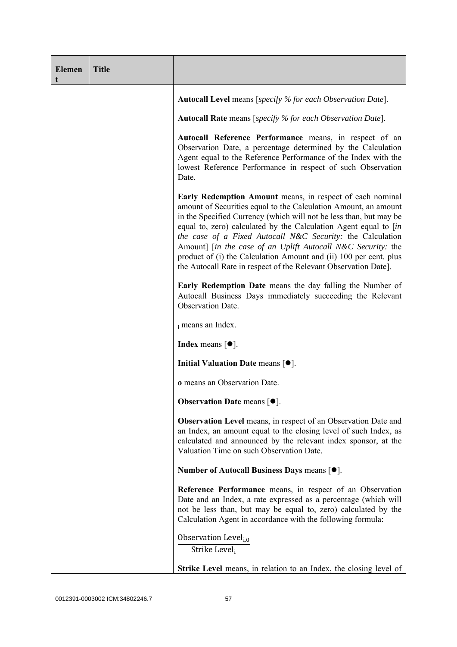| <b>Elemen</b><br>t | <b>Title</b> |                                                                                                                                                                                                                                                                                                                                                                                                                                                                                                                                              |
|--------------------|--------------|----------------------------------------------------------------------------------------------------------------------------------------------------------------------------------------------------------------------------------------------------------------------------------------------------------------------------------------------------------------------------------------------------------------------------------------------------------------------------------------------------------------------------------------------|
|                    |              | <b>Autocall Level</b> means [specify % for each Observation Date].                                                                                                                                                                                                                                                                                                                                                                                                                                                                           |
|                    |              | <b>Autocall Rate</b> means [specify % for each Observation Date].                                                                                                                                                                                                                                                                                                                                                                                                                                                                            |
|                    |              | Autocall Reference Performance means, in respect of an<br>Observation Date, a percentage determined by the Calculation<br>Agent equal to the Reference Performance of the Index with the<br>lowest Reference Performance in respect of such Observation<br>Date.                                                                                                                                                                                                                                                                             |
|                    |              | Early Redemption Amount means, in respect of each nominal<br>amount of Securities equal to the Calculation Amount, an amount<br>in the Specified Currency (which will not be less than, but may be<br>equal to, zero) calculated by the Calculation Agent equal to [in<br>the case of a Fixed Autocall N&C Security: the Calculation<br>Amount] [in the case of an Uplift Autocall N&C Security: the<br>product of (i) the Calculation Amount and (ii) 100 per cent. plus<br>the Autocall Rate in respect of the Relevant Observation Date]. |
|                    |              | Early Redemption Date means the day falling the Number of<br>Autocall Business Days immediately succeeding the Relevant<br>Observation Date.                                                                                                                                                                                                                                                                                                                                                                                                 |
|                    |              | i means an Index.                                                                                                                                                                                                                                                                                                                                                                                                                                                                                                                            |
|                    |              | <b>Index</b> means $\lceil \bullet \rceil$ .                                                                                                                                                                                                                                                                                                                                                                                                                                                                                                 |
|                    |              | Initial Valuation Date means [ $\bullet$ ].                                                                                                                                                                                                                                                                                                                                                                                                                                                                                                  |
|                    |              | o means an Observation Date.                                                                                                                                                                                                                                                                                                                                                                                                                                                                                                                 |
|                    |              | <b>Observation Date means <math>[•]</math>.</b>                                                                                                                                                                                                                                                                                                                                                                                                                                                                                              |
|                    |              | <b>Observation Level</b> means, in respect of an Observation Date and<br>an Index, an amount equal to the closing level of such Index, as<br>calculated and announced by the relevant index sponsor, at the<br>Valuation Time on such Observation Date.                                                                                                                                                                                                                                                                                      |
|                    |              | Number of Autocall Business Days means [ $\bullet$ ].                                                                                                                                                                                                                                                                                                                                                                                                                                                                                        |
|                    |              | Reference Performance means, in respect of an Observation<br>Date and an Index, a rate expressed as a percentage (which will<br>not be less than, but may be equal to, zero) calculated by the<br>Calculation Agent in accordance with the following formula:                                                                                                                                                                                                                                                                                |
|                    |              | Observation Level <sub>i.0</sub><br>Strike Level <sub>i</sub>                                                                                                                                                                                                                                                                                                                                                                                                                                                                                |
|                    |              | <b>Strike Level</b> means, in relation to an Index, the closing level of                                                                                                                                                                                                                                                                                                                                                                                                                                                                     |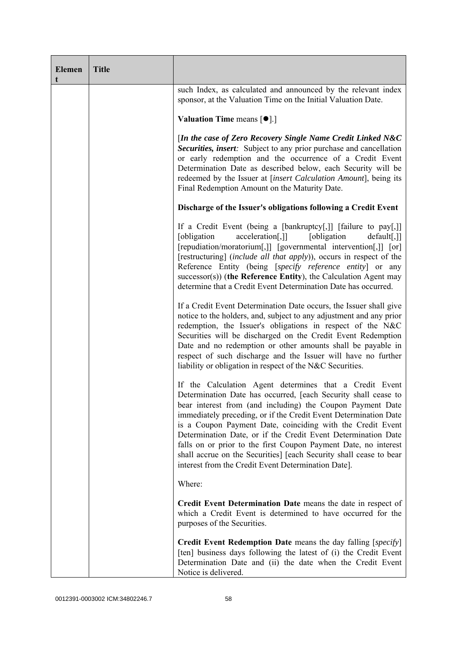| <b>Elemen</b><br>t | <b>Title</b> |                                                                                                                                                                                                                                                                                                                                                                                                                                                                                                                                                                                            |
|--------------------|--------------|--------------------------------------------------------------------------------------------------------------------------------------------------------------------------------------------------------------------------------------------------------------------------------------------------------------------------------------------------------------------------------------------------------------------------------------------------------------------------------------------------------------------------------------------------------------------------------------------|
|                    |              | such Index, as calculated and announced by the relevant index<br>sponsor, at the Valuation Time on the Initial Valuation Date.                                                                                                                                                                                                                                                                                                                                                                                                                                                             |
|                    |              | Valuation Time means [ $\bullet$ ].]                                                                                                                                                                                                                                                                                                                                                                                                                                                                                                                                                       |
|                    |              | [In the case of Zero Recovery Single Name Credit Linked N&C<br>Securities, insert: Subject to any prior purchase and cancellation<br>or early redemption and the occurrence of a Credit Event<br>Determination Date as described below, each Security will be<br>redeemed by the Issuer at [insert Calculation Amount], being its<br>Final Redemption Amount on the Maturity Date.                                                                                                                                                                                                         |
|                    |              | Discharge of the Issuer's obligations following a Credit Event                                                                                                                                                                                                                                                                                                                                                                                                                                                                                                                             |
|                    |              | If a Credit Event (being a [bankruptcy[,]] [failure to pay[,]]<br>acceleration[,]]<br>[obligation]<br>[obligation]<br>$default[$ ,]]<br>[repudiation/moratorium[,]] [governmental intervention[,]] [or]<br>[restructuring] (include all that apply)), occurs in respect of the<br>Reference Entity (being [specify reference entity] or any<br>$successor(s)$ ) (the Reference Entity), the Calculation Agent may<br>determine that a Credit Event Determination Date has occurred.                                                                                                        |
|                    |              | If a Credit Event Determination Date occurs, the Issuer shall give<br>notice to the holders, and, subject to any adjustment and any prior<br>redemption, the Issuer's obligations in respect of the N&C<br>Securities will be discharged on the Credit Event Redemption<br>Date and no redemption or other amounts shall be payable in<br>respect of such discharge and the Issuer will have no further<br>liability or obligation in respect of the N&C Securities.                                                                                                                       |
|                    |              | If the Calculation Agent determines that a Credit Event<br>Determination Date has occurred, [each Security shall cease to<br>bear interest from (and including) the Coupon Payment Date<br>immediately preceding, or if the Credit Event Determination Date<br>is a Coupon Payment Date, coinciding with the Credit Event<br>Determination Date, or if the Credit Event Determination Date<br>falls on or prior to the first Coupon Payment Date, no interest<br>shall accrue on the Securities] [each Security shall cease to bear<br>interest from the Credit Event Determination Date]. |
|                    |              | Where:                                                                                                                                                                                                                                                                                                                                                                                                                                                                                                                                                                                     |
|                    |              | Credit Event Determination Date means the date in respect of<br>which a Credit Event is determined to have occurred for the<br>purposes of the Securities.                                                                                                                                                                                                                                                                                                                                                                                                                                 |
|                    |              | <b>Credit Event Redemption Date</b> means the day falling [specify]<br>[ten] business days following the latest of (i) the Credit Event<br>Determination Date and (ii) the date when the Credit Event<br>Notice is delivered.                                                                                                                                                                                                                                                                                                                                                              |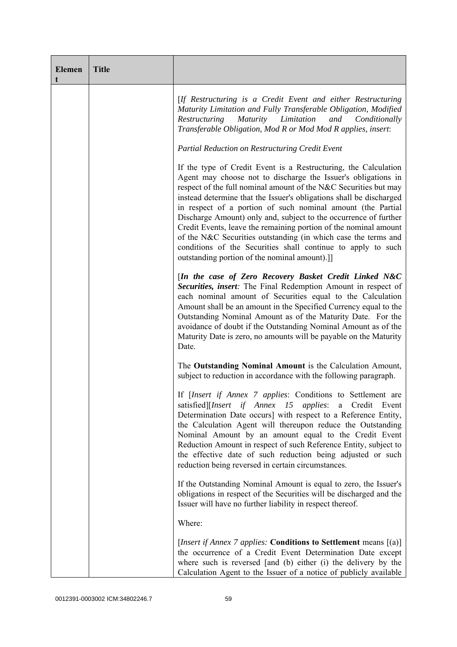| <b>Elemen</b><br>t | <b>Title</b> |                                                                                                                                                                                                                                                                                                                                                                                                                                                                                                                                                                                                                                                                      |
|--------------------|--------------|----------------------------------------------------------------------------------------------------------------------------------------------------------------------------------------------------------------------------------------------------------------------------------------------------------------------------------------------------------------------------------------------------------------------------------------------------------------------------------------------------------------------------------------------------------------------------------------------------------------------------------------------------------------------|
|                    |              | [If Restructuring is a Credit Event and either Restructuring<br>Maturity Limitation and Fully Transferable Obligation, Modified<br>Restructuring<br>Maturity Limitation<br>and<br>Conditionally<br>Transferable Obligation, Mod R or Mod Mod R applies, insert:                                                                                                                                                                                                                                                                                                                                                                                                      |
|                    |              | <b>Partial Reduction on Restructuring Credit Event</b>                                                                                                                                                                                                                                                                                                                                                                                                                                                                                                                                                                                                               |
|                    |              | If the type of Credit Event is a Restructuring, the Calculation<br>Agent may choose not to discharge the Issuer's obligations in<br>respect of the full nominal amount of the N&C Securities but may<br>instead determine that the Issuer's obligations shall be discharged<br>in respect of a portion of such nominal amount (the Partial<br>Discharge Amount) only and, subject to the occurrence of further<br>Credit Events, leave the remaining portion of the nominal amount<br>of the N&C Securities outstanding (in which case the terms and<br>conditions of the Securities shall continue to apply to such<br>outstanding portion of the nominal amount).] |
|                    |              | [In the case of Zero Recovery Basket Credit Linked N&C<br>Securities, insert: The Final Redemption Amount in respect of<br>each nominal amount of Securities equal to the Calculation<br>Amount shall be an amount in the Specified Currency equal to the<br>Outstanding Nominal Amount as of the Maturity Date. For the<br>avoidance of doubt if the Outstanding Nominal Amount as of the<br>Maturity Date is zero, no amounts will be payable on the Maturity<br>Date.                                                                                                                                                                                             |
|                    |              | The Outstanding Nominal Amount is the Calculation Amount,<br>subject to reduction in accordance with the following paragraph.                                                                                                                                                                                                                                                                                                                                                                                                                                                                                                                                        |
|                    |              | If [Insert if Annex 7 applies: Conditions to Settlement are<br>satisfied][Insert if Annex 15 applies: a Credit<br>Event<br>Determination Date occurs] with respect to a Reference Entity,<br>the Calculation Agent will thereupon reduce the Outstanding<br>Nominal Amount by an amount equal to the Credit Event<br>Reduction Amount in respect of such Reference Entity, subject to<br>the effective date of such reduction being adjusted or such<br>reduction being reversed in certain circumstances.                                                                                                                                                           |
|                    |              | If the Outstanding Nominal Amount is equal to zero, the Issuer's<br>obligations in respect of the Securities will be discharged and the<br>Issuer will have no further liability in respect thereof.                                                                                                                                                                                                                                                                                                                                                                                                                                                                 |
|                    |              | Where:                                                                                                                                                                                                                                                                                                                                                                                                                                                                                                                                                                                                                                                               |
|                    |              | [ <i>Insert if Annex 7 applies:</i> Conditions to Settlement means $[(a)]$<br>the occurrence of a Credit Event Determination Date except<br>where such is reversed [and (b) either (i) the delivery by the<br>Calculation Agent to the Issuer of a notice of publicly available                                                                                                                                                                                                                                                                                                                                                                                      |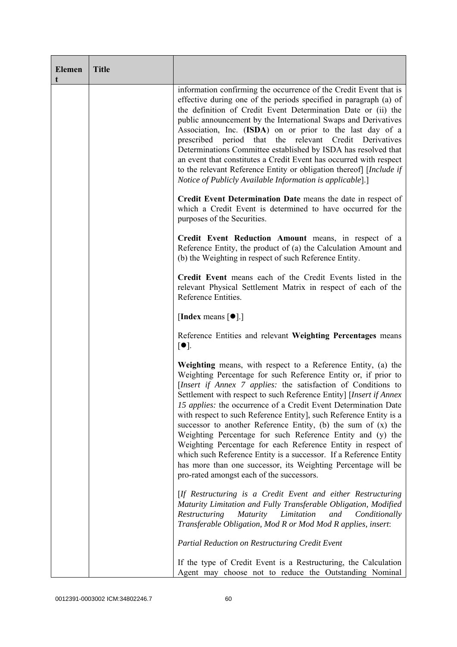| <b>Elemen</b><br>t | <b>Title</b> |                                                                                                                                                                                                                                                                                                                                                                                                                                                                                                                                                                                                                                                                                                                                                                                                    |
|--------------------|--------------|----------------------------------------------------------------------------------------------------------------------------------------------------------------------------------------------------------------------------------------------------------------------------------------------------------------------------------------------------------------------------------------------------------------------------------------------------------------------------------------------------------------------------------------------------------------------------------------------------------------------------------------------------------------------------------------------------------------------------------------------------------------------------------------------------|
|                    |              | information confirming the occurrence of the Credit Event that is<br>effective during one of the periods specified in paragraph (a) of<br>the definition of Credit Event Determination Date or (ii) the<br>public announcement by the International Swaps and Derivatives<br>Association, Inc. (ISDA) on or prior to the last day of a<br>prescribed period that the relevant Credit Derivatives<br>Determinations Committee established by ISDA has resolved that<br>an event that constitutes a Credit Event has occurred with respect<br>to the relevant Reference Entity or obligation thereof [Include if<br>Notice of Publicly Available Information is applicable].]                                                                                                                        |
|                    |              | Credit Event Determination Date means the date in respect of<br>which a Credit Event is determined to have occurred for the<br>purposes of the Securities.                                                                                                                                                                                                                                                                                                                                                                                                                                                                                                                                                                                                                                         |
|                    |              | Credit Event Reduction Amount means, in respect of a<br>Reference Entity, the product of (a) the Calculation Amount and<br>(b) the Weighting in respect of such Reference Entity.                                                                                                                                                                                                                                                                                                                                                                                                                                                                                                                                                                                                                  |
|                    |              | Credit Event means each of the Credit Events listed in the<br>relevant Physical Settlement Matrix in respect of each of the<br>Reference Entities.                                                                                                                                                                                                                                                                                                                                                                                                                                                                                                                                                                                                                                                 |
|                    |              | [Index means $\lceil \bullet \rceil$ .]                                                                                                                                                                                                                                                                                                                                                                                                                                                                                                                                                                                                                                                                                                                                                            |
|                    |              | Reference Entities and relevant Weighting Percentages means<br>$\lceil \bullet \rceil$ .                                                                                                                                                                                                                                                                                                                                                                                                                                                                                                                                                                                                                                                                                                           |
|                    |              | Weighting means, with respect to a Reference Entity, (a) the<br>Weighting Percentage for such Reference Entity or, if prior to<br>[Insert if Annex 7 applies: the satisfaction of Conditions to<br>Settlement with respect to such Reference Entity] [Insert if Annex<br>15 applies: the occurrence of a Credit Event Determination Date<br>with respect to such Reference Entity], such Reference Entity is a<br>successor to another Reference Entity, (b) the sum of $(x)$ the<br>Weighting Percentage for such Reference Entity and (y) the<br>Weighting Percentage for each Reference Entity in respect of<br>which such Reference Entity is a successor. If a Reference Entity<br>has more than one successor, its Weighting Percentage will be<br>pro-rated amongst each of the successors. |
|                    |              | [If Restructuring is a Credit Event and either Restructuring<br>Maturity Limitation and Fully Transferable Obligation, Modified<br>Limitation<br>Restructuring<br><i>Maturity</i><br>and<br>Conditionally<br>Transferable Obligation, Mod R or Mod Mod R applies, insert:                                                                                                                                                                                                                                                                                                                                                                                                                                                                                                                          |
|                    |              | <b>Partial Reduction on Restructuring Credit Event</b>                                                                                                                                                                                                                                                                                                                                                                                                                                                                                                                                                                                                                                                                                                                                             |
|                    |              | If the type of Credit Event is a Restructuring, the Calculation<br>Agent may choose not to reduce the Outstanding Nominal                                                                                                                                                                                                                                                                                                                                                                                                                                                                                                                                                                                                                                                                          |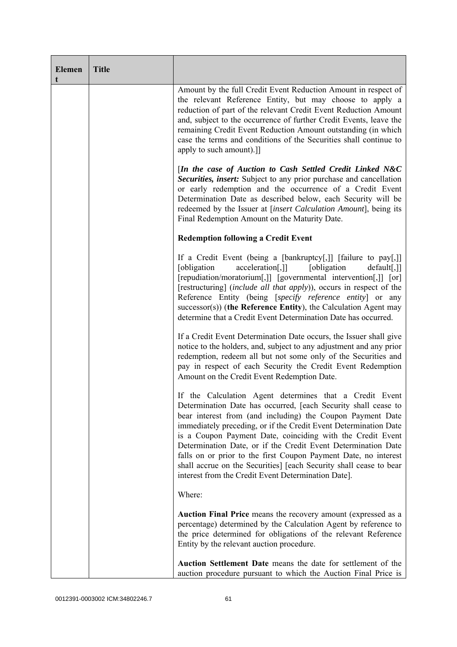| <b>Elemen</b><br>t | <b>Title</b> |                                                                                                                                                                                                                                                                                                                                                                                                                                                                                                                                                                                            |
|--------------------|--------------|--------------------------------------------------------------------------------------------------------------------------------------------------------------------------------------------------------------------------------------------------------------------------------------------------------------------------------------------------------------------------------------------------------------------------------------------------------------------------------------------------------------------------------------------------------------------------------------------|
|                    |              | Amount by the full Credit Event Reduction Amount in respect of<br>the relevant Reference Entity, but may choose to apply a<br>reduction of part of the relevant Credit Event Reduction Amount<br>and, subject to the occurrence of further Credit Events, leave the<br>remaining Credit Event Reduction Amount outstanding (in which<br>case the terms and conditions of the Securities shall continue to<br>apply to such amount).]]                                                                                                                                                      |
|                    |              | [In the case of Auction to Cash Settled Credit Linked N&C<br>Securities, insert: Subject to any prior purchase and cancellation<br>or early redemption and the occurrence of a Credit Event<br>Determination Date as described below, each Security will be<br>redeemed by the Issuer at [insert Calculation Amount], being its<br>Final Redemption Amount on the Maturity Date.                                                                                                                                                                                                           |
|                    |              | <b>Redemption following a Credit Event</b>                                                                                                                                                                                                                                                                                                                                                                                                                                                                                                                                                 |
|                    |              | If a Credit Event (being a [bankruptcy[,]] [failure to pay[,]]<br>acceleration[,]]<br>[obligation<br>[obligation]<br>$default[,$ ]]<br>[repudiation/moratorium[,]] [governmental intervention[,]] [or]<br>[restructuring] (include all that apply)), occurs in respect of the<br>Reference Entity (being [specify reference entity] or any<br>$successor(s)$ ) (the Reference Entity), the Calculation Agent may<br>determine that a Credit Event Determination Date has occurred.                                                                                                         |
|                    |              | If a Credit Event Determination Date occurs, the Issuer shall give<br>notice to the holders, and, subject to any adjustment and any prior<br>redemption, redeem all but not some only of the Securities and<br>pay in respect of each Security the Credit Event Redemption<br>Amount on the Credit Event Redemption Date.                                                                                                                                                                                                                                                                  |
|                    |              | If the Calculation Agent determines that a Credit Event<br>Determination Date has occurred, [each Security shall cease to<br>bear interest from (and including) the Coupon Payment Date<br>immediately preceding, or if the Credit Event Determination Date<br>is a Coupon Payment Date, coinciding with the Credit Event<br>Determination Date, or if the Credit Event Determination Date<br>falls on or prior to the first Coupon Payment Date, no interest<br>shall accrue on the Securities] [each Security shall cease to bear<br>interest from the Credit Event Determination Date]. |
|                    |              | Where:                                                                                                                                                                                                                                                                                                                                                                                                                                                                                                                                                                                     |
|                    |              | Auction Final Price means the recovery amount (expressed as a<br>percentage) determined by the Calculation Agent by reference to<br>the price determined for obligations of the relevant Reference<br>Entity by the relevant auction procedure.                                                                                                                                                                                                                                                                                                                                            |
|                    |              | Auction Settlement Date means the date for settlement of the<br>auction procedure pursuant to which the Auction Final Price is                                                                                                                                                                                                                                                                                                                                                                                                                                                             |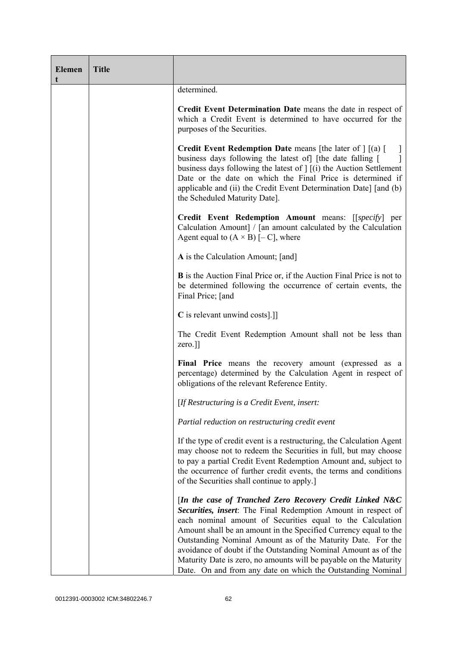| <b>Elemen</b><br>t | <b>Title</b> |                                                                                                                                                                                                                                                                                                                                                                                                                                                                                                                                  |
|--------------------|--------------|----------------------------------------------------------------------------------------------------------------------------------------------------------------------------------------------------------------------------------------------------------------------------------------------------------------------------------------------------------------------------------------------------------------------------------------------------------------------------------------------------------------------------------|
|                    |              | determined.                                                                                                                                                                                                                                                                                                                                                                                                                                                                                                                      |
|                    |              | Credit Event Determination Date means the date in respect of<br>which a Credit Event is determined to have occurred for the<br>purposes of the Securities.                                                                                                                                                                                                                                                                                                                                                                       |
|                    |              | <b>Credit Event Redemption Date</b> means [the later of $\left  \right $ [(a) [<br>business days following the latest of [the date falling [<br>business days following the latest of $\vert$ $\vert$ (i) the Auction Settlement<br>Date or the date on which the Final Price is determined if<br>applicable and (ii) the Credit Event Determination Date] [and (b)<br>the Scheduled Maturity Date].                                                                                                                             |
|                    |              | Credit Event Redemption Amount means: [[specify] per<br>Calculation Amount] / [an amount calculated by the Calculation<br>Agent equal to $(A \times B)$ [- C], where                                                                                                                                                                                                                                                                                                                                                             |
|                    |              | A is the Calculation Amount; [and]                                                                                                                                                                                                                                                                                                                                                                                                                                                                                               |
|                    |              | <b>B</b> is the Auction Final Price or, if the Auction Final Price is not to<br>be determined following the occurrence of certain events, the<br>Final Price; [and                                                                                                                                                                                                                                                                                                                                                               |
|                    |              | C is relevant unwind costs[.]]                                                                                                                                                                                                                                                                                                                                                                                                                                                                                                   |
|                    |              | The Credit Event Redemption Amount shall not be less than<br>zero.]]                                                                                                                                                                                                                                                                                                                                                                                                                                                             |
|                    |              | Final Price means the recovery amount (expressed as a<br>percentage) determined by the Calculation Agent in respect of<br>obligations of the relevant Reference Entity.                                                                                                                                                                                                                                                                                                                                                          |
|                    |              | [If Restructuring is a Credit Event, insert:                                                                                                                                                                                                                                                                                                                                                                                                                                                                                     |
|                    |              | Partial reduction on restructuring credit event                                                                                                                                                                                                                                                                                                                                                                                                                                                                                  |
|                    |              | If the type of credit event is a restructuring, the Calculation Agent<br>may choose not to redeem the Securities in full, but may choose<br>to pay a partial Credit Event Redemption Amount and, subject to<br>the occurrence of further credit events, the terms and conditions<br>of the Securities shall continue to apply.]                                                                                                                                                                                                  |
|                    |              | [In the case of Tranched Zero Recovery Credit Linked N&C<br>Securities, insert: The Final Redemption Amount in respect of<br>each nominal amount of Securities equal to the Calculation<br>Amount shall be an amount in the Specified Currency equal to the<br>Outstanding Nominal Amount as of the Maturity Date. For the<br>avoidance of doubt if the Outstanding Nominal Amount as of the<br>Maturity Date is zero, no amounts will be payable on the Maturity<br>Date. On and from any date on which the Outstanding Nominal |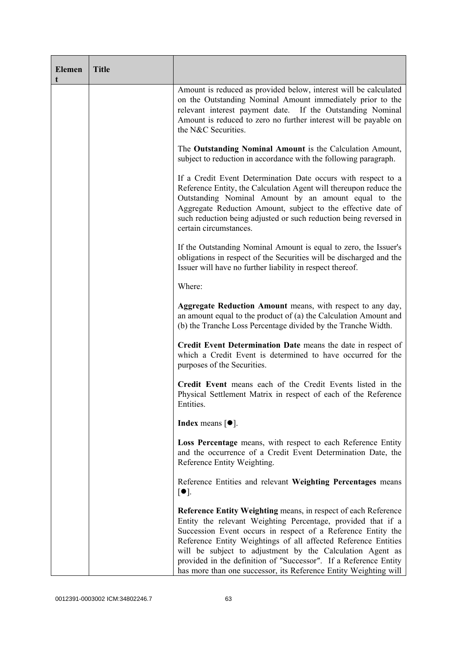| <b>Elemen</b><br>t | <b>Title</b> |                                                                                                                                                                                                                                                                                                                                                                                                                                                                              |
|--------------------|--------------|------------------------------------------------------------------------------------------------------------------------------------------------------------------------------------------------------------------------------------------------------------------------------------------------------------------------------------------------------------------------------------------------------------------------------------------------------------------------------|
|                    |              | Amount is reduced as provided below, interest will be calculated<br>on the Outstanding Nominal Amount immediately prior to the<br>relevant interest payment date. If the Outstanding Nominal<br>Amount is reduced to zero no further interest will be payable on<br>the N&C Securities.                                                                                                                                                                                      |
|                    |              | The Outstanding Nominal Amount is the Calculation Amount,<br>subject to reduction in accordance with the following paragraph.                                                                                                                                                                                                                                                                                                                                                |
|                    |              | If a Credit Event Determination Date occurs with respect to a<br>Reference Entity, the Calculation Agent will thereupon reduce the<br>Outstanding Nominal Amount by an amount equal to the<br>Aggregate Reduction Amount, subject to the effective date of<br>such reduction being adjusted or such reduction being reversed in<br>certain circumstances.                                                                                                                    |
|                    |              | If the Outstanding Nominal Amount is equal to zero, the Issuer's<br>obligations in respect of the Securities will be discharged and the<br>Issuer will have no further liability in respect thereof.                                                                                                                                                                                                                                                                         |
|                    |              | Where:                                                                                                                                                                                                                                                                                                                                                                                                                                                                       |
|                    |              | Aggregate Reduction Amount means, with respect to any day,<br>an amount equal to the product of (a) the Calculation Amount and<br>(b) the Tranche Loss Percentage divided by the Tranche Width.                                                                                                                                                                                                                                                                              |
|                    |              | Credit Event Determination Date means the date in respect of<br>which a Credit Event is determined to have occurred for the<br>purposes of the Securities.                                                                                                                                                                                                                                                                                                                   |
|                    |              | Credit Event means each of the Credit Events listed in the<br>Physical Settlement Matrix in respect of each of the Reference<br>Entities.                                                                                                                                                                                                                                                                                                                                    |
|                    |              | <b>Index</b> means $\lceil \bullet \rceil$ .                                                                                                                                                                                                                                                                                                                                                                                                                                 |
|                    |              | Loss Percentage means, with respect to each Reference Entity<br>and the occurrence of a Credit Event Determination Date, the<br>Reference Entity Weighting.                                                                                                                                                                                                                                                                                                                  |
|                    |              | Reference Entities and relevant Weighting Percentages means<br>$[\bullet]$ .                                                                                                                                                                                                                                                                                                                                                                                                 |
|                    |              | <b>Reference Entity Weighting means, in respect of each Reference</b><br>Entity the relevant Weighting Percentage, provided that if a<br>Succession Event occurs in respect of a Reference Entity the<br>Reference Entity Weightings of all affected Reference Entities<br>will be subject to adjustment by the Calculation Agent as<br>provided in the definition of "Successor". If a Reference Entity<br>has more than one successor, its Reference Entity Weighting will |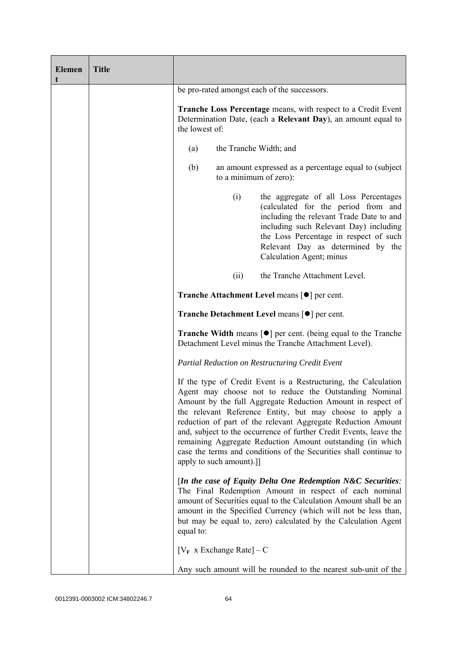| <b>Elemen</b><br>t | <b>Title</b> |                                                                                                                                                                                                                                                                                                                                                                                                                                                                                                                                                           |
|--------------------|--------------|-----------------------------------------------------------------------------------------------------------------------------------------------------------------------------------------------------------------------------------------------------------------------------------------------------------------------------------------------------------------------------------------------------------------------------------------------------------------------------------------------------------------------------------------------------------|
|                    |              | be pro-rated amongst each of the successors.                                                                                                                                                                                                                                                                                                                                                                                                                                                                                                              |
|                    |              | <b>Tranche Loss Percentage</b> means, with respect to a Credit Event<br>Determination Date, (each a Relevant Day), an amount equal to<br>the lowest of:                                                                                                                                                                                                                                                                                                                                                                                                   |
|                    |              | the Tranche Width; and<br>(a)                                                                                                                                                                                                                                                                                                                                                                                                                                                                                                                             |
|                    |              | an amount expressed as a percentage equal to (subject<br>(b)<br>to a minimum of zero):                                                                                                                                                                                                                                                                                                                                                                                                                                                                    |
|                    |              | (i)<br>the aggregate of all Loss Percentages<br>(calculated for the period from and<br>including the relevant Trade Date to and<br>including such Relevant Day) including<br>the Loss Percentage in respect of such<br>Relevant Day as determined by the<br>Calculation Agent; minus                                                                                                                                                                                                                                                                      |
|                    |              | the Tranche Attachment Level.<br>(ii)                                                                                                                                                                                                                                                                                                                                                                                                                                                                                                                     |
|                    |              | <b>Tranche Attachment Level means [●] per cent.</b>                                                                                                                                                                                                                                                                                                                                                                                                                                                                                                       |
|                    |              | <b>Tranche Detachment Level means [●] per cent.</b>                                                                                                                                                                                                                                                                                                                                                                                                                                                                                                       |
|                    |              | <b>Tranche Width</b> means $\lceil \bullet \rceil$ per cent. (being equal to the Tranche<br>Detachment Level minus the Tranche Attachment Level).                                                                                                                                                                                                                                                                                                                                                                                                         |
|                    |              | Partial Reduction on Restructuring Credit Event                                                                                                                                                                                                                                                                                                                                                                                                                                                                                                           |
|                    |              | If the type of Credit Event is a Restructuring, the Calculation<br>Agent may choose not to reduce the Outstanding Nominal<br>Amount by the full Aggregate Reduction Amount in respect of<br>the relevant Reference Entity, but may choose to apply a<br>reduction of part of the relevant Aggregate Reduction Amount<br>and, subject to the occurrence of further Credit Events, leave the<br>remaining Aggregate Reduction Amount outstanding (in which<br>case the terms and conditions of the Securities shall continue to<br>apply to such amount).]] |
|                    |              | [In the case of Equity Delta One Redemption N&C Securities:<br>The Final Redemption Amount in respect of each nominal<br>amount of Securities equal to the Calculation Amount shall be an<br>amount in the Specified Currency (which will not be less than,<br>but may be equal to, zero) calculated by the Calculation Agent<br>equal to:                                                                                                                                                                                                                |
|                    |              | $[V_F \times Exchange Rate] - C$                                                                                                                                                                                                                                                                                                                                                                                                                                                                                                                          |
|                    |              | Any such amount will be rounded to the nearest sub-unit of the                                                                                                                                                                                                                                                                                                                                                                                                                                                                                            |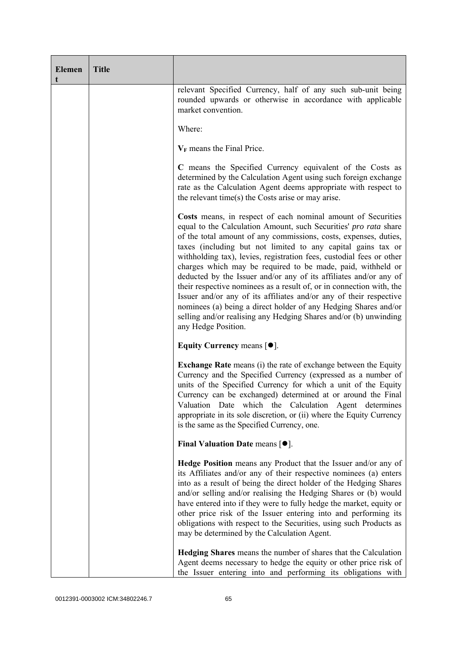| <b>Elemen</b><br>t | <b>Title</b> |                                                                                                                                                                                                                                                                                                                                                                                                                                                                                                                                                                                                                                                                                                                                                                                              |
|--------------------|--------------|----------------------------------------------------------------------------------------------------------------------------------------------------------------------------------------------------------------------------------------------------------------------------------------------------------------------------------------------------------------------------------------------------------------------------------------------------------------------------------------------------------------------------------------------------------------------------------------------------------------------------------------------------------------------------------------------------------------------------------------------------------------------------------------------|
|                    |              | relevant Specified Currency, half of any such sub-unit being<br>rounded upwards or otherwise in accordance with applicable<br>market convention.                                                                                                                                                                                                                                                                                                                                                                                                                                                                                                                                                                                                                                             |
|                    |              | Where:                                                                                                                                                                                                                                                                                                                                                                                                                                                                                                                                                                                                                                                                                                                                                                                       |
|                    |              | $V_F$ means the Final Price.                                                                                                                                                                                                                                                                                                                                                                                                                                                                                                                                                                                                                                                                                                                                                                 |
|                    |              | C means the Specified Currency equivalent of the Costs as<br>determined by the Calculation Agent using such foreign exchange<br>rate as the Calculation Agent deems appropriate with respect to<br>the relevant time(s) the Costs arise or may arise.                                                                                                                                                                                                                                                                                                                                                                                                                                                                                                                                        |
|                    |              | Costs means, in respect of each nominal amount of Securities<br>equal to the Calculation Amount, such Securities' pro rata share<br>of the total amount of any commissions, costs, expenses, duties,<br>taxes (including but not limited to any capital gains tax or<br>withholding tax), levies, registration fees, custodial fees or other<br>charges which may be required to be made, paid, withheld or<br>deducted by the Issuer and/or any of its affiliates and/or any of<br>their respective nominees as a result of, or in connection with, the<br>Issuer and/or any of its affiliates and/or any of their respective<br>nominees (a) being a direct holder of any Hedging Shares and/or<br>selling and/or realising any Hedging Shares and/or (b) unwinding<br>any Hedge Position. |
|                    |              | Equity Currency means $[\bullet].$                                                                                                                                                                                                                                                                                                                                                                                                                                                                                                                                                                                                                                                                                                                                                           |
|                    |              | <b>Exchange Rate</b> means (i) the rate of exchange between the Equity<br>Currency and the Specified Currency (expressed as a number of<br>units of the Specified Currency for which a unit of the Equity<br>Currency can be exchanged) determined at or around the Final<br>Valuation Date which the Calculation Agent determines<br>appropriate in its sole discretion, or (ii) where the Equity Currency<br>is the same as the Specified Currency, one.                                                                                                                                                                                                                                                                                                                                   |
|                    |              | Final Valuation Date means $[•]$ .                                                                                                                                                                                                                                                                                                                                                                                                                                                                                                                                                                                                                                                                                                                                                           |
|                    |              | <b>Hedge Position</b> means any Product that the Issuer and/or any of<br>its Affiliates and/or any of their respective nominees (a) enters<br>into as a result of being the direct holder of the Hedging Shares<br>and/or selling and/or realising the Hedging Shares or (b) would<br>have entered into if they were to fully hedge the market, equity or<br>other price risk of the Issuer entering into and performing its<br>obligations with respect to the Securities, using such Products as<br>may be determined by the Calculation Agent.                                                                                                                                                                                                                                            |
|                    |              | <b>Hedging Shares</b> means the number of shares that the Calculation<br>Agent deems necessary to hedge the equity or other price risk of<br>the Issuer entering into and performing its obligations with                                                                                                                                                                                                                                                                                                                                                                                                                                                                                                                                                                                    |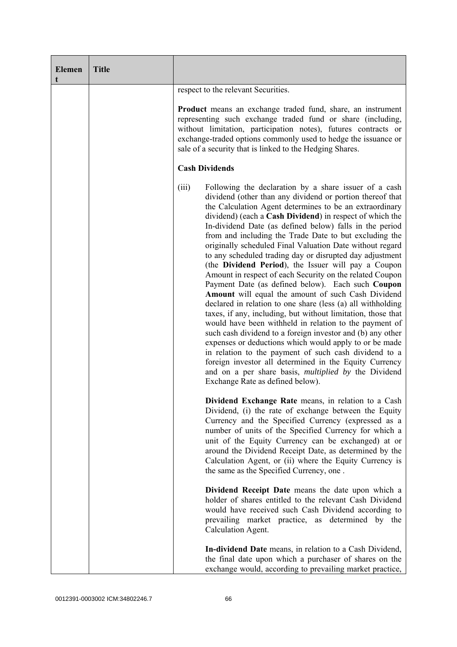| <b>Elemen</b><br>t | <b>Title</b> |                                                                                                                                                                                                                                                                                                                                                                                                                                                                                                                                                                                                                                                                                                                                                                                                                                                                                                                                                                                                                                                                                                                                                                                                                                                                      |
|--------------------|--------------|----------------------------------------------------------------------------------------------------------------------------------------------------------------------------------------------------------------------------------------------------------------------------------------------------------------------------------------------------------------------------------------------------------------------------------------------------------------------------------------------------------------------------------------------------------------------------------------------------------------------------------------------------------------------------------------------------------------------------------------------------------------------------------------------------------------------------------------------------------------------------------------------------------------------------------------------------------------------------------------------------------------------------------------------------------------------------------------------------------------------------------------------------------------------------------------------------------------------------------------------------------------------|
|                    |              | respect to the relevant Securities.                                                                                                                                                                                                                                                                                                                                                                                                                                                                                                                                                                                                                                                                                                                                                                                                                                                                                                                                                                                                                                                                                                                                                                                                                                  |
|                    |              | <b>Product</b> means an exchange traded fund, share, an instrument<br>representing such exchange traded fund or share (including,<br>without limitation, participation notes), futures contracts or<br>exchange-traded options commonly used to hedge the issuance or<br>sale of a security that is linked to the Hedging Shares.                                                                                                                                                                                                                                                                                                                                                                                                                                                                                                                                                                                                                                                                                                                                                                                                                                                                                                                                    |
|                    |              | <b>Cash Dividends</b>                                                                                                                                                                                                                                                                                                                                                                                                                                                                                                                                                                                                                                                                                                                                                                                                                                                                                                                                                                                                                                                                                                                                                                                                                                                |
|                    |              | (iii)<br>Following the declaration by a share issuer of a cash<br>dividend (other than any dividend or portion thereof that<br>the Calculation Agent determines to be an extraordinary<br>dividend) (each a Cash Dividend) in respect of which the<br>In-dividend Date (as defined below) falls in the period<br>from and including the Trade Date to but excluding the<br>originally scheduled Final Valuation Date without regard<br>to any scheduled trading day or disrupted day adjustment<br>(the Dividend Period), the Issuer will pay a Coupon<br>Amount in respect of each Security on the related Coupon<br>Payment Date (as defined below). Each such Coupon<br>Amount will equal the amount of such Cash Dividend<br>declared in relation to one share (less (a) all withholding<br>taxes, if any, including, but without limitation, those that<br>would have been withheld in relation to the payment of<br>such cash dividend to a foreign investor and (b) any other<br>expenses or deductions which would apply to or be made<br>in relation to the payment of such cash dividend to a<br>foreign investor all determined in the Equity Currency<br>and on a per share basis, <i>multiplied by</i> the Dividend<br>Exchange Rate as defined below). |
|                    |              | Dividend Exchange Rate means, in relation to a Cash<br>Dividend, (i) the rate of exchange between the Equity<br>Currency and the Specified Currency (expressed as a<br>number of units of the Specified Currency for which a<br>unit of the Equity Currency can be exchanged) at or<br>around the Dividend Receipt Date, as determined by the<br>Calculation Agent, or (ii) where the Equity Currency is<br>the same as the Specified Currency, one.                                                                                                                                                                                                                                                                                                                                                                                                                                                                                                                                                                                                                                                                                                                                                                                                                 |
|                    |              | Dividend Receipt Date means the date upon which a<br>holder of shares entitled to the relevant Cash Dividend<br>would have received such Cash Dividend according to<br>prevailing market practice, as determined by the<br>Calculation Agent.                                                                                                                                                                                                                                                                                                                                                                                                                                                                                                                                                                                                                                                                                                                                                                                                                                                                                                                                                                                                                        |
|                    |              | In-dividend Date means, in relation to a Cash Dividend,<br>the final date upon which a purchaser of shares on the<br>exchange would, according to prevailing market practice,                                                                                                                                                                                                                                                                                                                                                                                                                                                                                                                                                                                                                                                                                                                                                                                                                                                                                                                                                                                                                                                                                        |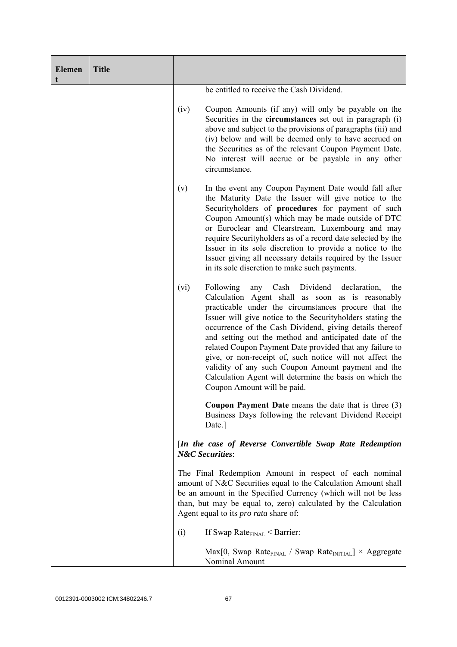| <b>Elemen</b><br>t | <b>Title</b> |      |                                                                                                                                                                                                                                                                                                                                                                                                                                                                                                                                                                                                                                    |
|--------------------|--------------|------|------------------------------------------------------------------------------------------------------------------------------------------------------------------------------------------------------------------------------------------------------------------------------------------------------------------------------------------------------------------------------------------------------------------------------------------------------------------------------------------------------------------------------------------------------------------------------------------------------------------------------------|
|                    |              |      | be entitled to receive the Cash Dividend.                                                                                                                                                                                                                                                                                                                                                                                                                                                                                                                                                                                          |
|                    |              | (iv) | Coupon Amounts (if any) will only be payable on the<br>Securities in the circumstances set out in paragraph (i)<br>above and subject to the provisions of paragraphs (iii) and<br>(iv) below and will be deemed only to have accrued on<br>the Securities as of the relevant Coupon Payment Date.<br>No interest will accrue or be payable in any other<br>circumstance.                                                                                                                                                                                                                                                           |
|                    |              | (v)  | In the event any Coupon Payment Date would fall after<br>the Maturity Date the Issuer will give notice to the<br>Securityholders of procedures for payment of such<br>Coupon Amount(s) which may be made outside of DTC<br>or Euroclear and Clearstream, Luxembourg and may<br>require Securityholders as of a record date selected by the<br>Issuer in its sole discretion to provide a notice to the<br>Issuer giving all necessary details required by the Issuer<br>in its sole discretion to make such payments.                                                                                                              |
|                    |              | (vi) | Following<br>Cash<br>Dividend<br>declaration,<br>any<br>the<br>Calculation Agent shall as soon as is reasonably<br>practicable under the circumstances procure that the<br>Issuer will give notice to the Securityholders stating the<br>occurrence of the Cash Dividend, giving details thereof<br>and setting out the method and anticipated date of the<br>related Coupon Payment Date provided that any failure to<br>give, or non-receipt of, such notice will not affect the<br>validity of any such Coupon Amount payment and the<br>Calculation Agent will determine the basis on which the<br>Coupon Amount will be paid. |
|                    |              |      | Coupon Payment Date means the date that is three $(3)$<br>Business Days following the relevant Dividend Receipt<br>Date.]                                                                                                                                                                                                                                                                                                                                                                                                                                                                                                          |
|                    |              |      | [In the case of Reverse Convertible Swap Rate Redemption<br><b>N&amp;C</b> Securities:                                                                                                                                                                                                                                                                                                                                                                                                                                                                                                                                             |
|                    |              |      | The Final Redemption Amount in respect of each nominal<br>amount of N&C Securities equal to the Calculation Amount shall<br>be an amount in the Specified Currency (which will not be less<br>than, but may be equal to, zero) calculated by the Calculation<br>Agent equal to its <i>pro rata</i> share of:                                                                                                                                                                                                                                                                                                                       |
|                    |              | (i)  | If Swap Rate $_{\text{FINAL}}$ < Barrier:                                                                                                                                                                                                                                                                                                                                                                                                                                                                                                                                                                                          |
|                    |              |      | $Max[0, Swap Rate_{FINAL} / Swap Rate_{INITIAL}] \times Aggregate$<br>Nominal Amount                                                                                                                                                                                                                                                                                                                                                                                                                                                                                                                                               |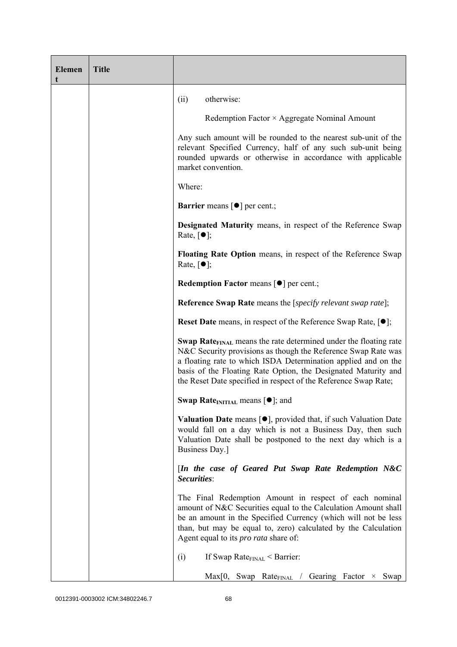| <b>Elemen</b><br>t | <b>Title</b> |                                                                                                                                                                                                                                                                                                                                                             |
|--------------------|--------------|-------------------------------------------------------------------------------------------------------------------------------------------------------------------------------------------------------------------------------------------------------------------------------------------------------------------------------------------------------------|
|                    |              | otherwise:<br>(ii)                                                                                                                                                                                                                                                                                                                                          |
|                    |              | Redemption Factor × Aggregate Nominal Amount                                                                                                                                                                                                                                                                                                                |
|                    |              | Any such amount will be rounded to the nearest sub-unit of the<br>relevant Specified Currency, half of any such sub-unit being<br>rounded upwards or otherwise in accordance with applicable<br>market convention.                                                                                                                                          |
|                    |              | Where:                                                                                                                                                                                                                                                                                                                                                      |
|                    |              | <b>Barrier</b> means [ $\bullet$ ] per cent.;                                                                                                                                                                                                                                                                                                               |
|                    |              | <b>Designated Maturity means, in respect of the Reference Swap</b><br>Rate, $\lceil \bullet \rceil$ ;                                                                                                                                                                                                                                                       |
|                    |              | Floating Rate Option means, in respect of the Reference Swap<br>Rate, $\lceil \bullet \rceil$ ;                                                                                                                                                                                                                                                             |
|                    |              | Redemption Factor means [ $\bullet$ ] per cent.;                                                                                                                                                                                                                                                                                                            |
|                    |              | <b>Reference Swap Rate</b> means the [ <i>specify relevant swap rate</i> ];                                                                                                                                                                                                                                                                                 |
|                    |              | <b>Reset Date</b> means, in respect of the Reference Swap Rate, $[•]$ ;                                                                                                                                                                                                                                                                                     |
|                    |              | <b>Swap Rate</b> <sub>FINAL</sub> means the rate determined under the floating rate<br>N&C Security provisions as though the Reference Swap Rate was<br>a floating rate to which ISDA Determination applied and on the<br>basis of the Floating Rate Option, the Designated Maturity and<br>the Reset Date specified in respect of the Reference Swap Rate; |
|                    |              | <b>Swap Rate</b> <sub>INITIAL</sub> means $[\bullet]$ ; and                                                                                                                                                                                                                                                                                                 |
|                    |              | <b>Valuation Date</b> means $[\bullet]$ , provided that, if such Valuation Date<br>would fall on a day which is not a Business Day, then such<br>Valuation Date shall be postponed to the next day which is a<br>Business Day.]                                                                                                                             |
|                    |              | [In the case of Geared Put Swap Rate Redemption N&C<br>Securities:                                                                                                                                                                                                                                                                                          |
|                    |              | The Final Redemption Amount in respect of each nominal<br>amount of N&C Securities equal to the Calculation Amount shall<br>be an amount in the Specified Currency (which will not be less<br>than, but may be equal to, zero) calculated by the Calculation<br>Agent equal to its <i>pro rata</i> share of:                                                |
|                    |              | If Swap Rate $_{\text{FINAL}}$ < Barrier:<br>(i)                                                                                                                                                                                                                                                                                                            |
|                    |              | $Max[0, \, \, \text{Swap} \, \, \, \text{Rate}_{\text{FNAL}} \, / \, \, \text{Gearing} \, \, \text{Factor} \, \times \, \, \text{Swap}$                                                                                                                                                                                                                     |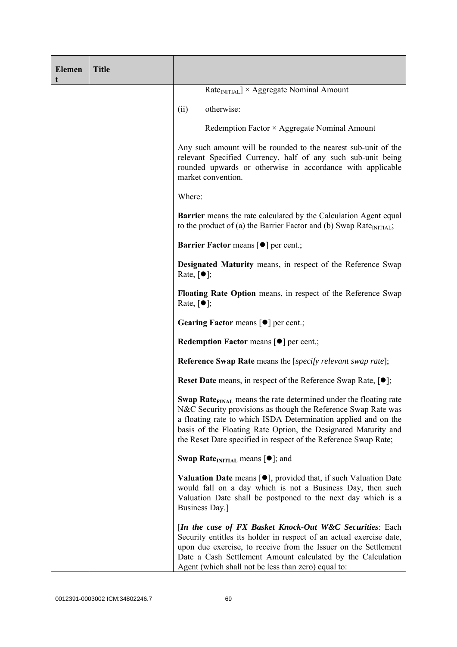| <b>Elemen</b><br>t | <b>Title</b> |                                                                                                                                                                                                                                                                                                                                                             |
|--------------------|--------------|-------------------------------------------------------------------------------------------------------------------------------------------------------------------------------------------------------------------------------------------------------------------------------------------------------------------------------------------------------------|
|                    |              | $RateINITIAL$ × Aggregate Nominal Amount                                                                                                                                                                                                                                                                                                                    |
|                    |              | otherwise:<br>(ii)                                                                                                                                                                                                                                                                                                                                          |
|                    |              | Redemption Factor × Aggregate Nominal Amount                                                                                                                                                                                                                                                                                                                |
|                    |              | Any such amount will be rounded to the nearest sub-unit of the<br>relevant Specified Currency, half of any such sub-unit being<br>rounded upwards or otherwise in accordance with applicable<br>market convention.                                                                                                                                          |
|                    |              | Where:                                                                                                                                                                                                                                                                                                                                                      |
|                    |              | Barrier means the rate calculated by the Calculation Agent equal<br>to the product of (a) the Barrier Factor and (b) Swap Rate $_{\text{INITIAL}}$ ;                                                                                                                                                                                                        |
|                    |              | <b>Barrier Factor means [O] per cent.;</b>                                                                                                                                                                                                                                                                                                                  |
|                    |              | <b>Designated Maturity means, in respect of the Reference Swap</b><br>Rate, $\lceil \bullet \rceil$ ;                                                                                                                                                                                                                                                       |
|                    |              | Floating Rate Option means, in respect of the Reference Swap<br>Rate, $\lceil \bullet \rceil$ ;                                                                                                                                                                                                                                                             |
|                    |              | <b>Gearing Factor means <math>\lceil \bullet \rceil</math> per cent.;</b>                                                                                                                                                                                                                                                                                   |
|                    |              | <b>Redemption Factor means <math>\lceil \bullet \rceil</math> per cent.;</b>                                                                                                                                                                                                                                                                                |
|                    |              | <b>Reference Swap Rate</b> means the [ <i>specify relevant swap rate</i> ];                                                                                                                                                                                                                                                                                 |
|                    |              | <b>Reset Date</b> means, in respect of the Reference Swap Rate, $[•]$ ;                                                                                                                                                                                                                                                                                     |
|                    |              | <b>Swap Rate</b> <sub>FINAL</sub> means the rate determined under the floating rate<br>N&C Security provisions as though the Reference Swap Rate was<br>a floating rate to which ISDA Determination applied and on the<br>basis of the Floating Rate Option, the Designated Maturity and<br>the Reset Date specified in respect of the Reference Swap Rate; |
|                    |              | <b>Swap Rate</b> <sub>INITIAL</sub> means $[\bullet]$ ; and                                                                                                                                                                                                                                                                                                 |
|                    |              | <b>Valuation Date</b> means [●], provided that, if such Valuation Date<br>would fall on a day which is not a Business Day, then such<br>Valuation Date shall be postponed to the next day which is a<br>Business Day.]                                                                                                                                      |
|                    |              | [In the case of FX Basket Knock-Out W&C Securities: Each<br>Security entitles its holder in respect of an actual exercise date,<br>upon due exercise, to receive from the Issuer on the Settlement<br>Date a Cash Settlement Amount calculated by the Calculation<br>Agent (which shall not be less than zero) equal to:                                    |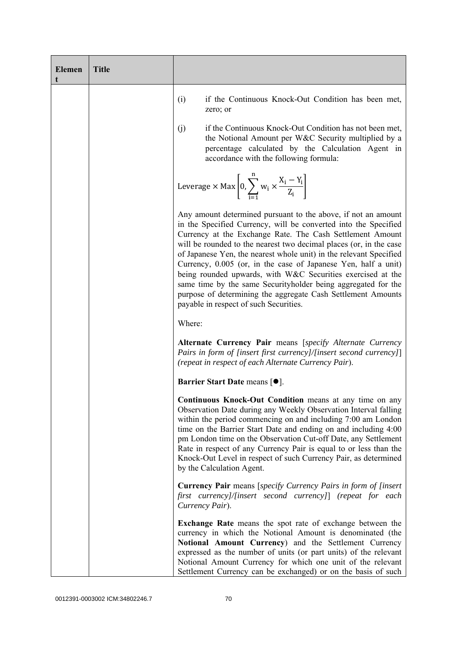| <b>Elemen</b> | <b>Title</b> |                                                                                                                                                                                                                                                                                                                                                                                                                                                                                                                                                                                                                                                       |
|---------------|--------------|-------------------------------------------------------------------------------------------------------------------------------------------------------------------------------------------------------------------------------------------------------------------------------------------------------------------------------------------------------------------------------------------------------------------------------------------------------------------------------------------------------------------------------------------------------------------------------------------------------------------------------------------------------|
|               |              | if the Continuous Knock-Out Condition has been met,<br>(i)<br>zero; or                                                                                                                                                                                                                                                                                                                                                                                                                                                                                                                                                                                |
|               |              | if the Continuous Knock-Out Condition has not been met,<br>(j)<br>the Notional Amount per W&C Security multiplied by a<br>percentage calculated by the Calculation Agent in<br>accordance with the following formula:                                                                                                                                                                                                                                                                                                                                                                                                                                 |
|               |              | Leverage $\times$ Max $\left[0, \sum_{i=1}^{n} w_i \times \frac{X_i - Y_i}{Z_i}\right]$                                                                                                                                                                                                                                                                                                                                                                                                                                                                                                                                                               |
|               |              | Any amount determined pursuant to the above, if not an amount<br>in the Specified Currency, will be converted into the Specified<br>Currency at the Exchange Rate. The Cash Settlement Amount<br>will be rounded to the nearest two decimal places (or, in the case<br>of Japanese Yen, the nearest whole unit) in the relevant Specified<br>Currency, 0.005 (or, in the case of Japanese Yen, half a unit)<br>being rounded upwards, with W&C Securities exercised at the<br>same time by the same Securityholder being aggregated for the<br>purpose of determining the aggregate Cash Settlement Amounts<br>payable in respect of such Securities. |
|               |              | Where:                                                                                                                                                                                                                                                                                                                                                                                                                                                                                                                                                                                                                                                |
|               |              | Alternate Currency Pair means [specify Alternate Currency<br>Pairs in form of [insert first currency]/[insert second currency]]<br>(repeat in respect of each Alternate Currency Pair).                                                                                                                                                                                                                                                                                                                                                                                                                                                               |
|               |              | Barrier Start Date means [ $\bullet$ ].                                                                                                                                                                                                                                                                                                                                                                                                                                                                                                                                                                                                               |
|               |              | Continuous Knock-Out Condition means at any time on any<br>Observation Date during any Weekly Observation Interval falling<br>within the period commencing on and including 7:00 am London<br>time on the Barrier Start Date and ending on and including 4:00<br>pm London time on the Observation Cut-off Date, any Settlement<br>Rate in respect of any Currency Pair is equal to or less than the<br>Knock-Out Level in respect of such Currency Pair, as determined<br>by the Calculation Agent.                                                                                                                                                  |
|               |              | <b>Currency Pair</b> means [specify Currency Pairs in form of [insert]<br>first currency]/[insert second currency]] (repeat for each<br>Currency Pair).                                                                                                                                                                                                                                                                                                                                                                                                                                                                                               |
|               |              | <b>Exchange Rate</b> means the spot rate of exchange between the<br>currency in which the Notional Amount is denominated (the<br>Notional Amount Currency) and the Settlement Currency<br>expressed as the number of units (or part units) of the relevant<br>Notional Amount Currency for which one unit of the relevant<br>Settlement Currency can be exchanged) or on the basis of such                                                                                                                                                                                                                                                            |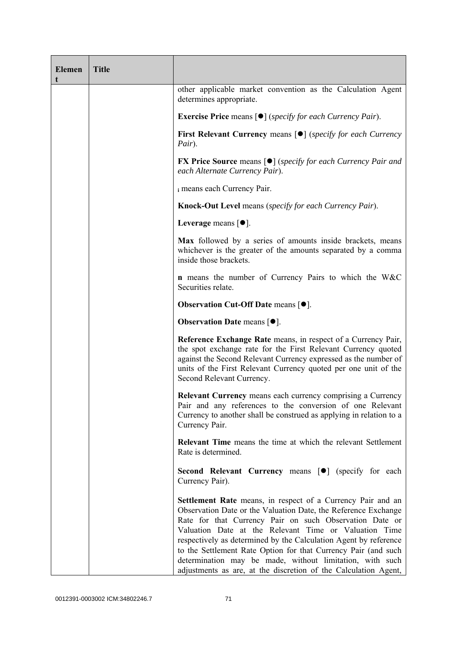| <b>Elemen</b> | <b>Title</b> |                                                                                                                                                                                                                                                                                                                                                                                                                                                                                                                        |
|---------------|--------------|------------------------------------------------------------------------------------------------------------------------------------------------------------------------------------------------------------------------------------------------------------------------------------------------------------------------------------------------------------------------------------------------------------------------------------------------------------------------------------------------------------------------|
|               |              | other applicable market convention as the Calculation Agent<br>determines appropriate.                                                                                                                                                                                                                                                                                                                                                                                                                                 |
|               |              | <b>Exercise Price</b> means $\lceil \bullet \rceil$ ( <i>specify for each Currency Pair</i> ).                                                                                                                                                                                                                                                                                                                                                                                                                         |
|               |              | <b>First Relevant Currency means [O]</b> (specify for each Currency<br>Pair).                                                                                                                                                                                                                                                                                                                                                                                                                                          |
|               |              | <b>FX Price Source means [<math>\bullet</math>]</b> (specify for each Currency Pair and<br>each Alternate Currency Pair).                                                                                                                                                                                                                                                                                                                                                                                              |
|               |              | i means each Currency Pair.                                                                                                                                                                                                                                                                                                                                                                                                                                                                                            |
|               |              | <b>Knock-Out Level</b> means (specify for each Currency Pair).                                                                                                                                                                                                                                                                                                                                                                                                                                                         |
|               |              | Leverage means $[•]$ .                                                                                                                                                                                                                                                                                                                                                                                                                                                                                                 |
|               |              | Max followed by a series of amounts inside brackets, means<br>whichever is the greater of the amounts separated by a comma<br>inside those brackets.                                                                                                                                                                                                                                                                                                                                                                   |
|               |              | <b>n</b> means the number of Currency Pairs to which the W&C<br>Securities relate.                                                                                                                                                                                                                                                                                                                                                                                                                                     |
|               |              | <b>Observation Cut-Off Date means <math>[•]</math>.</b>                                                                                                                                                                                                                                                                                                                                                                                                                                                                |
|               |              | <b>Observation Date means <math>[•]</math>.</b>                                                                                                                                                                                                                                                                                                                                                                                                                                                                        |
|               |              | Reference Exchange Rate means, in respect of a Currency Pair,<br>the spot exchange rate for the First Relevant Currency quoted<br>against the Second Relevant Currency expressed as the number of<br>units of the First Relevant Currency quoted per one unit of the<br>Second Relevant Currency.                                                                                                                                                                                                                      |
|               |              | <b>Relevant Currency</b> means each currency comprising a Currency<br>Pair and any references to the conversion of one Relevant<br>Currency to another shall be construed as applying in relation to a<br>Currency Pair.                                                                                                                                                                                                                                                                                               |
|               |              | <b>Relevant Time</b> means the time at which the relevant Settlement<br>Rate is determined.                                                                                                                                                                                                                                                                                                                                                                                                                            |
|               |              | Second Relevant Currency means [ $\bullet$ ] (specify for each<br>Currency Pair).                                                                                                                                                                                                                                                                                                                                                                                                                                      |
|               |              | Settlement Rate means, in respect of a Currency Pair and an<br>Observation Date or the Valuation Date, the Reference Exchange<br>Rate for that Currency Pair on such Observation Date or<br>Valuation Date at the Relevant Time or Valuation Time<br>respectively as determined by the Calculation Agent by reference<br>to the Settlement Rate Option for that Currency Pair (and such<br>determination may be made, without limitation, with such<br>adjustments as are, at the discretion of the Calculation Agent, |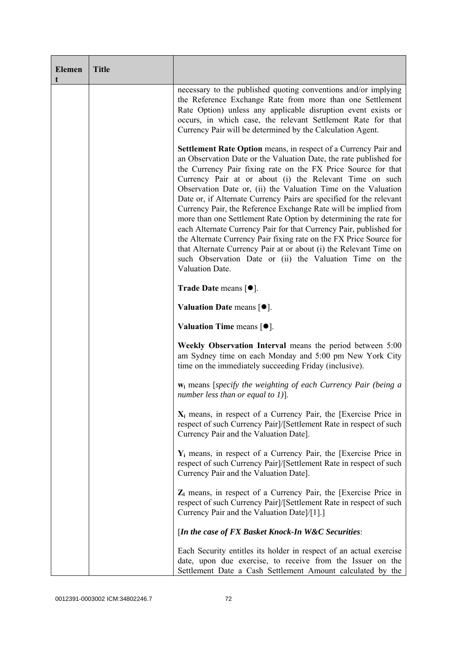| <b>Elemen</b><br>t | <b>Title</b> |                                                                                                                                                                                                                                                                                                                                                                                                                                                                                                                                                                                                                                                                                                                                                                                                                                                |
|--------------------|--------------|------------------------------------------------------------------------------------------------------------------------------------------------------------------------------------------------------------------------------------------------------------------------------------------------------------------------------------------------------------------------------------------------------------------------------------------------------------------------------------------------------------------------------------------------------------------------------------------------------------------------------------------------------------------------------------------------------------------------------------------------------------------------------------------------------------------------------------------------|
|                    |              | necessary to the published quoting conventions and/or implying<br>the Reference Exchange Rate from more than one Settlement<br>Rate Option) unless any applicable disruption event exists or<br>occurs, in which case, the relevant Settlement Rate for that<br>Currency Pair will be determined by the Calculation Agent.                                                                                                                                                                                                                                                                                                                                                                                                                                                                                                                     |
|                    |              | Settlement Rate Option means, in respect of a Currency Pair and<br>an Observation Date or the Valuation Date, the rate published for<br>the Currency Pair fixing rate on the FX Price Source for that<br>Currency Pair at or about (i) the Relevant Time on such<br>Observation Date or, (ii) the Valuation Time on the Valuation<br>Date or, if Alternate Currency Pairs are specified for the relevant<br>Currency Pair, the Reference Exchange Rate will be implied from<br>more than one Settlement Rate Option by determining the rate for<br>each Alternate Currency Pair for that Currency Pair, published for<br>the Alternate Currency Pair fixing rate on the FX Price Source for<br>that Alternate Currency Pair at or about (i) the Relevant Time on<br>such Observation Date or (ii) the Valuation Time on the<br>Valuation Date. |
|                    |              | <b>Trade Date means <math>\lceil \bullet \rceil</math>.</b>                                                                                                                                                                                                                                                                                                                                                                                                                                                                                                                                                                                                                                                                                                                                                                                    |
|                    |              | Valuation Date means $[•]$ .                                                                                                                                                                                                                                                                                                                                                                                                                                                                                                                                                                                                                                                                                                                                                                                                                   |
|                    |              | <b>Valuation Time means <math>[•]</math>.</b>                                                                                                                                                                                                                                                                                                                                                                                                                                                                                                                                                                                                                                                                                                                                                                                                  |
|                    |              | Weekly Observation Interval means the period between 5:00<br>am Sydney time on each Monday and 5:00 pm New York City<br>time on the immediately succeeding Friday (inclusive).                                                                                                                                                                                                                                                                                                                                                                                                                                                                                                                                                                                                                                                                 |
|                    |              | $w_i$ means [specify the weighting of each Currency Pair (being a<br>number less than or equal to 1)].                                                                                                                                                                                                                                                                                                                                                                                                                                                                                                                                                                                                                                                                                                                                         |
|                    |              | $X_i$ means, in respect of a Currency Pair, the [Exercise Price in<br>respect of such Currency Pair]/[Settlement Rate in respect of such<br>Currency Pair and the Valuation Date].                                                                                                                                                                                                                                                                                                                                                                                                                                                                                                                                                                                                                                                             |
|                    |              | $Y_i$ means, in respect of a Currency Pair, the [Exercise Price in<br>respect of such Currency Pair]/[Settlement Rate in respect of such<br>Currency Pair and the Valuation Date].                                                                                                                                                                                                                                                                                                                                                                                                                                                                                                                                                                                                                                                             |
|                    |              | $Z_i$ means, in respect of a Currency Pair, the [Exercise Price in<br>respect of such Currency Pair]/[Settlement Rate in respect of such<br>Currency Pair and the Valuation Date]/[1].]                                                                                                                                                                                                                                                                                                                                                                                                                                                                                                                                                                                                                                                        |
|                    |              | [In the case of FX Basket Knock-In W&C Securities:                                                                                                                                                                                                                                                                                                                                                                                                                                                                                                                                                                                                                                                                                                                                                                                             |
|                    |              | Each Security entitles its holder in respect of an actual exercise<br>date, upon due exercise, to receive from the Issuer on the<br>Settlement Date a Cash Settlement Amount calculated by the                                                                                                                                                                                                                                                                                                                                                                                                                                                                                                                                                                                                                                                 |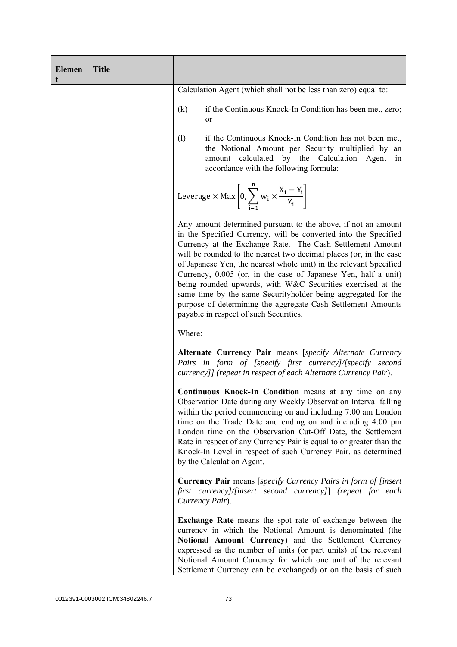| <b>Elemen</b><br>t | <b>Title</b> |                                                                                                                                                                                                                                                                                                                                                                                                                                                                                                                                                                                                                                                       |
|--------------------|--------------|-------------------------------------------------------------------------------------------------------------------------------------------------------------------------------------------------------------------------------------------------------------------------------------------------------------------------------------------------------------------------------------------------------------------------------------------------------------------------------------------------------------------------------------------------------------------------------------------------------------------------------------------------------|
|                    |              | Calculation Agent (which shall not be less than zero) equal to:                                                                                                                                                                                                                                                                                                                                                                                                                                                                                                                                                                                       |
|                    |              | if the Continuous Knock-In Condition has been met, zero;<br>(k)<br>or                                                                                                                                                                                                                                                                                                                                                                                                                                                                                                                                                                                 |
|                    |              | if the Continuous Knock-In Condition has not been met,<br>(1)<br>the Notional Amount per Security multiplied by an<br>amount calculated by the Calculation Agent<br>in<br>accordance with the following formula:                                                                                                                                                                                                                                                                                                                                                                                                                                      |
|                    |              | Leverage $\times$ Max $\left[0, \sum_{i=1}^{n} w_i \times \frac{X_i - Y_i}{Z_i}\right]$                                                                                                                                                                                                                                                                                                                                                                                                                                                                                                                                                               |
|                    |              | Any amount determined pursuant to the above, if not an amount<br>in the Specified Currency, will be converted into the Specified<br>Currency at the Exchange Rate. The Cash Settlement Amount<br>will be rounded to the nearest two decimal places (or, in the case<br>of Japanese Yen, the nearest whole unit) in the relevant Specified<br>Currency, 0.005 (or, in the case of Japanese Yen, half a unit)<br>being rounded upwards, with W&C Securities exercised at the<br>same time by the same Securityholder being aggregated for the<br>purpose of determining the aggregate Cash Settlement Amounts<br>payable in respect of such Securities. |
|                    |              | Where:                                                                                                                                                                                                                                                                                                                                                                                                                                                                                                                                                                                                                                                |
|                    |              | Alternate Currency Pair means [specify Alternate Currency<br>Pairs in form of [specify first currency]/[specify second<br>currency]] (repeat in respect of each Alternate Currency Pair).                                                                                                                                                                                                                                                                                                                                                                                                                                                             |
|                    |              | <b>Continuous Knock-In Condition</b> means at any time on any<br>Observation Date during any Weekly Observation Interval falling  <br>within the period commencing on and including 7:00 am London<br>time on the Trade Date and ending on and including 4:00 pm<br>London time on the Observation Cut-Off Date, the Settlement<br>Rate in respect of any Currency Pair is equal to or greater than the<br>Knock-In Level in respect of such Currency Pair, as determined<br>by the Calculation Agent.                                                                                                                                                |
|                    |              | <b>Currency Pair</b> means [specify Currency Pairs in form of [insert]<br>first currency]/[insert second currency]] (repeat for each<br>Currency Pair).                                                                                                                                                                                                                                                                                                                                                                                                                                                                                               |
|                    |              | Exchange Rate means the spot rate of exchange between the<br>currency in which the Notional Amount is denominated (the<br>Notional Amount Currency) and the Settlement Currency<br>expressed as the number of units (or part units) of the relevant<br>Notional Amount Currency for which one unit of the relevant<br>Settlement Currency can be exchanged) or on the basis of such                                                                                                                                                                                                                                                                   |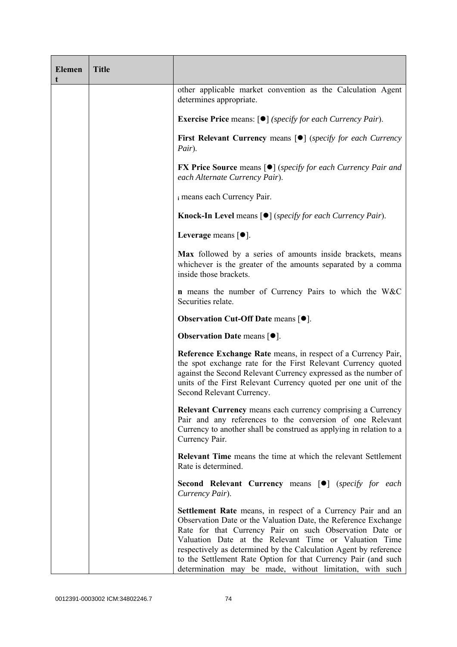| <b>Elemen</b><br>t | <b>Title</b> |                                                                                                                                                                                                                                                                                                                                                                                                                                                            |
|--------------------|--------------|------------------------------------------------------------------------------------------------------------------------------------------------------------------------------------------------------------------------------------------------------------------------------------------------------------------------------------------------------------------------------------------------------------------------------------------------------------|
|                    |              | other applicable market convention as the Calculation Agent<br>determines appropriate.                                                                                                                                                                                                                                                                                                                                                                     |
|                    |              | <b>Exercise Price</b> means: $\lceil \bullet \rceil$ ( <i>specify for each Currency Pair</i> ).                                                                                                                                                                                                                                                                                                                                                            |
|                    |              | <b>First Relevant Currency means <math>\lceil \bullet \rceil</math> (specify for each Currency</b><br>Pair).                                                                                                                                                                                                                                                                                                                                               |
|                    |              | <b>FX Price Source</b> means $\lceil \bullet \rceil$ (specify for each Currency Pair and<br>each Alternate Currency Pair).                                                                                                                                                                                                                                                                                                                                 |
|                    |              | i means each Currency Pair.                                                                                                                                                                                                                                                                                                                                                                                                                                |
|                    |              | <b>Knock-In Level</b> means $\lceil \bullet \rceil$ ( <i>specify for each Currency Pair</i> ).                                                                                                                                                                                                                                                                                                                                                             |
|                    |              | Leverage means $\lceil \bullet \rceil$ .                                                                                                                                                                                                                                                                                                                                                                                                                   |
|                    |              | Max followed by a series of amounts inside brackets, means<br>whichever is the greater of the amounts separated by a comma<br>inside those brackets.                                                                                                                                                                                                                                                                                                       |
|                    |              | <b>n</b> means the number of Currency Pairs to which the W&C<br>Securities relate.                                                                                                                                                                                                                                                                                                                                                                         |
|                    |              | <b>Observation Cut-Off Date means <math>[•]</math>.</b>                                                                                                                                                                                                                                                                                                                                                                                                    |
|                    |              | <b>Observation Date means <math>\lceil \bullet \rceil</math>.</b>                                                                                                                                                                                                                                                                                                                                                                                          |
|                    |              | Reference Exchange Rate means, in respect of a Currency Pair,<br>the spot exchange rate for the First Relevant Currency quoted<br>against the Second Relevant Currency expressed as the number of<br>units of the First Relevant Currency quoted per one unit of the<br>Second Relevant Currency.                                                                                                                                                          |
|                    |              | <b>Relevant Currency</b> means each currency comprising a Currency<br>Pair and any references to the conversion of one Relevant<br>Currency to another shall be construed as applying in relation to a<br>Currency Pair.                                                                                                                                                                                                                                   |
|                    |              | <b>Relevant Time</b> means the time at which the relevant Settlement<br>Rate is determined.                                                                                                                                                                                                                                                                                                                                                                |
|                    |              | Second Relevant Currency means [ <sup>•</sup> ] (specify for each<br>Currency Pair).                                                                                                                                                                                                                                                                                                                                                                       |
|                    |              | <b>Settlement Rate</b> means, in respect of a Currency Pair and an<br>Observation Date or the Valuation Date, the Reference Exchange<br>Rate for that Currency Pair on such Observation Date or<br>Valuation Date at the Relevant Time or Valuation Time<br>respectively as determined by the Calculation Agent by reference<br>to the Settlement Rate Option for that Currency Pair (and such<br>determination may be made, without limitation, with such |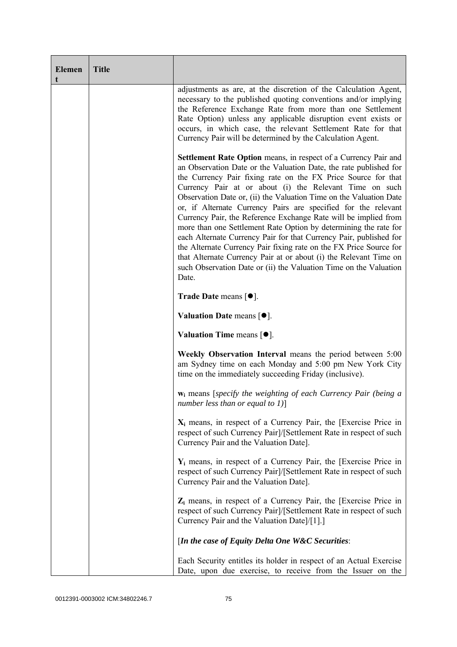| <b>Elemen</b><br>t | <b>Title</b> |                                                                                                                                                                                                                                                                                                                                                                                                                                                                                                                                                                                                                                                                                                                                                                                                                                                       |
|--------------------|--------------|-------------------------------------------------------------------------------------------------------------------------------------------------------------------------------------------------------------------------------------------------------------------------------------------------------------------------------------------------------------------------------------------------------------------------------------------------------------------------------------------------------------------------------------------------------------------------------------------------------------------------------------------------------------------------------------------------------------------------------------------------------------------------------------------------------------------------------------------------------|
|                    |              | adjustments as are, at the discretion of the Calculation Agent,<br>necessary to the published quoting conventions and/or implying<br>the Reference Exchange Rate from more than one Settlement<br>Rate Option) unless any applicable disruption event exists or<br>occurs, in which case, the relevant Settlement Rate for that<br>Currency Pair will be determined by the Calculation Agent.                                                                                                                                                                                                                                                                                                                                                                                                                                                         |
|                    |              | <b>Settlement Rate Option</b> means, in respect of a Currency Pair and<br>an Observation Date or the Valuation Date, the rate published for<br>the Currency Pair fixing rate on the FX Price Source for that<br>Currency Pair at or about (i) the Relevant Time on such<br>Observation Date or, (ii) the Valuation Time on the Valuation Date<br>or, if Alternate Currency Pairs are specified for the relevant<br>Currency Pair, the Reference Exchange Rate will be implied from<br>more than one Settlement Rate Option by determining the rate for<br>each Alternate Currency Pair for that Currency Pair, published for<br>the Alternate Currency Pair fixing rate on the FX Price Source for<br>that Alternate Currency Pair at or about (i) the Relevant Time on<br>such Observation Date or (ii) the Valuation Time on the Valuation<br>Date. |
|                    |              | <b>Trade Date means <math>\lceil \bullet \rceil</math>.</b>                                                                                                                                                                                                                                                                                                                                                                                                                                                                                                                                                                                                                                                                                                                                                                                           |
|                    |              | Valuation Date means $[•]$ .                                                                                                                                                                                                                                                                                                                                                                                                                                                                                                                                                                                                                                                                                                                                                                                                                          |
|                    |              | Valuation Time means $[•]$ .                                                                                                                                                                                                                                                                                                                                                                                                                                                                                                                                                                                                                                                                                                                                                                                                                          |
|                    |              | Weekly Observation Interval means the period between 5:00<br>am Sydney time on each Monday and 5:00 pm New York City<br>time on the immediately succeeding Friday (inclusive).                                                                                                                                                                                                                                                                                                                                                                                                                                                                                                                                                                                                                                                                        |
|                    |              | $w_i$ means [specify the weighting of each Currency Pair (being a<br>number less than or equal to $1$ ]                                                                                                                                                                                                                                                                                                                                                                                                                                                                                                                                                                                                                                                                                                                                               |
|                    |              | $X_i$ means, in respect of a Currency Pair, the [Exercise Price in<br>respect of such Currency Pair]/[Settlement Rate in respect of such<br>Currency Pair and the Valuation Date].                                                                                                                                                                                                                                                                                                                                                                                                                                                                                                                                                                                                                                                                    |
|                    |              | $Y_i$ means, in respect of a Currency Pair, the [Exercise Price in<br>respect of such Currency Pair]/[Settlement Rate in respect of such<br>Currency Pair and the Valuation Date].                                                                                                                                                                                                                                                                                                                                                                                                                                                                                                                                                                                                                                                                    |
|                    |              | $Z_i$ means, in respect of a Currency Pair, the [Exercise Price in<br>respect of such Currency Pair]/[Settlement Rate in respect of such<br>Currency Pair and the Valuation Date]/[1].]                                                                                                                                                                                                                                                                                                                                                                                                                                                                                                                                                                                                                                                               |
|                    |              | [In the case of Equity Delta One W&C Securities:                                                                                                                                                                                                                                                                                                                                                                                                                                                                                                                                                                                                                                                                                                                                                                                                      |
|                    |              | Each Security entitles its holder in respect of an Actual Exercise<br>Date, upon due exercise, to receive from the Issuer on the                                                                                                                                                                                                                                                                                                                                                                                                                                                                                                                                                                                                                                                                                                                      |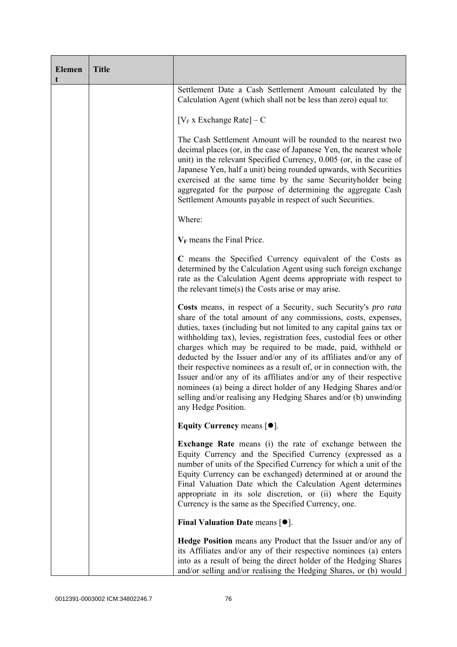| <b>Elemen</b><br>t | <b>Title</b> |                                                                                                                                                                                                                                                                                                                                                                                                                                                                                                                                                                                                                                                                                                                                   |
|--------------------|--------------|-----------------------------------------------------------------------------------------------------------------------------------------------------------------------------------------------------------------------------------------------------------------------------------------------------------------------------------------------------------------------------------------------------------------------------------------------------------------------------------------------------------------------------------------------------------------------------------------------------------------------------------------------------------------------------------------------------------------------------------|
|                    |              | Settlement Date a Cash Settlement Amount calculated by the<br>Calculation Agent (which shall not be less than zero) equal to:                                                                                                                                                                                                                                                                                                                                                                                                                                                                                                                                                                                                     |
|                    |              | $[V_F x]$ Exchange Rate $]-C$                                                                                                                                                                                                                                                                                                                                                                                                                                                                                                                                                                                                                                                                                                     |
|                    |              | The Cash Settlement Amount will be rounded to the nearest two<br>decimal places (or, in the case of Japanese Yen, the nearest whole<br>unit) in the relevant Specified Currency, 0.005 (or, in the case of<br>Japanese Yen, half a unit) being rounded upwards, with Securities<br>exercised at the same time by the same Securityholder being<br>aggregated for the purpose of determining the aggregate Cash<br>Settlement Amounts payable in respect of such Securities.                                                                                                                                                                                                                                                       |
|                    |              | Where:                                                                                                                                                                                                                                                                                                                                                                                                                                                                                                                                                                                                                                                                                                                            |
|                    |              | $V_F$ means the Final Price.                                                                                                                                                                                                                                                                                                                                                                                                                                                                                                                                                                                                                                                                                                      |
|                    |              | C means the Specified Currency equivalent of the Costs as<br>determined by the Calculation Agent using such foreign exchange<br>rate as the Calculation Agent deems appropriate with respect to<br>the relevant time(s) the Costs arise or may arise.                                                                                                                                                                                                                                                                                                                                                                                                                                                                             |
|                    |              | Costs means, in respect of a Security, such Security's pro rata<br>share of the total amount of any commissions, costs, expenses,<br>duties, taxes (including but not limited to any capital gains tax or<br>withholding tax), levies, registration fees, custodial fees or other<br>charges which may be required to be made, paid, withheld or<br>deducted by the Issuer and/or any of its affiliates and/or any of<br>their respective nominees as a result of, or in connection with, the<br>Issuer and/or any of its affiliates and/or any of their respective<br>nominees (a) being a direct holder of any Hedging Shares and/or<br>selling and/or realising any Hedging Shares and/or (b) unwinding<br>any Hedge Position. |
|                    |              | Equity Currency means $[\bullet].$                                                                                                                                                                                                                                                                                                                                                                                                                                                                                                                                                                                                                                                                                                |
|                    |              | <b>Exchange Rate</b> means (i) the rate of exchange between the<br>Equity Currency and the Specified Currency (expressed as a<br>number of units of the Specified Currency for which a unit of the<br>Equity Currency can be exchanged) determined at or around the<br>Final Valuation Date which the Calculation Agent determines<br>appropriate in its sole discretion, or (ii) where the Equity<br>Currency is the same as the Specified Currency, one.                                                                                                                                                                                                                                                                        |
|                    |              | Final Valuation Date means $[•]$ .                                                                                                                                                                                                                                                                                                                                                                                                                                                                                                                                                                                                                                                                                                |
|                    |              | <b>Hedge Position</b> means any Product that the Issuer and/or any of<br>its Affiliates and/or any of their respective nominees (a) enters<br>into as a result of being the direct holder of the Hedging Shares<br>and/or selling and/or realising the Hedging Shares, or (b) would                                                                                                                                                                                                                                                                                                                                                                                                                                               |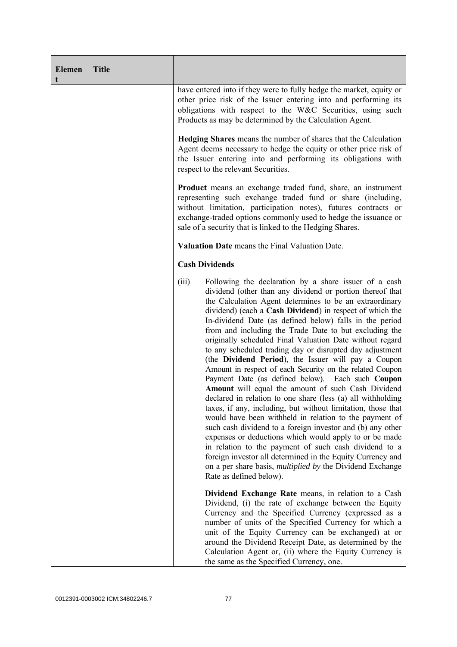| <b>Elemen</b><br>t | <b>Title</b> |                                                                                                                                                                                                                                                                                                                                                                                                                                                                                                                                                                                                                                                                                                                                                                                                                                                                                                                                                                                                                                                                                                                                                                                                                                                                      |
|--------------------|--------------|----------------------------------------------------------------------------------------------------------------------------------------------------------------------------------------------------------------------------------------------------------------------------------------------------------------------------------------------------------------------------------------------------------------------------------------------------------------------------------------------------------------------------------------------------------------------------------------------------------------------------------------------------------------------------------------------------------------------------------------------------------------------------------------------------------------------------------------------------------------------------------------------------------------------------------------------------------------------------------------------------------------------------------------------------------------------------------------------------------------------------------------------------------------------------------------------------------------------------------------------------------------------|
|                    |              | have entered into if they were to fully hedge the market, equity or<br>other price risk of the Issuer entering into and performing its<br>obligations with respect to the W&C Securities, using such<br>Products as may be determined by the Calculation Agent.                                                                                                                                                                                                                                                                                                                                                                                                                                                                                                                                                                                                                                                                                                                                                                                                                                                                                                                                                                                                      |
|                    |              | Hedging Shares means the number of shares that the Calculation<br>Agent deems necessary to hedge the equity or other price risk of<br>the Issuer entering into and performing its obligations with<br>respect to the relevant Securities.                                                                                                                                                                                                                                                                                                                                                                                                                                                                                                                                                                                                                                                                                                                                                                                                                                                                                                                                                                                                                            |
|                    |              | <b>Product</b> means an exchange traded fund, share, an instrument<br>representing such exchange traded fund or share (including,<br>without limitation, participation notes), futures contracts or<br>exchange-traded options commonly used to hedge the issuance or<br>sale of a security that is linked to the Hedging Shares.                                                                                                                                                                                                                                                                                                                                                                                                                                                                                                                                                                                                                                                                                                                                                                                                                                                                                                                                    |
|                    |              | Valuation Date means the Final Valuation Date.                                                                                                                                                                                                                                                                                                                                                                                                                                                                                                                                                                                                                                                                                                                                                                                                                                                                                                                                                                                                                                                                                                                                                                                                                       |
|                    |              | <b>Cash Dividends</b>                                                                                                                                                                                                                                                                                                                                                                                                                                                                                                                                                                                                                                                                                                                                                                                                                                                                                                                                                                                                                                                                                                                                                                                                                                                |
|                    |              | (iii)<br>Following the declaration by a share issuer of a cash<br>dividend (other than any dividend or portion thereof that<br>the Calculation Agent determines to be an extraordinary<br>dividend) (each a Cash Dividend) in respect of which the<br>In-dividend Date (as defined below) falls in the period<br>from and including the Trade Date to but excluding the<br>originally scheduled Final Valuation Date without regard<br>to any scheduled trading day or disrupted day adjustment<br>(the Dividend Period), the Issuer will pay a Coupon<br>Amount in respect of each Security on the related Coupon<br>Payment Date (as defined below). Each such Coupon<br>Amount will equal the amount of such Cash Dividend<br>declared in relation to one share (less (a) all withholding<br>taxes, if any, including, but without limitation, those that<br>would have been withheld in relation to the payment of<br>such cash dividend to a foreign investor and (b) any other<br>expenses or deductions which would apply to or be made<br>in relation to the payment of such cash dividend to a<br>foreign investor all determined in the Equity Currency and<br>on a per share basis, <i>multiplied by</i> the Dividend Exchange<br>Rate as defined below). |
|                    |              | Dividend Exchange Rate means, in relation to a Cash<br>Dividend, (i) the rate of exchange between the Equity<br>Currency and the Specified Currency (expressed as a<br>number of units of the Specified Currency for which a<br>unit of the Equity Currency can be exchanged) at or<br>around the Dividend Receipt Date, as determined by the<br>Calculation Agent or, (ii) where the Equity Currency is<br>the same as the Specified Currency, one.                                                                                                                                                                                                                                                                                                                                                                                                                                                                                                                                                                                                                                                                                                                                                                                                                 |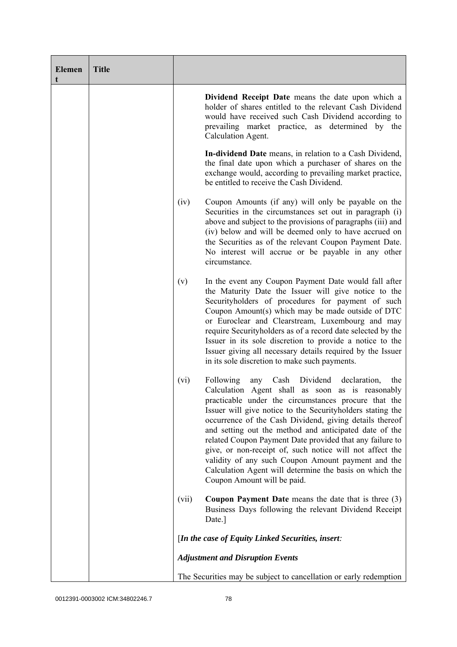| <b>Elemen</b><br>t | <b>Title</b> |       |                                                                                                                                                                                                                                                                                                                                                                                                                                                                                                                                                                                                                                    |
|--------------------|--------------|-------|------------------------------------------------------------------------------------------------------------------------------------------------------------------------------------------------------------------------------------------------------------------------------------------------------------------------------------------------------------------------------------------------------------------------------------------------------------------------------------------------------------------------------------------------------------------------------------------------------------------------------------|
|                    |              |       | Dividend Receipt Date means the date upon which a<br>holder of shares entitled to the relevant Cash Dividend<br>would have received such Cash Dividend according to<br>prevailing market practice, as determined by the<br>Calculation Agent.                                                                                                                                                                                                                                                                                                                                                                                      |
|                    |              |       | In-dividend Date means, in relation to a Cash Dividend,<br>the final date upon which a purchaser of shares on the<br>exchange would, according to prevailing market practice,<br>be entitled to receive the Cash Dividend.                                                                                                                                                                                                                                                                                                                                                                                                         |
|                    |              | (iv)  | Coupon Amounts (if any) will only be payable on the<br>Securities in the circumstances set out in paragraph (i)<br>above and subject to the provisions of paragraphs (iii) and<br>(iv) below and will be deemed only to have accrued on<br>the Securities as of the relevant Coupon Payment Date.<br>No interest will accrue or be payable in any other<br>circumstance.                                                                                                                                                                                                                                                           |
|                    |              | (v)   | In the event any Coupon Payment Date would fall after<br>the Maturity Date the Issuer will give notice to the<br>Securityholders of procedures for payment of such<br>Coupon Amount(s) which may be made outside of DTC<br>or Euroclear and Clearstream, Luxembourg and may<br>require Security holders as of a record date selected by the<br>Issuer in its sole discretion to provide a notice to the<br>Issuer giving all necessary details required by the Issuer<br>in its sole discretion to make such payments.                                                                                                             |
|                    |              | (vi)  | Following<br>Cash<br>Dividend<br>declaration,<br>the<br>any<br>Calculation Agent shall as soon as is reasonably<br>practicable under the circumstances procure that the<br>Issuer will give notice to the Securityholders stating the<br>occurrence of the Cash Dividend, giving details thereof<br>and setting out the method and anticipated date of the<br>related Coupon Payment Date provided that any failure to<br>give, or non-receipt of, such notice will not affect the<br>validity of any such Coupon Amount payment and the<br>Calculation Agent will determine the basis on which the<br>Coupon Amount will be paid. |
|                    |              | (vii) | <b>Coupon Payment Date</b> means the date that is three (3)<br>Business Days following the relevant Dividend Receipt<br>Date.]                                                                                                                                                                                                                                                                                                                                                                                                                                                                                                     |
|                    |              |       | [In the case of Equity Linked Securities, insert:                                                                                                                                                                                                                                                                                                                                                                                                                                                                                                                                                                                  |
|                    |              |       | <b>Adjustment and Disruption Events</b>                                                                                                                                                                                                                                                                                                                                                                                                                                                                                                                                                                                            |
|                    |              |       | The Securities may be subject to cancellation or early redemption                                                                                                                                                                                                                                                                                                                                                                                                                                                                                                                                                                  |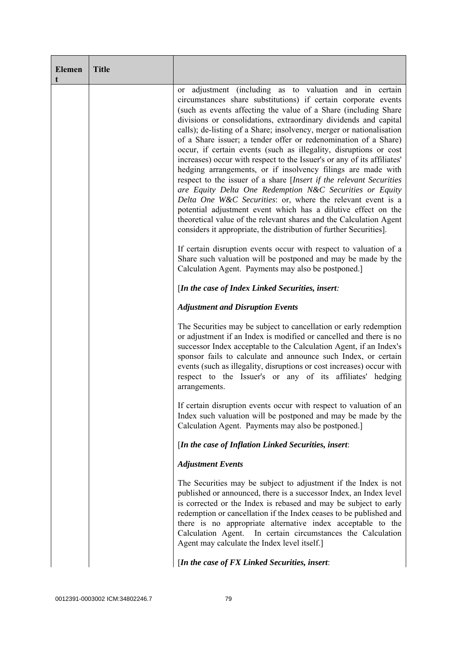| <b>Elemen</b> | <b>Title</b> |                                                                                                                                                                                                                                                                                                                                                                                                                                                                                                                                                                                                                                                                                                                                                                                                                                                                                                                                                                                                                                                                                                                 |
|---------------|--------------|-----------------------------------------------------------------------------------------------------------------------------------------------------------------------------------------------------------------------------------------------------------------------------------------------------------------------------------------------------------------------------------------------------------------------------------------------------------------------------------------------------------------------------------------------------------------------------------------------------------------------------------------------------------------------------------------------------------------------------------------------------------------------------------------------------------------------------------------------------------------------------------------------------------------------------------------------------------------------------------------------------------------------------------------------------------------------------------------------------------------|
|               |              | or adjustment (including as to valuation and in certain<br>circumstances share substitutions) if certain corporate events<br>(such as events affecting the value of a Share (including Share<br>divisions or consolidations, extraordinary dividends and capital<br>calls); de-listing of a Share; insolvency, merger or nationalisation<br>of a Share issuer; a tender offer or redenomination of a Share)<br>occur, if certain events (such as illegality, disruptions or cost<br>increases) occur with respect to the Issuer's or any of its affiliates'<br>hedging arrangements, or if insolvency filings are made with<br>respect to the issuer of a share [Insert if the relevant Securities<br>are Equity Delta One Redemption N&C Securities or Equity<br>Delta One W&C Securities: or, where the relevant event is a<br>potential adjustment event which has a dilutive effect on the<br>theoretical value of the relevant shares and the Calculation Agent<br>considers it appropriate, the distribution of further Securities].<br>If certain disruption events occur with respect to valuation of a |
|               |              | Share such valuation will be postponed and may be made by the<br>Calculation Agent. Payments may also be postponed.]                                                                                                                                                                                                                                                                                                                                                                                                                                                                                                                                                                                                                                                                                                                                                                                                                                                                                                                                                                                            |
|               |              | [In the case of Index Linked Securities, insert:                                                                                                                                                                                                                                                                                                                                                                                                                                                                                                                                                                                                                                                                                                                                                                                                                                                                                                                                                                                                                                                                |
|               |              | <b>Adjustment and Disruption Events</b>                                                                                                                                                                                                                                                                                                                                                                                                                                                                                                                                                                                                                                                                                                                                                                                                                                                                                                                                                                                                                                                                         |
|               |              | The Securities may be subject to cancellation or early redemption<br>or adjustment if an Index is modified or cancelled and there is no<br>successor Index acceptable to the Calculation Agent, if an Index's<br>sponsor fails to calculate and announce such Index, or certain<br>events (such as illegality, disruptions or cost increases) occur with<br>respect to the Issuer's or any of its affiliates' hedging<br>arrangements.                                                                                                                                                                                                                                                                                                                                                                                                                                                                                                                                                                                                                                                                          |
|               |              | If certain disruption events occur with respect to valuation of an<br>Index such valuation will be postponed and may be made by the<br>Calculation Agent. Payments may also be postponed.]                                                                                                                                                                                                                                                                                                                                                                                                                                                                                                                                                                                                                                                                                                                                                                                                                                                                                                                      |
|               |              | [In the case of Inflation Linked Securities, insert:                                                                                                                                                                                                                                                                                                                                                                                                                                                                                                                                                                                                                                                                                                                                                                                                                                                                                                                                                                                                                                                            |
|               |              | <b>Adjustment Events</b>                                                                                                                                                                                                                                                                                                                                                                                                                                                                                                                                                                                                                                                                                                                                                                                                                                                                                                                                                                                                                                                                                        |
|               |              | The Securities may be subject to adjustment if the Index is not<br>published or announced, there is a successor Index, an Index level<br>is corrected or the Index is rebased and may be subject to early<br>redemption or cancellation if the Index ceases to be published and<br>there is no appropriate alternative index acceptable to the<br>Calculation Agent.<br>In certain circumstances the Calculation<br>Agent may calculate the Index level itself.]                                                                                                                                                                                                                                                                                                                                                                                                                                                                                                                                                                                                                                                |
|               |              | [In the case of FX Linked Securities, insert:                                                                                                                                                                                                                                                                                                                                                                                                                                                                                                                                                                                                                                                                                                                                                                                                                                                                                                                                                                                                                                                                   |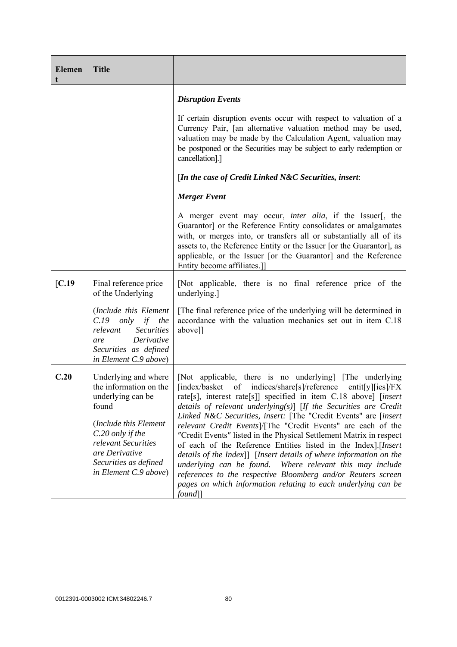| <b>Elemen</b> | <b>Title</b>                                                                                                                                                                                                         |                                                                                                                                                                                                                                                                                                                                                                                                                                                                                                                                                                                                                                                                                                                                                                                                                                             |
|---------------|----------------------------------------------------------------------------------------------------------------------------------------------------------------------------------------------------------------------|---------------------------------------------------------------------------------------------------------------------------------------------------------------------------------------------------------------------------------------------------------------------------------------------------------------------------------------------------------------------------------------------------------------------------------------------------------------------------------------------------------------------------------------------------------------------------------------------------------------------------------------------------------------------------------------------------------------------------------------------------------------------------------------------------------------------------------------------|
|               |                                                                                                                                                                                                                      | <b>Disruption Events</b>                                                                                                                                                                                                                                                                                                                                                                                                                                                                                                                                                                                                                                                                                                                                                                                                                    |
|               |                                                                                                                                                                                                                      | If certain disruption events occur with respect to valuation of a<br>Currency Pair, [an alternative valuation method may be used,<br>valuation may be made by the Calculation Agent, valuation may<br>be postponed or the Securities may be subject to early redemption or<br>cancellation].]                                                                                                                                                                                                                                                                                                                                                                                                                                                                                                                                               |
|               |                                                                                                                                                                                                                      | [In the case of Credit Linked N&C Securities, insert:                                                                                                                                                                                                                                                                                                                                                                                                                                                                                                                                                                                                                                                                                                                                                                                       |
|               |                                                                                                                                                                                                                      | <b>Merger</b> Event                                                                                                                                                                                                                                                                                                                                                                                                                                                                                                                                                                                                                                                                                                                                                                                                                         |
|               |                                                                                                                                                                                                                      | A merger event may occur, <i>inter alia</i> , if the Issuer[, the<br>Guarantor] or the Reference Entity consolidates or amalgamates<br>with, or merges into, or transfers all or substantially all of its<br>assets to, the Reference Entity or the Issuer [or the Guarantor], as<br>applicable, or the Issuer [or the Guarantor] and the Reference<br>Entity become affiliates.]]                                                                                                                                                                                                                                                                                                                                                                                                                                                          |
| [C.19]        | Final reference price<br>of the Underlying                                                                                                                                                                           | [Not applicable, there is no final reference price of the<br>underlying.]                                                                                                                                                                                                                                                                                                                                                                                                                                                                                                                                                                                                                                                                                                                                                                   |
|               | (Include this Element<br>$C.19$ only<br>if<br>the<br><b>Securities</b><br>relevant<br>Derivative<br>are<br>Securities as defined<br>in Element C.9 above)                                                            | [The final reference price of the underlying will be determined in<br>accordance with the valuation mechanics set out in item C.18<br>above]]                                                                                                                                                                                                                                                                                                                                                                                                                                                                                                                                                                                                                                                                                               |
| C.20          | Underlying and where<br>the information on the<br>underlying can be<br>found<br>(Include this Element<br>C.20 only if the<br>relevant Securities<br>are Derivative<br>Securities as defined<br>in Element C.9 above) | [Not applicable, there is no underlying] [The underlying]<br>of indices/share[s]/reference<br>[index/basket]<br>entit[y][ies]/ $FX$<br>rate[s], interest rate[s]] specified in item C.18 above] [insert<br>details of relevant underlying(s)] [If the Securities are Credit<br>Linked N&C Securities, insert: [The "Credit Events" are [insert]<br>relevant Credit Events]/[The "Credit Events" are each of the<br>"Credit Events" listed in the Physical Settlement Matrix in respect<br>of each of the Reference Entities listed in the Index].[Insert<br>details of the Index]] [Insert details of where information on the<br>underlying can be found.<br>Where relevant this may include<br>references to the respective Bloomberg and/or Reuters screen<br>pages on which information relating to each underlying can be<br>$found$ ] |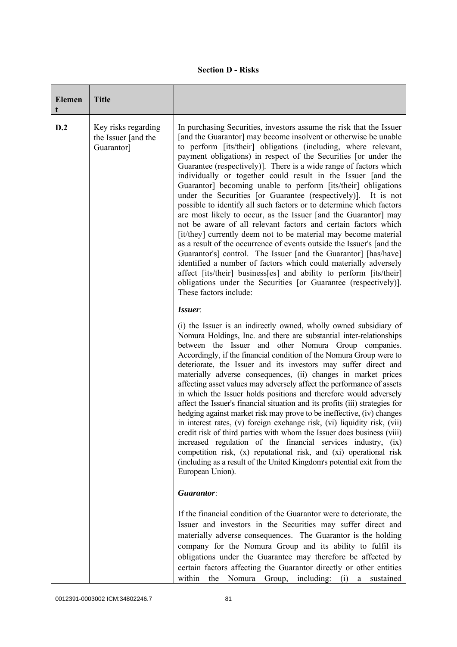| <b>Elemen</b> | <b>Title</b>                                             |                                                                                                                                                                                                                                                                                                                                                                                                                                                                                                                                                                                                                                                                                                                                                                                                                                                                                                                                                                                                                                                                                                                                                                                                                        |
|---------------|----------------------------------------------------------|------------------------------------------------------------------------------------------------------------------------------------------------------------------------------------------------------------------------------------------------------------------------------------------------------------------------------------------------------------------------------------------------------------------------------------------------------------------------------------------------------------------------------------------------------------------------------------------------------------------------------------------------------------------------------------------------------------------------------------------------------------------------------------------------------------------------------------------------------------------------------------------------------------------------------------------------------------------------------------------------------------------------------------------------------------------------------------------------------------------------------------------------------------------------------------------------------------------------|
| D.2           | Key risks regarding<br>the Issuer [and the<br>Guarantor] | In purchasing Securities, investors assume the risk that the Issuer<br>[and the Guarantor] may become insolvent or otherwise be unable<br>to perform [its/their] obligations (including, where relevant,<br>payment obligations) in respect of the Securities [or under the<br>Guarantee (respectively)]. There is a wide range of factors which<br>individually or together could result in the Issuer [and the<br>Guarantor] becoming unable to perform [its/their] obligations<br>under the Securities [or Guarantee (respectively)].<br>It is not<br>possible to identify all such factors or to determine which factors<br>are most likely to occur, as the Issuer [and the Guarantor] may<br>not be aware of all relevant factors and certain factors which<br>[it/they] currently deem not to be material may become material<br>as a result of the occurrence of events outside the Issuer's [and the<br>Guarantor's] control. The Issuer [and the Guarantor] [has/have]<br>identified a number of factors which could materially adversely<br>affect [its/their] business[es] and ability to perform [its/their]<br>obligations under the Securities [or Guarantee (respectively)].<br>These factors include: |
|               |                                                          | Issuer:                                                                                                                                                                                                                                                                                                                                                                                                                                                                                                                                                                                                                                                                                                                                                                                                                                                                                                                                                                                                                                                                                                                                                                                                                |
|               |                                                          | (i) the Issuer is an indirectly owned, wholly owned subsidiary of<br>Nomura Holdings, Inc. and there are substantial inter-relationships<br>between the Issuer and other Nomura Group companies.<br>Accordingly, if the financial condition of the Nomura Group were to<br>deteriorate, the Issuer and its investors may suffer direct and<br>materially adverse consequences, (ii) changes in market prices<br>affecting asset values may adversely affect the performance of assets<br>in which the Issuer holds positions and therefore would adversely<br>affect the Issuer's financial situation and its profits (iii) strategies for<br>hedging against market risk may prove to be ineffective, (iv) changes<br>in interest rates, (v) foreign exchange risk, (vi) liquidity risk, (vii)<br>credit risk of third parties with whom the Issuer does business (viii)<br>increased regulation of the financial services industry, (ix)<br>competition risk, (x) reputational risk, and (xi) operational risk<br>(including as a result of the United Kingdom's potential exit from the<br>European Union).                                                                                                         |
|               |                                                          | Guarantor:                                                                                                                                                                                                                                                                                                                                                                                                                                                                                                                                                                                                                                                                                                                                                                                                                                                                                                                                                                                                                                                                                                                                                                                                             |
|               |                                                          | If the financial condition of the Guarantor were to deteriorate, the<br>Issuer and investors in the Securities may suffer direct and<br>materially adverse consequences. The Guarantor is the holding<br>company for the Nomura Group and its ability to fulfil its<br>obligations under the Guarantee may therefore be affected by<br>certain factors affecting the Guarantor directly or other entities<br>within<br>the Nomura Group, including: (i) a sustained                                                                                                                                                                                                                                                                                                                                                                                                                                                                                                                                                                                                                                                                                                                                                    |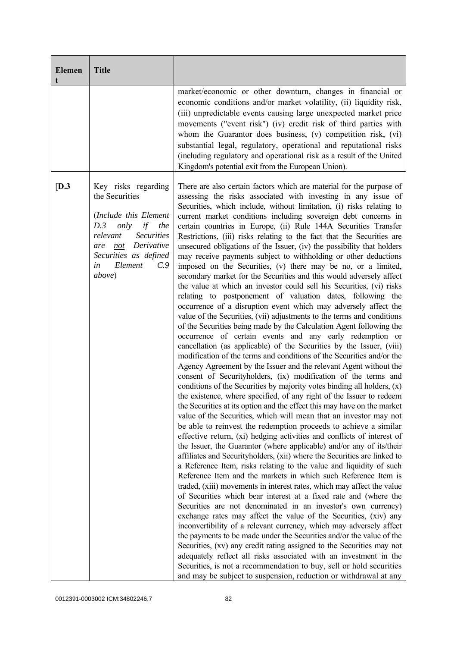| <b>Elemen</b><br>t | <b>Title</b>                                                                                                                                                                                                    |                                                                                                                                                                                                                                                                                                                                                                                                                                                                                                                                                                                                                                                                                                                                                                                                                                                                                                                                                                                                                                                                                                                                                                                                                                                                                                                                                                                                                                                                                                                                                                                                                                                                                                                                                                                                                                                                                                                                                                                                                                                                                                                                                                                                                                                                                                                                                                                                                                                                                                                                                                                                                                                                                                                                                                                                                                                                                                          |
|--------------------|-----------------------------------------------------------------------------------------------------------------------------------------------------------------------------------------------------------------|----------------------------------------------------------------------------------------------------------------------------------------------------------------------------------------------------------------------------------------------------------------------------------------------------------------------------------------------------------------------------------------------------------------------------------------------------------------------------------------------------------------------------------------------------------------------------------------------------------------------------------------------------------------------------------------------------------------------------------------------------------------------------------------------------------------------------------------------------------------------------------------------------------------------------------------------------------------------------------------------------------------------------------------------------------------------------------------------------------------------------------------------------------------------------------------------------------------------------------------------------------------------------------------------------------------------------------------------------------------------------------------------------------------------------------------------------------------------------------------------------------------------------------------------------------------------------------------------------------------------------------------------------------------------------------------------------------------------------------------------------------------------------------------------------------------------------------------------------------------------------------------------------------------------------------------------------------------------------------------------------------------------------------------------------------------------------------------------------------------------------------------------------------------------------------------------------------------------------------------------------------------------------------------------------------------------------------------------------------------------------------------------------------------------------------------------------------------------------------------------------------------------------------------------------------------------------------------------------------------------------------------------------------------------------------------------------------------------------------------------------------------------------------------------------------------------------------------------------------------------------------------------------------|
|                    |                                                                                                                                                                                                                 | market/economic or other downturn, changes in financial or<br>economic conditions and/or market volatility, (ii) liquidity risk,<br>(iii) unpredictable events causing large unexpected market price<br>movements ("event risk") (iv) credit risk of third parties with<br>whom the Guarantor does business, (v) competition risk, (vi)<br>substantial legal, regulatory, operational and reputational risks<br>(including regulatory and operational risk as a result of the United<br>Kingdom's potential exit from the European Union).                                                                                                                                                                                                                                                                                                                                                                                                                                                                                                                                                                                                                                                                                                                                                                                                                                                                                                                                                                                                                                                                                                                                                                                                                                                                                                                                                                                                                                                                                                                                                                                                                                                                                                                                                                                                                                                                                                                                                                                                                                                                                                                                                                                                                                                                                                                                                               |
| [D.3]              | Key risks regarding<br>the Securities<br>(Include this Element<br>D.3<br>only<br>if<br>the<br><b>Securities</b><br>relevant<br>not Derivative<br>are<br>Securities as defined<br>Element<br>C.9<br>in<br>above) | There are also certain factors which are material for the purpose of<br>assessing the risks associated with investing in any issue of<br>Securities, which include, without limitation, (i) risks relating to<br>current market conditions including sovereign debt concerns in<br>certain countries in Europe, (ii) Rule 144A Securities Transfer<br>Restrictions, (iii) risks relating to the fact that the Securities are<br>unsecured obligations of the Issuer, (iv) the possibility that holders<br>may receive payments subject to withholding or other deductions<br>imposed on the Securities, (v) there may be no, or a limited,<br>secondary market for the Securities and this would adversely affect<br>the value at which an investor could sell his Securities, (vi) risks<br>relating to postponement of valuation dates, following the<br>occurrence of a disruption event which may adversely affect the<br>value of the Securities, (vii) adjustments to the terms and conditions<br>of the Securities being made by the Calculation Agent following the<br>occurrence of certain events and any early redemption or<br>cancellation (as applicable) of the Securities by the Issuer, (viii)<br>modification of the terms and conditions of the Securities and/or the<br>Agency Agreement by the Issuer and the relevant Agent without the<br>consent of Securityholders, (ix) modification of the terms and<br>conditions of the Securities by majority votes binding all holders, (x)<br>the existence, where specified, of any right of the Issuer to redeem<br>the Securities at its option and the effect this may have on the market<br>value of the Securities, which will mean that an investor may not<br>be able to reinvest the redemption proceeds to achieve a similar<br>effective return, (xi) hedging activities and conflicts of interest of<br>the Issuer, the Guarantor (where applicable) and/or any of its/their<br>affiliates and Securityholders, (xii) where the Securities are linked to<br>a Reference Item, risks relating to the value and liquidity of such<br>Reference Item and the markets in which such Reference Item is<br>traded, (xiii) movements in interest rates, which may affect the value<br>of Securities which bear interest at a fixed rate and (where the<br>Securities are not denominated in an investor's own currency)<br>exchange rates may affect the value of the Securities, (xiv) any<br>inconvertibility of a relevant currency, which may adversely affect<br>the payments to be made under the Securities and/or the value of the<br>Securities, (xv) any credit rating assigned to the Securities may not<br>adequately reflect all risks associated with an investment in the<br>Securities, is not a recommendation to buy, sell or hold securities<br>and may be subject to suspension, reduction or withdrawal at any |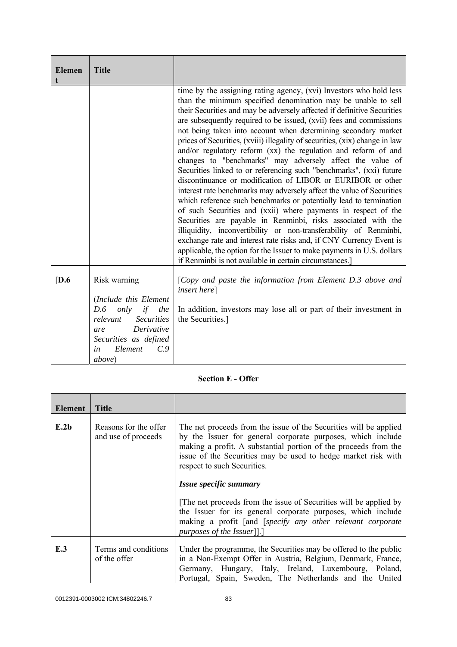| <b>Elemen</b><br>t | <b>Title</b>                                                                                                                                                                       |                                                                                                                                                                                                                                                                                                                                                                                                                                                                                                                                                                                                                                                                                                                                                                                                                                                                                                                                                                                                                                                                                                                                                                                                                                                                                |
|--------------------|------------------------------------------------------------------------------------------------------------------------------------------------------------------------------------|--------------------------------------------------------------------------------------------------------------------------------------------------------------------------------------------------------------------------------------------------------------------------------------------------------------------------------------------------------------------------------------------------------------------------------------------------------------------------------------------------------------------------------------------------------------------------------------------------------------------------------------------------------------------------------------------------------------------------------------------------------------------------------------------------------------------------------------------------------------------------------------------------------------------------------------------------------------------------------------------------------------------------------------------------------------------------------------------------------------------------------------------------------------------------------------------------------------------------------------------------------------------------------|
|                    |                                                                                                                                                                                    | time by the assigning rating agency, (xvi) Investors who hold less<br>than the minimum specified denomination may be unable to sell<br>their Securities and may be adversely affected if definitive Securities<br>are subsequently required to be issued, (xvii) fees and commissions<br>not being taken into account when determining secondary market<br>prices of Securities, (xviii) illegality of securities, (xix) change in law<br>and/or regulatory reform (xx) the regulation and reform of and<br>changes to "benchmarks" may adversely affect the value of<br>Securities linked to or referencing such "benchmarks", (xxi) future<br>discontinuance or modification of LIBOR or EURIBOR or other<br>interest rate benchmarks may adversely affect the value of Securities<br>which reference such benchmarks or potentially lead to termination<br>of such Securities and (xxii) where payments in respect of the<br>Securities are payable in Renminbi, risks associated with the<br>illiquidity, inconvertibility or non-transferability of Renminbi,<br>exchange rate and interest rate risks and, if CNY Currency Event is<br>applicable, the option for the Issuer to make payments in U.S. dollars<br>if Renminbi is not available in certain circumstances.] |
| [D.6]              | Risk warning<br>(Include this Element<br>only<br>if<br>D.6<br>the<br><b>Securities</b><br>relevant<br>Derivative<br>are<br>Securities as defined<br>Element<br>C.9<br>in<br>above) | [Copy and paste the information from Element D.3 above and<br><i>insert here</i> ]<br>In addition, investors may lose all or part of their investment in<br>the Securities.]                                                                                                                                                                                                                                                                                                                                                                                                                                                                                                                                                                                                                                                                                                                                                                                                                                                                                                                                                                                                                                                                                                   |

## **Section E - Offer**

| Element | <b>Title</b>                                 |                                                                                                                                                                                                                                                                                                                                                                                                   |
|---------|----------------------------------------------|---------------------------------------------------------------------------------------------------------------------------------------------------------------------------------------------------------------------------------------------------------------------------------------------------------------------------------------------------------------------------------------------------|
| E.2b    | Reasons for the offer<br>and use of proceeds | The net proceeds from the issue of the Securities will be applied<br>by the Issuer for general corporate purposes, which include<br>making a profit. A substantial portion of the proceeds from the<br>issue of the Securities may be used to hedge market risk with<br>respect to such Securities.<br>Issue specific summary<br>The net proceeds from the issue of Securities will be applied by |
|         |                                              | the Issuer for its general corporate purposes, which include<br>making a profit [and [specify any other relevant corporate<br>purposes of the Issuer].]                                                                                                                                                                                                                                           |
| E.3     | Terms and conditions<br>of the offer         | Under the programme, the Securities may be offered to the public<br>in a Non-Exempt Offer in Austria, Belgium, Denmark, France,<br>Germany, Hungary, Italy, Ireland, Luxembourg, Poland,<br>Portugal, Spain, Sweden, The Netherlands and the United                                                                                                                                               |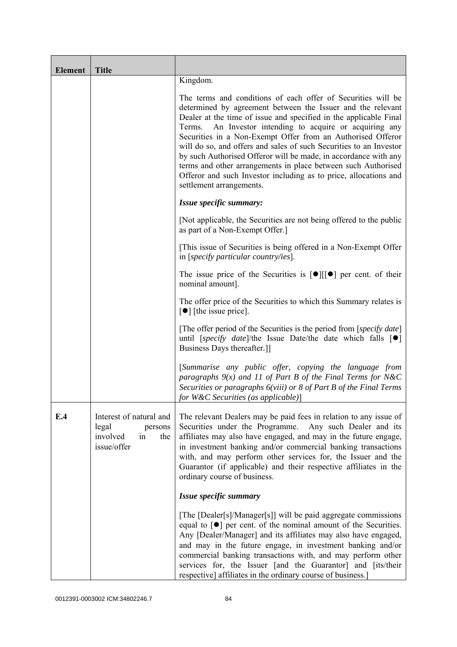| <b>Element</b> | <b>Title</b>                                                                        |                                                                                                                                                                                                                                                                                                                                                                                                                                                                                                                                                                                                                                       |
|----------------|-------------------------------------------------------------------------------------|---------------------------------------------------------------------------------------------------------------------------------------------------------------------------------------------------------------------------------------------------------------------------------------------------------------------------------------------------------------------------------------------------------------------------------------------------------------------------------------------------------------------------------------------------------------------------------------------------------------------------------------|
|                |                                                                                     | Kingdom.                                                                                                                                                                                                                                                                                                                                                                                                                                                                                                                                                                                                                              |
|                |                                                                                     | The terms and conditions of each offer of Securities will be<br>determined by agreement between the Issuer and the relevant<br>Dealer at the time of issue and specified in the applicable Final<br>Terms. An Investor intending to acquire or acquiring any<br>Securities in a Non-Exempt Offer from an Authorised Offeror<br>will do so, and offers and sales of such Securities to an Investor<br>by such Authorised Offeror will be made, in accordance with any<br>terms and other arrangements in place between such Authorised<br>Offeror and such Investor including as to price, allocations and<br>settlement arrangements. |
|                |                                                                                     | Issue specific summary:                                                                                                                                                                                                                                                                                                                                                                                                                                                                                                                                                                                                               |
|                |                                                                                     | [Not applicable, the Securities are not being offered to the public<br>as part of a Non-Exempt Offer.]                                                                                                                                                                                                                                                                                                                                                                                                                                                                                                                                |
|                |                                                                                     | [This issue of Securities is being offered in a Non-Exempt Offer<br>in [ <i>specify particular country/ies</i> ].                                                                                                                                                                                                                                                                                                                                                                                                                                                                                                                     |
|                |                                                                                     | The issue price of the Securities is $[\bullet][[\bullet]]$ per cent. of their<br>nominal amount].                                                                                                                                                                                                                                                                                                                                                                                                                                                                                                                                    |
|                |                                                                                     | The offer price of the Securities to which this Summary relates is<br>$\lceil \bullet \rceil$ [the issue price].                                                                                                                                                                                                                                                                                                                                                                                                                                                                                                                      |
|                |                                                                                     | [The offer period of the Securities is the period from [ <i>specify date</i> ]<br>until [specify date]/the Issue Date/the date which falls $[\bullet]$<br>Business Days thereafter.]                                                                                                                                                                                                                                                                                                                                                                                                                                                  |
|                |                                                                                     | [Summarise any public offer, copying the language from<br>paragraphs $9(x)$ and 11 of Part B of the Final Terms for N&C<br>Securities or paragraphs 6(viii) or 8 of Part B of the Final Terms<br>for $W\&C$ Securities (as applicable)]                                                                                                                                                                                                                                                                                                                                                                                               |
| E.4            | Interest of natural and<br>legal<br>persons<br>involved<br>in<br>the<br>issue/offer | The relevant Dealers may be paid fees in relation to any issue of<br>Securities under the Programme. Any such Dealer and its<br>affiliates may also have engaged, and may in the future engage,<br>in investment banking and/or commercial banking transactions<br>with, and may perform other services for, the Issuer and the<br>Guarantor (if applicable) and their respective affiliates in the<br>ordinary course of business.                                                                                                                                                                                                   |
|                |                                                                                     | Issue specific summary                                                                                                                                                                                                                                                                                                                                                                                                                                                                                                                                                                                                                |
|                |                                                                                     | [The [Dealer[s]/Manager[s]] will be paid aggregate commissions<br>equal to $\lceil \bullet \rceil$ per cent. of the nominal amount of the Securities.<br>Any [Dealer/Manager] and its affiliates may also have engaged,<br>and may in the future engage, in investment banking and/or<br>commercial banking transactions with, and may perform other<br>services for, the Issuer [and the Guarantor] and [its/their<br>respective] affiliates in the ordinary course of business.]                                                                                                                                                    |